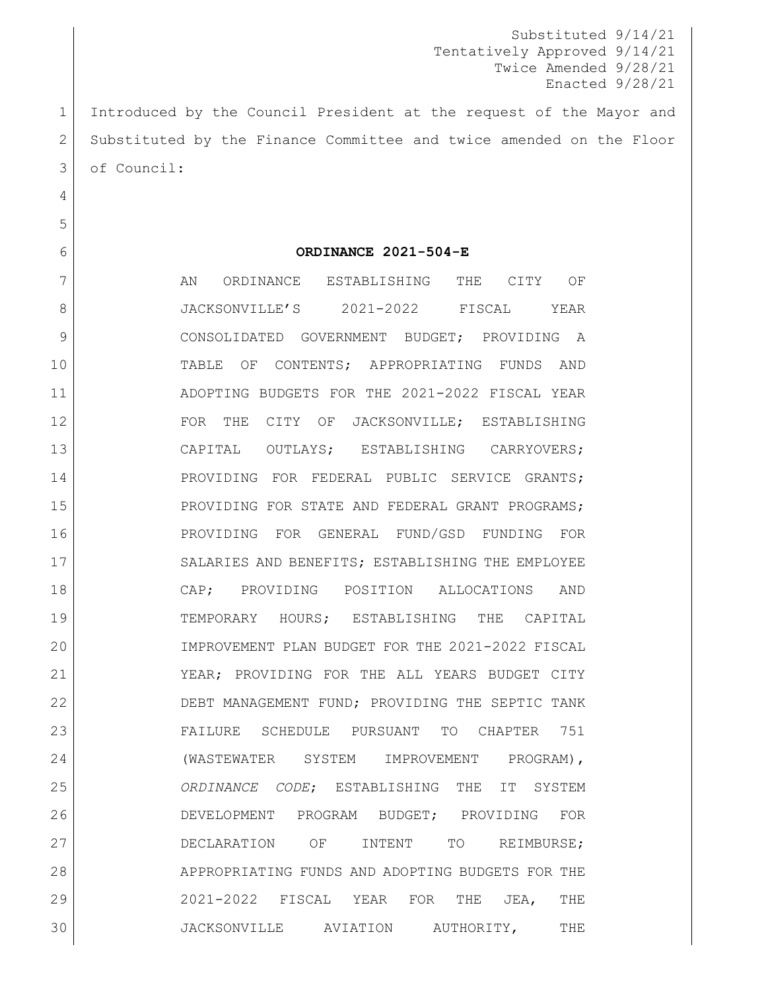Substituted 9/14/21 Tentatively Approved 9/14/21 Twice Amended 9/28/21 Enacted 9/28/21

1 Introduced by the Council President at the request of the Mayor and 2 Substituted by the Finance Committee and twice amended on the Floor 3 of Council:

4

5

#### 6 **ORDINANCE 2021-504-E**

7 AN ORDINANCE ESTABLISHING THE CITY OF JACKSONVILLE'S 2021-2022 FISCAL YEAR 9 CONSOLIDATED GOVERNMENT BUDGET; PROVIDING A TABLE OF CONTENTS; APPROPRIATING FUNDS AND ADOPTING BUDGETS FOR THE 2021-2022 FISCAL YEAR 12 FOR THE CITY OF JACKSONVILLE; ESTABLISHING CAPITAL OUTLAYS; ESTABLISHING CARRYOVERS; 14 PROVIDING FOR FEDERAL PUBLIC SERVICE GRANTS; 15 PROVIDING FOR STATE AND FEDERAL GRANT PROGRAMS; PROVIDING FOR GENERAL FUND/GSD FUNDING FOR 17 SALARIES AND BENEFITS; ESTABLISHING THE EMPLOYEE CAP; PROVIDING POSITION ALLOCATIONS AND TEMPORARY HOURS; ESTABLISHING THE CAPITAL IMPROVEMENT PLAN BUDGET FOR THE 2021-2022 FISCAL YEAR; PROVIDING FOR THE ALL YEARS BUDGET CITY DEBT MANAGEMENT FUND; PROVIDING THE SEPTIC TANK FAILURE SCHEDULE PURSUANT TO CHAPTER 751 (WASTEWATER SYSTEM IMPROVEMENT PROGRAM), *ORDINANCE CODE*; ESTABLISHING THE IT SYSTEM DEVELOPMENT PROGRAM BUDGET; PROVIDING FOR 27 DECLARATION OF INTENT TO REIMBURSE; 28 APPROPRIATING FUNDS AND ADOPTING BUDGETS FOR THE 2021-2022 FISCAL YEAR FOR THE JEA, THE JACKSONVILLE AVIATION AUTHORITY, THE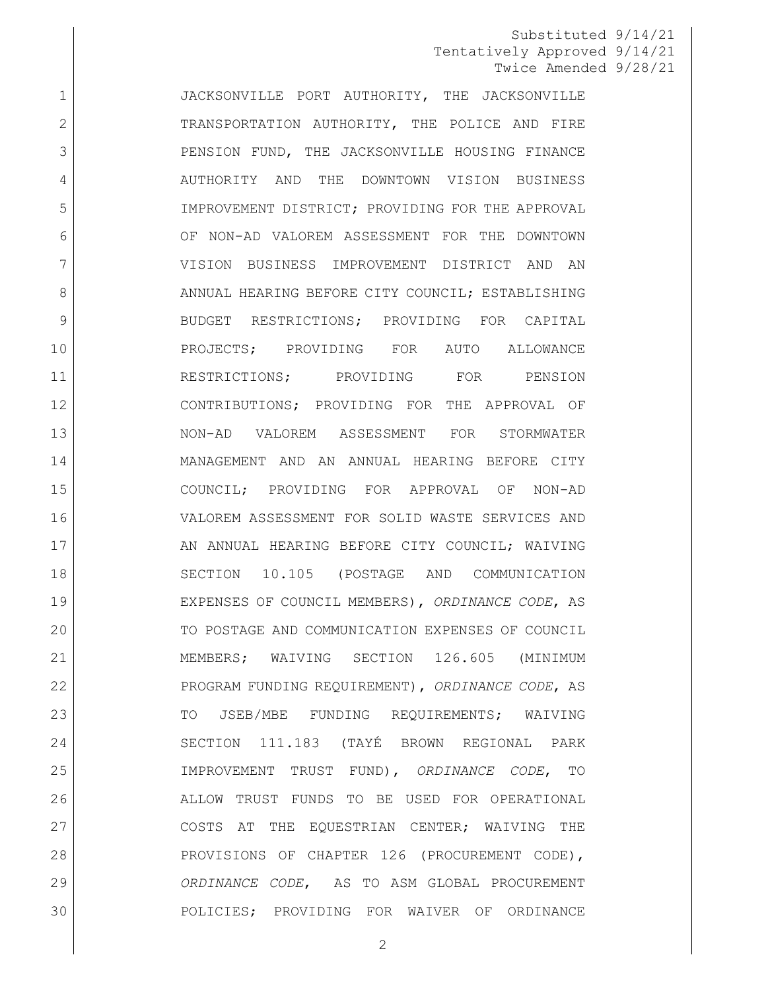1 JACKSONVILLE PORT AUTHORITY, THE JACKSONVILLE 2 TRANSPORTATION AUTHORITY, THE POLICE AND FIRE 3 PENSION FUND, THE JACKSONVILLE HOUSING FINANCE 4 AUTHORITY AND THE DOWNTOWN VISION BUSINESS IMPROVEMENT DISTRICT; PROVIDING FOR THE APPROVAL OF NON-AD VALOREM ASSESSMENT FOR THE DOWNTOWN VISION BUSINESS IMPROVEMENT DISTRICT AND AN 8 ANNUAL HEARING BEFORE CITY COUNCIL; ESTABLISHING 9 BUDGET RESTRICTIONS; PROVIDING FOR CAPITAL PROJECTS; PROVIDING FOR AUTO ALLOWANCE 11 RESTRICTIONS; PROVIDING FOR PENSION CONTRIBUTIONS; PROVIDING FOR THE APPROVAL OF NON-AD VALOREM ASSESSMENT FOR STORMWATER MANAGEMENT AND AN ANNUAL HEARING BEFORE CITY COUNCIL; PROVIDING FOR APPROVAL OF NON-AD VALOREM ASSESSMENT FOR SOLID WASTE SERVICES AND 17 AN ANNUAL HEARING BEFORE CITY COUNCIL: WAIVING SECTION 10.105 (POSTAGE AND COMMUNICATION EXPENSES OF COUNCIL MEMBERS), *ORDINANCE CODE*, AS TO POSTAGE AND COMMUNICATION EXPENSES OF COUNCIL MEMBERS; WAIVING SECTION 126.605 (MINIMUM PROGRAM FUNDING REQUIREMENT), *ORDINANCE CODE*, AS 23 TO JSEB/MBE FUNDING REQUIREMENTS; WAIVING SECTION 111.183 (TAYÉ BROWN REGIONAL PARK IMPROVEMENT TRUST FUND), *ORDINANCE CODE*, TO ALLOW TRUST FUNDS TO BE USED FOR OPERATIONAL COSTS AT THE EQUESTRIAN CENTER; WAIVING THE PROVISIONS OF CHAPTER 126 (PROCUREMENT CODE), *ORDINANCE CODE*, AS TO ASM GLOBAL PROCUREMENT POLICIES; PROVIDING FOR WAIVER OF ORDINANCE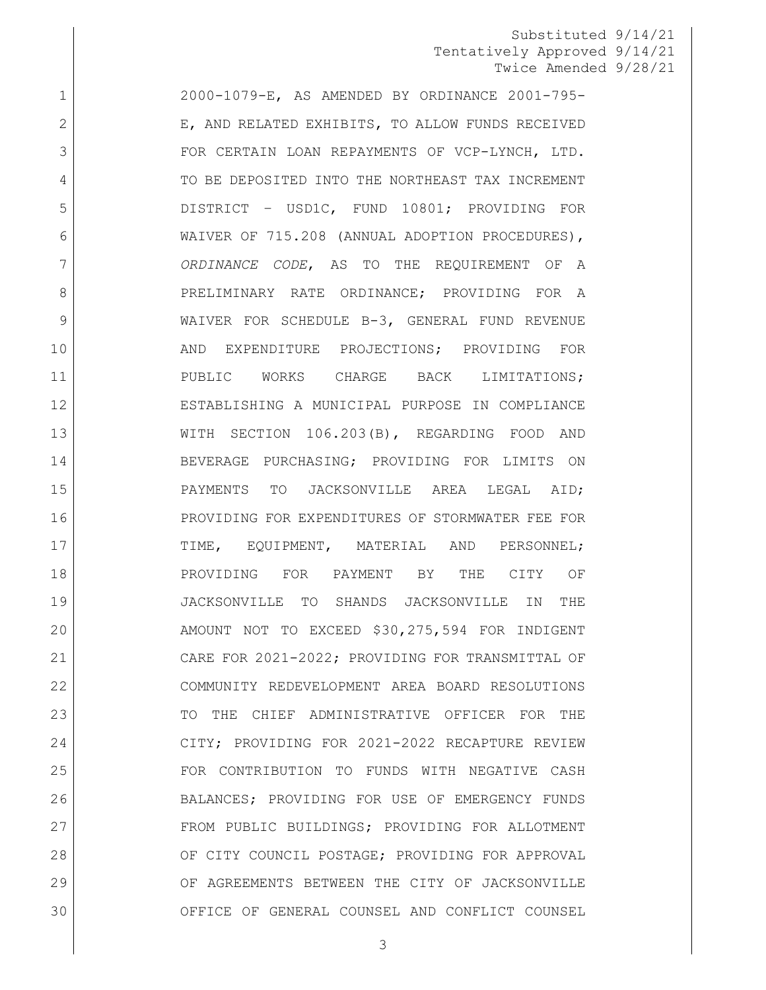2000-1079-E, AS AMENDED BY ORDINANCE 2001-795- 2 E, AND RELATED EXHIBITS, TO ALLOW FUNDS RECEIVED 3 | FOR CERTAIN LOAN REPAYMENTS OF VCP-LYNCH, LTD. 4 TO BE DEPOSITED INTO THE NORTHEAST TAX INCREMENT DISTRICT – USD1C, FUND 10801; PROVIDING FOR WAIVER OF 715.208 (ANNUAL ADOPTION PROCEDURES), *ORDINANCE CODE*, AS TO THE REQUIREMENT OF A 8 PRELIMINARY RATE ORDINANCE; PROVIDING FOR A WAIVER FOR SCHEDULE B-3, GENERAL FUND REVENUE AND EXPENDITURE PROJECTIONS; PROVIDING FOR PUBLIC WORKS CHARGE BACK LIMITATIONS; ESTABLISHING A MUNICIPAL PURPOSE IN COMPLIANCE WITH SECTION 106.203(B), REGARDING FOOD AND BEVERAGE PURCHASING; PROVIDING FOR LIMITS ON PAYMENTS TO JACKSONVILLE AREA LEGAL AID; PROVIDING FOR EXPENDITURES OF STORMWATER FEE FOR 17 | TIME, EQUIPMENT, MATERIAL AND PERSONNEL; PROVIDING FOR PAYMENT BY THE CITY OF JACKSONVILLE TO SHANDS JACKSONVILLE IN THE AMOUNT NOT TO EXCEED \$30,275,594 FOR INDIGENT CARE FOR 2021-2022; PROVIDING FOR TRANSMITTAL OF COMMUNITY REDEVELOPMENT AREA BOARD RESOLUTIONS 23 TO THE CHIEF ADMINISTRATIVE OFFICER FOR THE CITY; PROVIDING FOR 2021-2022 RECAPTURE REVIEW FOR CONTRIBUTION TO FUNDS WITH NEGATIVE CASH BALANCES; PROVIDING FOR USE OF EMERGENCY FUNDS FROM PUBLIC BUILDINGS; PROVIDING FOR ALLOTMENT OF CITY COUNCIL POSTAGE; PROVIDING FOR APPROVAL OF AGREEMENTS BETWEEN THE CITY OF JACKSONVILLE OFFICE OF GENERAL COUNSEL AND CONFLICT COUNSEL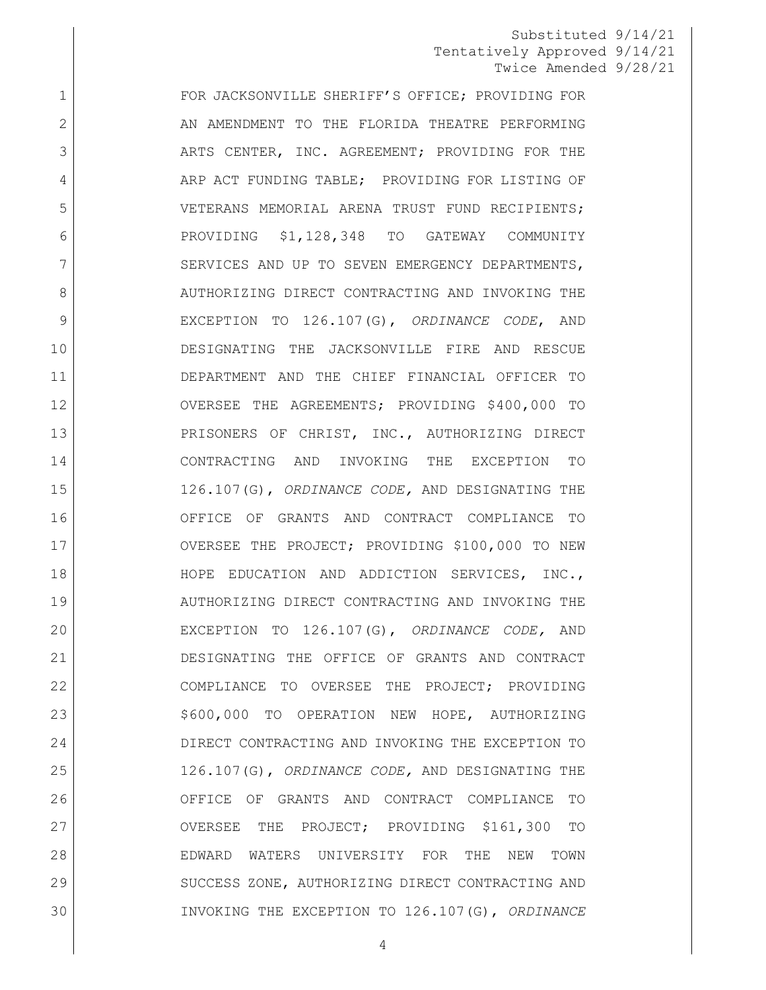1 FOR JACKSONVILLE SHERIFF'S OFFICE; PROVIDING FOR 2 AN AMENDMENT TO THE FLORIDA THEATRE PERFORMING 3 ARTS CENTER, INC. AGREEMENT; PROVIDING FOR THE 4 ARP ACT FUNDING TABLE; PROVIDING FOR LISTING OF VETERANS MEMORIAL ARENA TRUST FUND RECIPIENTS; PROVIDING \$1,128,348 TO GATEWAY COMMUNITY 7 SERVICES AND UP TO SEVEN EMERGENCY DEPARTMENTS, 8 AUTHORIZING DIRECT CONTRACTING AND INVOKING THE EXCEPTION TO 126.107(G), *ORDINANCE CODE*, AND DESIGNATING THE JACKSONVILLE FIRE AND RESCUE DEPARTMENT AND THE CHIEF FINANCIAL OFFICER TO OVERSEE THE AGREEMENTS; PROVIDING \$400,000 TO 13 PRISONERS OF CHRIST, INC., AUTHORIZING DIRECT CONTRACTING AND INVOKING THE EXCEPTION TO 126.107(G), *ORDINANCE CODE,* AND DESIGNATING THE OFFICE OF GRANTS AND CONTRACT COMPLIANCE TO OVERSEE THE PROJECT; PROVIDING \$100,000 TO NEW HOPE EDUCATION AND ADDICTION SERVICES, INC., AUTHORIZING DIRECT CONTRACTING AND INVOKING THE EXCEPTION TO 126.107(G), *ORDINANCE CODE,* AND DESIGNATING THE OFFICE OF GRANTS AND CONTRACT COMPLIANCE TO OVERSEE THE PROJECT; PROVIDING 23 | \$600,000 TO OPERATION NEW HOPE, AUTHORIZING DIRECT CONTRACTING AND INVOKING THE EXCEPTION TO 126.107(G), *ORDINANCE CODE,* AND DESIGNATING THE OFFICE OF GRANTS AND CONTRACT COMPLIANCE TO OVERSEE THE PROJECT; PROVIDING \$161,300 TO EDWARD WATERS UNIVERSITY FOR THE NEW TOWN 29 SUCCESS ZONE, AUTHORIZING DIRECT CONTRACTING AND INVOKING THE EXCEPTION TO 126.107(G), *ORDINANCE*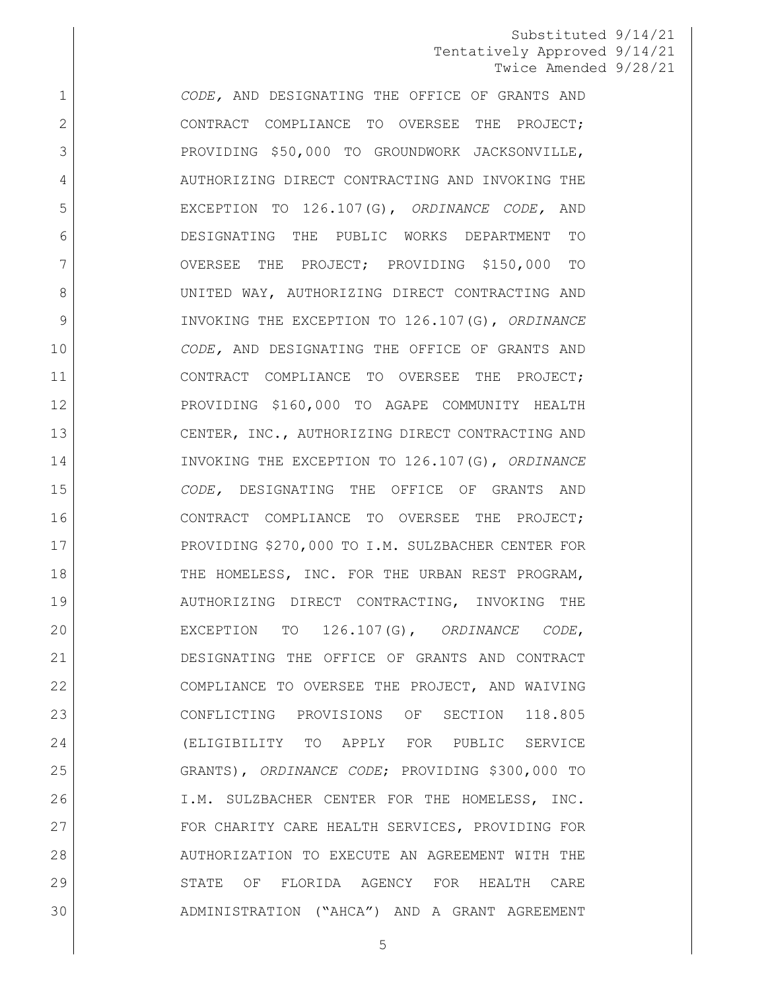*CODE,* AND DESIGNATING THE OFFICE OF GRANTS AND 2 CONTRACT COMPLIANCE TO OVERSEE THE PROJECT; 3 PROVIDING \$50,000 TO GROUNDWORK JACKSONVILLE, 4 AUTHORIZING DIRECT CONTRACTING AND INVOKING THE EXCEPTION TO 126.107(G), *ORDINANCE CODE,* AND DESIGNATING THE PUBLIC WORKS DEPARTMENT TO OVERSEE THE PROJECT; PROVIDING \$150,000 TO UNITED WAY, AUTHORIZING DIRECT CONTRACTING AND INVOKING THE EXCEPTION TO 126.107(G), *ORDINANCE CODE,* AND DESIGNATING THE OFFICE OF GRANTS AND CONTRACT COMPLIANCE TO OVERSEE THE PROJECT; PROVIDING \$160,000 TO AGAPE COMMUNITY HEALTH 13 CENTER, INC., AUTHORIZING DIRECT CONTRACTING AND INVOKING THE EXCEPTION TO 126.107(G), *ORDINANCE CODE,* DESIGNATING THE OFFICE OF GRANTS AND CONTRACT COMPLIANCE TO OVERSEE THE PROJECT; PROVIDING \$270,000 TO I.M. SULZBACHER CENTER FOR 18 THE HOMELESS, INC. FOR THE URBAN REST PROGRAM, AUTHORIZING DIRECT CONTRACTING, INVOKING THE EXCEPTION TO 126.107(G), *ORDINANCE CODE*, DESIGNATING THE OFFICE OF GRANTS AND CONTRACT COMPLIANCE TO OVERSEE THE PROJECT, AND WAIVING CONFLICTING PROVISIONS OF SECTION 118.805 (ELIGIBILITY TO APPLY FOR PUBLIC SERVICE GRANTS), *ORDINANCE CODE*; PROVIDING \$300,000 TO I.M. SULZBACHER CENTER FOR THE HOMELESS, INC. 27 FOR CHARITY CARE HEALTH SERVICES, PROVIDING FOR AUTHORIZATION TO EXECUTE AN AGREEMENT WITH THE STATE OF FLORIDA AGENCY FOR HEALTH CARE ADMINISTRATION ("AHCA") AND A GRANT AGREEMENT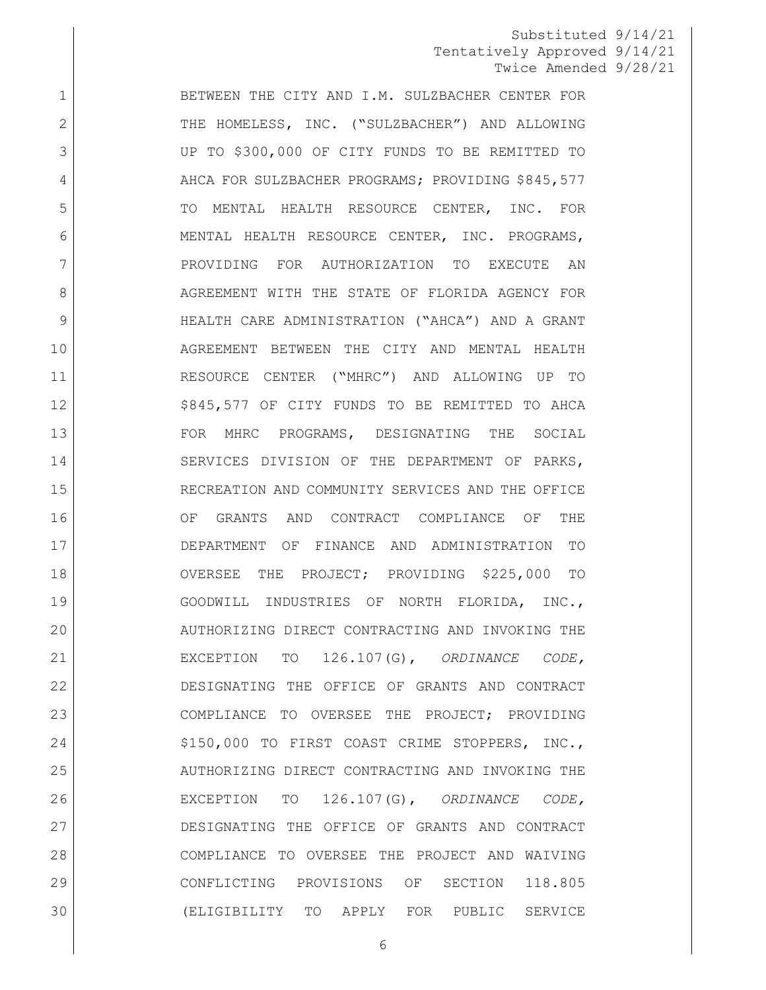1 BETWEEN THE CITY AND I.M. SULZBACHER CENTER FOR 2 THE HOMELESS, INC. ("SULZBACHER") AND ALLOWING UP TO \$300,000 OF CITY FUNDS TO BE REMITTED TO 4 AHCA FOR SULZBACHER PROGRAMS; PROVIDING \$845,577 5 TO MENTAL HEALTH RESOURCE CENTER, INC. FOR MENTAL HEALTH RESOURCE CENTER, INC. PROGRAMS, PROVIDING FOR AUTHORIZATION TO EXECUTE AN 8 AGREEMENT WITH THE STATE OF FLORIDA AGENCY FOR HEALTH CARE ADMINISTRATION ("AHCA") AND A GRANT AGREEMENT BETWEEN THE CITY AND MENTAL HEALTH RESOURCE CENTER ("MHRC") AND ALLOWING UP TO 12 | S845,577 OF CITY FUNDS TO BE REMITTED TO AHCA 13 FOR MHRC PROGRAMS, DESIGNATING THE SOCIAL SERVICES DIVISION OF THE DEPARTMENT OF PARKS, RECREATION AND COMMUNITY SERVICES AND THE OFFICE OF GRANTS AND CONTRACT COMPLIANCE OF THE DEPARTMENT OF FINANCE AND ADMINISTRATION TO OVERSEE THE PROJECT; PROVIDING \$225,000 TO GOODWILL INDUSTRIES OF NORTH FLORIDA, INC., 20 AUTHORIZING DIRECT CONTRACTING AND INVOKING THE EXCEPTION TO 126.107(G), *ORDINANCE CODE,*  DESIGNATING THE OFFICE OF GRANTS AND CONTRACT COMPLIANCE TO OVERSEE THE PROJECT; PROVIDING 24 \$150,000 TO FIRST COAST CRIME STOPPERS, INC., AUTHORIZING DIRECT CONTRACTING AND INVOKING THE EXCEPTION TO 126.107(G), *ORDINANCE CODE,*  DESIGNATING THE OFFICE OF GRANTS AND CONTRACT COMPLIANCE TO OVERSEE THE PROJECT AND WAIVING CONFLICTING PROVISIONS OF SECTION 118.805 (ELIGIBILITY TO APPLY FOR PUBLIC SERVICE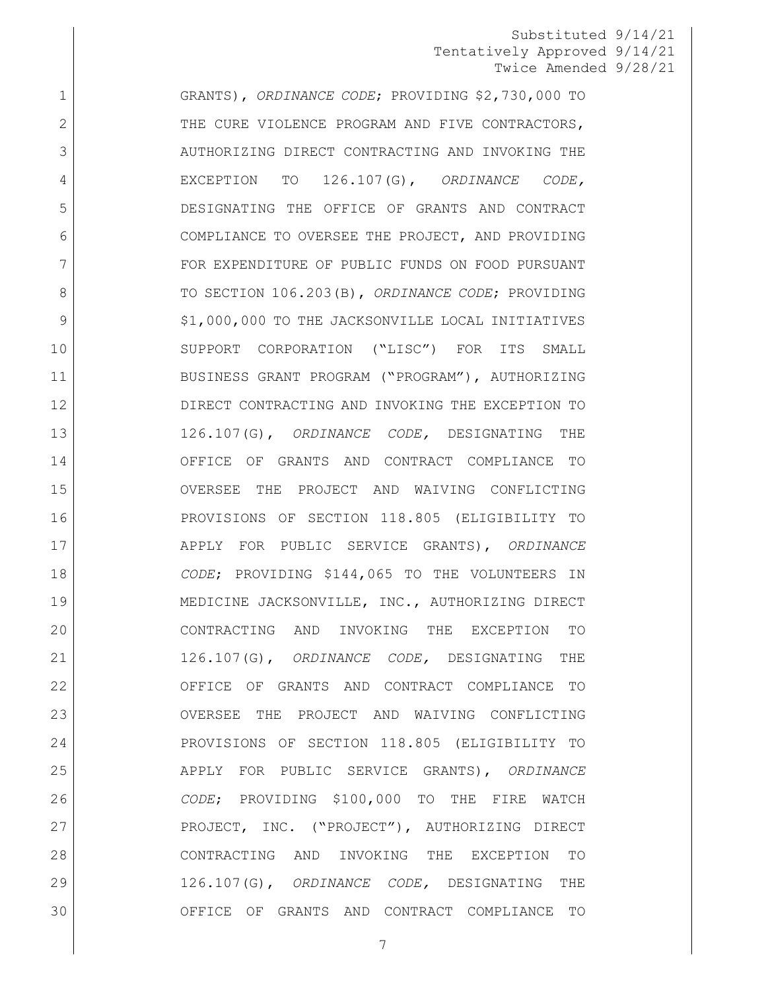GRANTS), *ORDINANCE CODE*; PROVIDING \$2,730,000 TO 2 THE CURE VIOLENCE PROGRAM AND FIVE CONTRACTORS, 3 AUTHORIZING DIRECT CONTRACTING AND INVOKING THE EXCEPTION TO 126.107(G), *ORDINANCE CODE,*  DESIGNATING THE OFFICE OF GRANTS AND CONTRACT COMPLIANCE TO OVERSEE THE PROJECT, AND PROVIDING 7 FOR EXPENDITURE OF PUBLIC FUNDS ON FOOD PURSUANT 8 TO SECTION 106.203(B), *ORDINANCE CODE*; PROVIDING 9 | S1,000,000 TO THE JACKSONVILLE LOCAL INITIATIVES SUPPORT CORPORATION ("LISC") FOR ITS SMALL BUSINESS GRANT PROGRAM ("PROGRAM"), AUTHORIZING DIRECT CONTRACTING AND INVOKING THE EXCEPTION TO 126.107(G), *ORDINANCE CODE,* DESIGNATING THE OFFICE OF GRANTS AND CONTRACT COMPLIANCE TO OVERSEE THE PROJECT AND WAIVING CONFLICTING PROVISIONS OF SECTION 118.805 (ELIGIBILITY TO APPLY FOR PUBLIC SERVICE GRANTS), *ORDINANCE CODE*; PROVIDING \$144,065 TO THE VOLUNTEERS IN MEDICINE JACKSONVILLE, INC., AUTHORIZING DIRECT CONTRACTING AND INVOKING THE EXCEPTION TO 126.107(G), *ORDINANCE CODE,* DESIGNATING THE OFFICE OF GRANTS AND CONTRACT COMPLIANCE TO OVERSEE THE PROJECT AND WAIVING CONFLICTING PROVISIONS OF SECTION 118.805 (ELIGIBILITY TO APPLY FOR PUBLIC SERVICE GRANTS), *ORDINANCE CODE*; PROVIDING \$100,000 TO THE FIRE WATCH PROJECT, INC. ("PROJECT"), AUTHORIZING DIRECT CONTRACTING AND INVOKING THE EXCEPTION TO 126.107(G), *ORDINANCE CODE,* DESIGNATING THE OFFICE OF GRANTS AND CONTRACT COMPLIANCE TO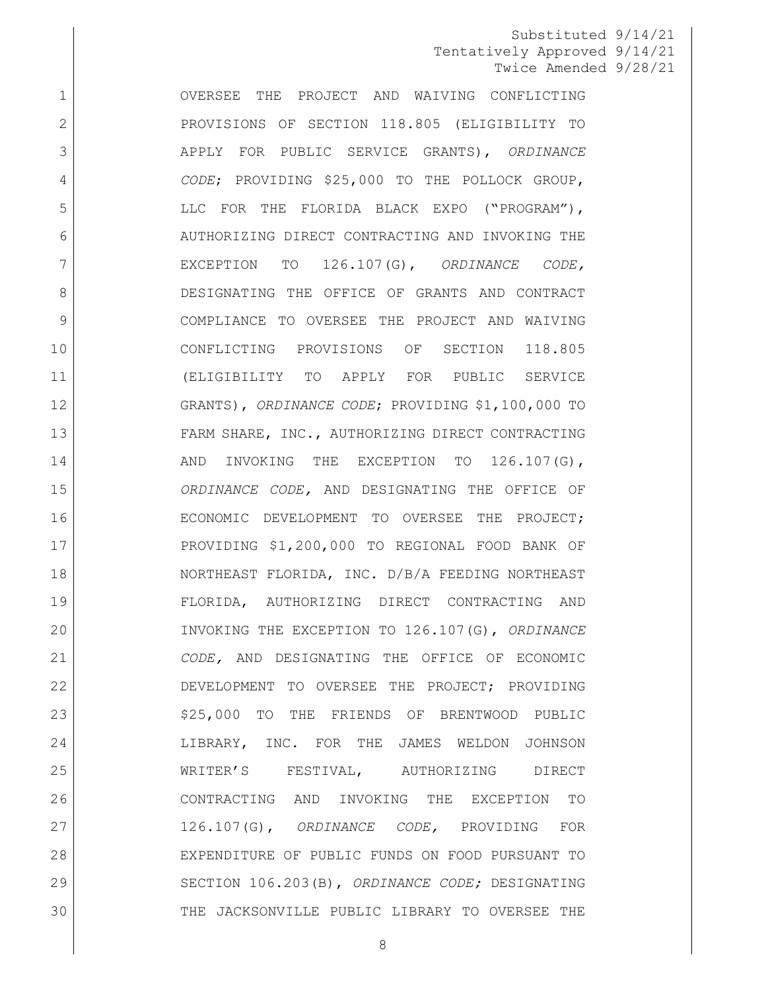OVERSEE THE PROJECT AND WAIVING CONFLICTING 2 PROVISIONS OF SECTION 118.805 (ELIGIBILITY TO APPLY FOR PUBLIC SERVICE GRANTS), *ORDINANCE CODE*; PROVIDING \$25,000 TO THE POLLOCK GROUP, 5 LLC FOR THE FLORIDA BLACK EXPO ("PROGRAM"), 6 AUTHORIZING DIRECT CONTRACTING AND INVOKING THE EXCEPTION TO 126.107(G), *ORDINANCE CODE,* DESIGNATING THE OFFICE OF GRANTS AND CONTRACT COMPLIANCE TO OVERSEE THE PROJECT AND WAIVING CONFLICTING PROVISIONS OF SECTION 118.805 (ELIGIBILITY TO APPLY FOR PUBLIC SERVICE GRANTS), *ORDINANCE CODE*; PROVIDING \$1,100,000 TO 13 FARM SHARE, INC., AUTHORIZING DIRECT CONTRACTING 14 AND INVOKING THE EXCEPTION TO 126.107(G), *ORDINANCE CODE,* AND DESIGNATING THE OFFICE OF ECONOMIC DEVELOPMENT TO OVERSEE THE PROJECT; PROVIDING \$1,200,000 TO REGIONAL FOOD BANK OF NORTHEAST FLORIDA, INC. D/B/A FEEDING NORTHEAST FLORIDA, AUTHORIZING DIRECT CONTRACTING AND INVOKING THE EXCEPTION TO 126.107(G), *ORDINANCE CODE,* AND DESIGNATING THE OFFICE OF ECONOMIC DEVELOPMENT TO OVERSEE THE PROJECT; PROVIDING 23 | S25,000 TO THE FRIENDS OF BRENTWOOD PUBLIC LIBRARY, INC. FOR THE JAMES WELDON JOHNSON WRITER'S FESTIVAL, AUTHORIZING DIRECT CONTRACTING AND INVOKING THE EXCEPTION TO 126.107(G), *ORDINANCE CODE,* PROVIDING FOR EXPENDITURE OF PUBLIC FUNDS ON FOOD PURSUANT TO SECTION 106.203(B), *ORDINANCE CODE;* DESIGNATING THE JACKSONVILLE PUBLIC LIBRARY TO OVERSEE THE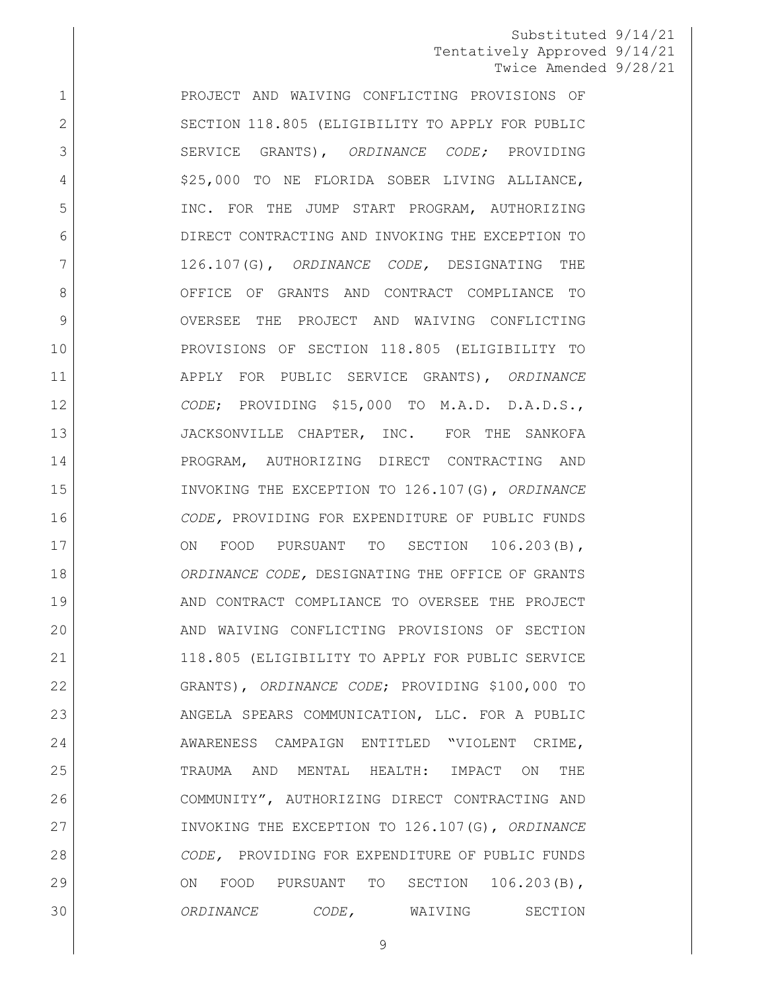PROJECT AND WAIVING CONFLICTING PROVISIONS OF 2 SECTION 118.805 (ELIGIBILITY TO APPLY FOR PUBLIC SERVICE GRANTS), *ORDINANCE CODE;* PROVIDING 4 | S25,000 TO NE FLORIDA SOBER LIVING ALLIANCE, INC. FOR THE JUMP START PROGRAM, AUTHORIZING DIRECT CONTRACTING AND INVOKING THE EXCEPTION TO 126.107(G), *ORDINANCE CODE,* DESIGNATING THE OFFICE OF GRANTS AND CONTRACT COMPLIANCE TO 9 OVERSEE THE PROJECT AND WAIVING CONFLICTING PROVISIONS OF SECTION 118.805 (ELIGIBILITY TO APPLY FOR PUBLIC SERVICE GRANTS), *ORDINANCE CODE*; PROVIDING \$15,000 TO M.A.D. D.A.D.S., 13 JACKSONVILLE CHAPTER, INC. FOR THE SANKOFA PROGRAM, AUTHORIZING DIRECT CONTRACTING AND INVOKING THE EXCEPTION TO 126.107(G), *ORDINANCE CODE,* PROVIDING FOR EXPENDITURE OF PUBLIC FUNDS 17 ON FOOD PURSUANT TO SECTION 106.203(B), *ORDINANCE CODE,* DESIGNATING THE OFFICE OF GRANTS AND CONTRACT COMPLIANCE TO OVERSEE THE PROJECT 20 AND WAIVING CONFLICTING PROVISIONS OF SECTION 118.805 (ELIGIBILITY TO APPLY FOR PUBLIC SERVICE GRANTS), *ORDINANCE CODE*; PROVIDING \$100,000 TO 23 | ANGELA SPEARS COMMUNICATION, LLC. FOR A PUBLIC 24 AWARENESS CAMPAIGN ENTITLED "VIOLENT CRIME, TRAUMA AND MENTAL HEALTH: IMPACT ON THE COMMUNITY", AUTHORIZING DIRECT CONTRACTING AND INVOKING THE EXCEPTION TO 126.107(G), *ORDINANCE CODE,* PROVIDING FOR EXPENDITURE OF PUBLIC FUNDS ON FOOD PURSUANT TO SECTION 106.203(B), *ORDINANCE CODE,* WAIVING SECTION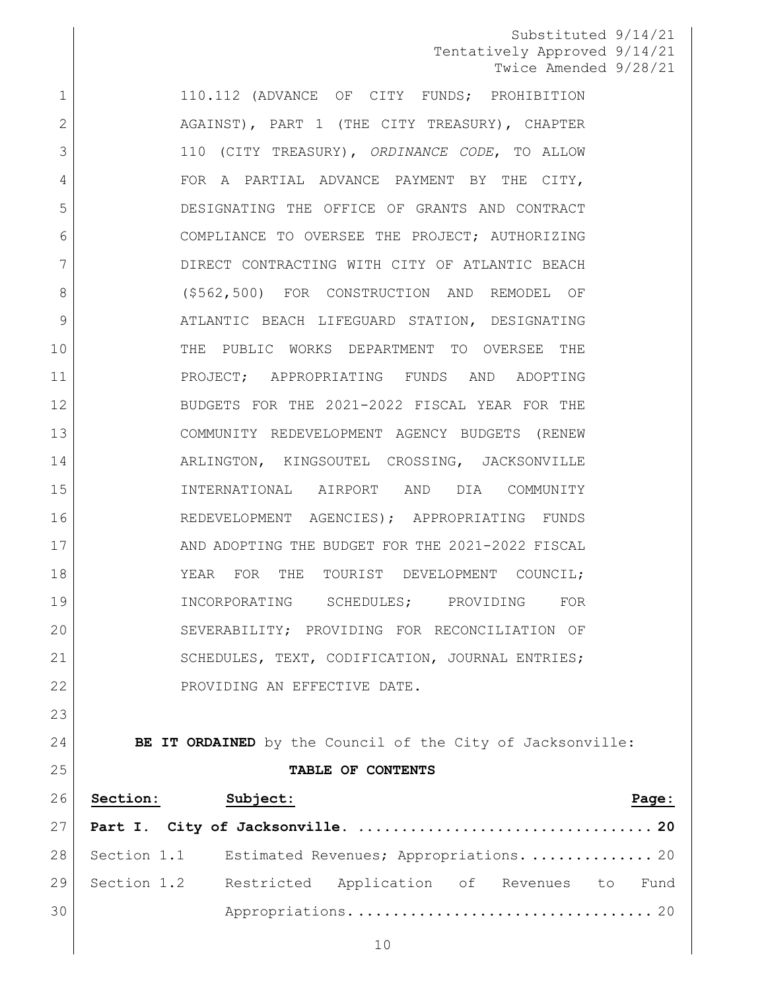1 110.112 (ADVANCE OF CITY FUNDS; PROHIBITION 2 AGAINST), PART 1 (THE CITY TREASURY), CHAPTER 110 (CITY TREASURY), *ORDINANCE CODE*, TO ALLOW 4 FOR A PARTIAL ADVANCE PAYMENT BY THE CITY, DESIGNATING THE OFFICE OF GRANTS AND CONTRACT COMPLIANCE TO OVERSEE THE PROJECT; AUTHORIZING DIRECT CONTRACTING WITH CITY OF ATLANTIC BEACH (\$562,500) FOR CONSTRUCTION AND REMODEL OF 9 ATLANTIC BEACH LIFEGUARD STATION, DESIGNATING THE PUBLIC WORKS DEPARTMENT TO OVERSEE THE PROJECT; APPROPRIATING FUNDS AND ADOPTING BUDGETS FOR THE 2021-2022 FISCAL YEAR FOR THE COMMUNITY REDEVELOPMENT AGENCY BUDGETS (RENEW 14 ARLINGTON, KINGSOUTEL CROSSING, JACKSONVILLE INTERNATIONAL AIRPORT AND DIA COMMUNITY REDEVELOPMENT AGENCIES); APPROPRIATING FUNDS 17 AND ADOPTING THE BUDGET FOR THE 2021-2022 FISCAL 18 YEAR FOR THE TOURIST DEVELOPMENT COUNCIL: INCORPORATING SCHEDULES; PROVIDING FOR 20 SEVERABILITY; PROVIDING FOR RECONCILIATION OF 21 | SCHEDULES, TEXT, CODIFICATION, JOURNAL ENTRIES; 22 PROVIDING AN EFFECTIVE DATE. 

**BE IT ORDAINED** by the Council of the City of Jacksonville: **TABLE OF CONTENTS**

|    | 26 Section: | Subject:                                                  |  |  | Page: |
|----|-------------|-----------------------------------------------------------|--|--|-------|
|    |             |                                                           |  |  |       |
|    |             | 28 Section 1.1 Estimated Revenues; Appropriations.  20    |  |  |       |
|    |             | 29 Section 1.2 Restricted Application of Revenues to Fund |  |  |       |
| 30 |             |                                                           |  |  |       |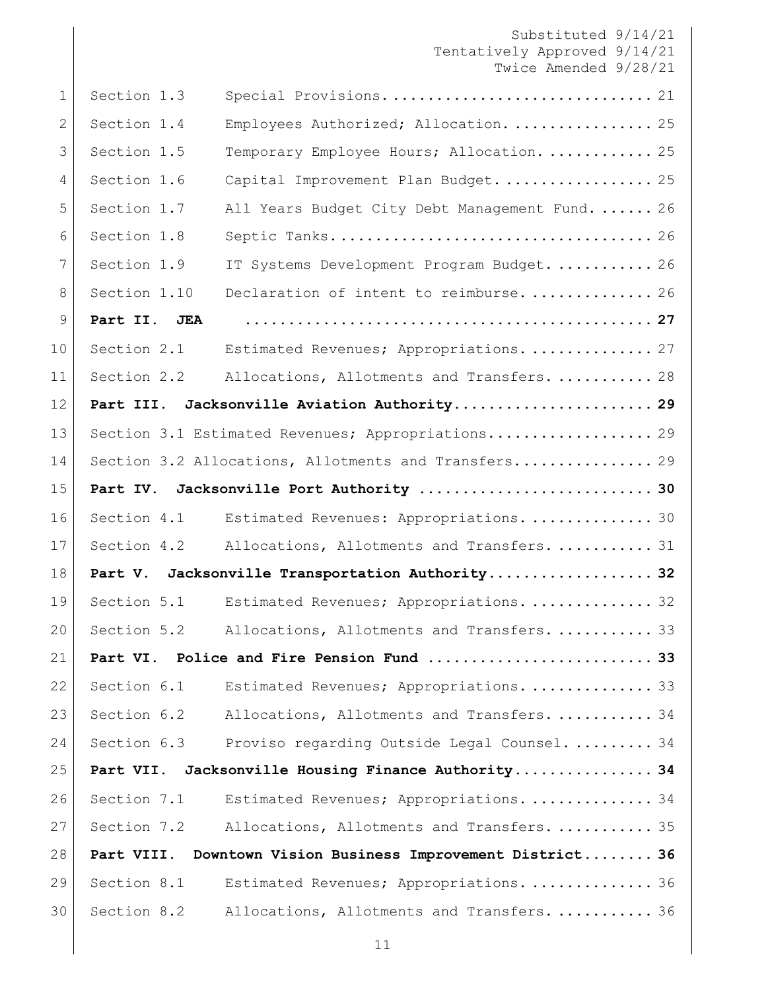| 1            | Section 1.3  | Special Provisions 21                                |
|--------------|--------------|------------------------------------------------------|
| $\mathbf{2}$ | Section 1.4  | Employees Authorized; Allocation.  25                |
| 3            | Section 1.5  | Temporary Employee Hours; Allocation.  25            |
| 4            | Section 1.6  | Capital Improvement Plan Budget.  25                 |
| 5            | Section 1.7  | All Years Budget City Debt Management Fund.  26      |
| 6            | Section 1.8  |                                                      |
| 7            | Section 1.9  | IT Systems Development Program Budget.  26           |
| 8            | Section 1.10 | Declaration of intent to reimburse.  26              |
| 9            | Part II. JEA |                                                      |
| 10           | Section 2.1  | Estimated Revenues; Appropriations.  27              |
| 11           | Section 2.2  | Allocations, Allotments and Transfers.  28           |
| 12           | Part III.    | Jacksonville Aviation Authority 29                   |
| 13           |              | Section 3.1 Estimated Revenues; Appropriations 29    |
| 14           |              | Section 3.2 Allocations, Allotments and Transfers 29 |
| 15           | Part IV.     |                                                      |
| 16           | Section 4.1  | Estimated Revenues: Appropriations.  30              |
| 17           | Section 4.2  | Allocations, Allotments and Transfers.  31           |
| 18           |              | Part V. Jacksonville Transportation Authority 32     |
| 19           | Section 5.1  | Estimated Revenues; Appropriations.  32              |
| 20           | Section 5.2  | Allocations, Allotments and Transfers.  33           |
| 21           |              | Part VI. Police and Fire Pension Fund  33            |
| 22           | Section 6.1  | Estimated Revenues; Appropriations.  33              |
| 23           | Section 6.2  | Allocations, Allotments and Transfers.  34           |
| 24           | Section 6.3  | Proviso regarding Outside Legal Counsel 34           |
| 25           | Part VII.    | Jacksonville Housing Finance Authority 34            |
| 26           | Section 7.1  | Estimated Revenues; Appropriations.  34              |
| 27           | Section 7.2  | Allocations, Allotments and Transfers.  35           |
| 28           | Part VIII.   | Downtown Vision Business Improvement District 36     |
| 29           | Section 8.1  | Estimated Revenues; Appropriations.  36              |
| 30           | Section 8.2  | Allocations, Allotments and Transfers.  36           |
|              |              |                                                      |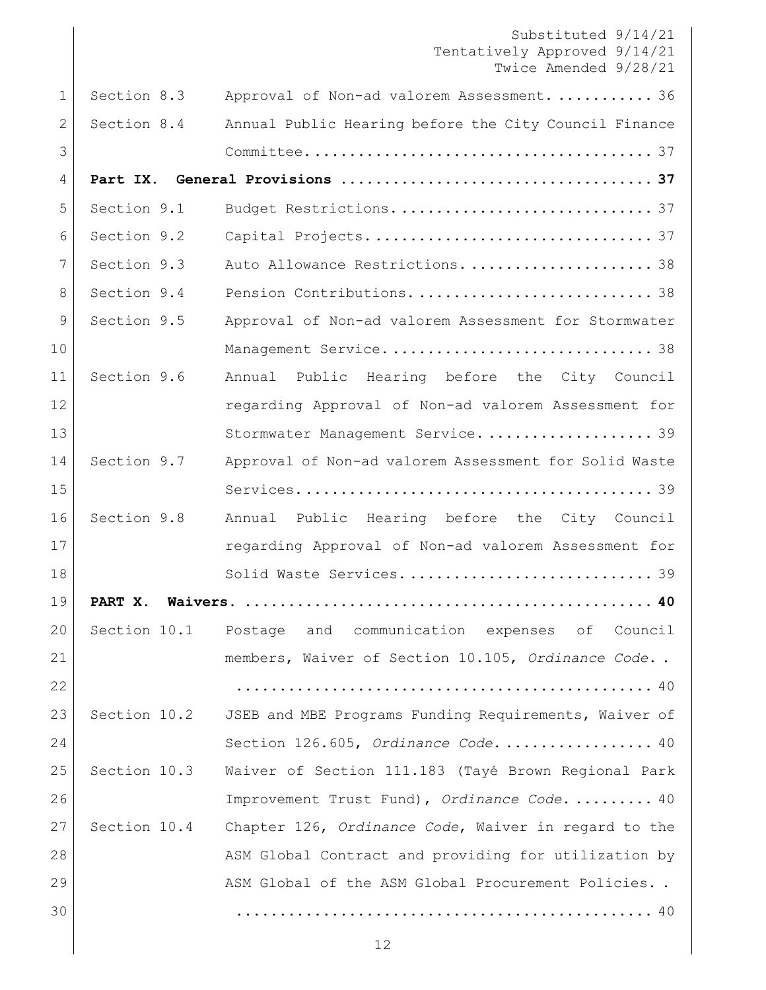|              |              | Substituted 9/14/21<br>Tentatively Approved 9/14/21<br>Twice Amended 9/28/21 |
|--------------|--------------|------------------------------------------------------------------------------|
| $\mathbf{1}$ | Section 8.3  | Approval of Non-ad valorem Assessment.  36                                   |
| $\mathbf{2}$ | Section 8.4  | Annual Public Hearing before the City Council Finance                        |
| 3            |              |                                                                              |
| 4            |              |                                                                              |
| 5            | Section 9.1  |                                                                              |
| 6            | Section 9.2  |                                                                              |
| 7            | Section 9.3  | Auto Allowance Restrictions.  38                                             |
| 8            | Section 9.4  |                                                                              |
| 9            | Section 9.5  | Approval of Non-ad valorem Assessment for Stormwater                         |
| 10           |              |                                                                              |
| 11           | Section 9.6  | Annual Public Hearing before the City Council                                |
| 12           |              | regarding Approval of Non-ad valorem Assessment for                          |
| 13           |              | Stormwater Management Service 39                                             |
| 14           | Section 9.7  | Approval of Non-ad valorem Assessment for Solid Waste                        |
| 15           |              |                                                                              |
| 16           | Section 9.8  | Annual Public Hearing before the City Council                                |
| 17           |              | regarding Approval of Non-ad valorem Assessment for                          |
| 18           |              |                                                                              |
| 19           | PART X.      |                                                                              |
| 20           |              | Section 10.1 Postage and communication expenses of Council                   |
| 21           |              | members, Waiver of Section 10.105, Ordinance Code                            |
| 22           |              |                                                                              |
| 23           |              | Section 10.2 JSEB and MBE Programs Funding Requirements, Waiver of           |
| 24           |              | Section 126.605, Ordinance Code 40                                           |
| 25           | Section 10.3 | Waiver of Section 111.183 (Tayé Brown Regional Park                          |
| 26           |              | Improvement Trust Fund), Ordinance Code.  40                                 |
| 27           | Section 10.4 | Chapter 126, Ordinance Code, Waiver in regard to the                         |
| 28           |              | ASM Global Contract and providing for utilization by                         |
| 29           |              | ASM Global of the ASM Global Procurement Policies                            |
| 30           |              |                                                                              |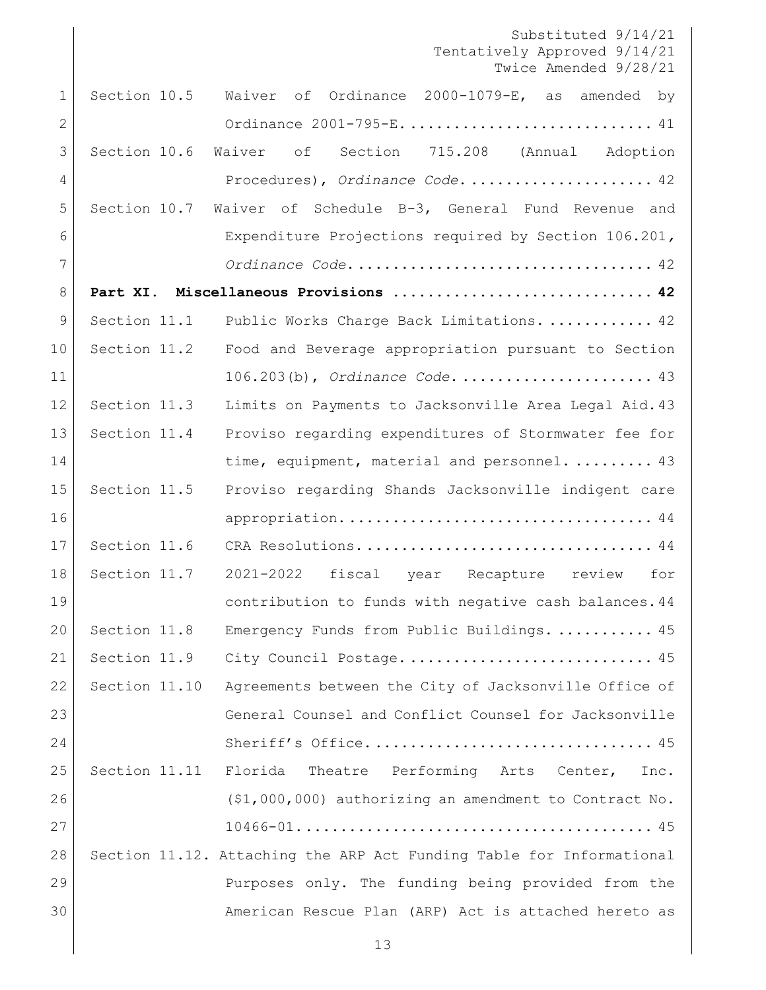Substituted 9/14/21 Tentatively Approved 9/14/21 Twice Amended 9/28/21 [Section 10.5 Waiver of Ordinance 2000-1079-E, as amended by](#page-40-0)  Ordinance 2001-795-E. [............................](#page-40-0) 41 [Section 10.6 Waiver of Section 715.208 \(Annual Adoption](#page-41-0)  Procedures), *Ordinance Code*. [.....................](#page-41-0) 42 [Section 10.7 Waiver of Schedule B-3, General Fund Revenue and](#page-41-1)  [Expenditure Projections required by Section 106.201](#page-41-1)*, Ordinance Code*[...................................](#page-41-1) 42 **[Part XI. Miscellaneous Provisions](#page-41-2) .............................. 42** 9 Section 11.1 [Public Works Charge Back Limitations.](#page-41-3) ............ 42 Section 11.2 [Food and Beverage appropriation pursuant to Section](#page-42-0)  11 106.203(b), *Ordinance Code*[......................](#page-42-0). 43 [Section 11.3 Limits on Payments to Jacksonville Area Legal Aid.43](#page-42-1) [Section 11.4 Proviso regarding expenditures of Stormwater fee for](#page-42-2)  [time, equipment, material and personnel.](#page-42-2)......... 43 Section 11.5 [Proviso regarding Shands Jacksonville indigent care](#page-43-0)  appropriation. [...................................](#page-43-0) 44 Section 11.6 CRA Resolutions. [.................................](#page-43-1) 44 Section 11.7 [2021-2022 fiscal year Recapture review for](#page-43-2)  [contribution to funds with negative cash balances.44](#page-43-2) [Section 11.8 Emergency Funds from Public Buildings.](#page-44-0) ........... 45 [Section 11.9 City Council Postage.](#page-44-1)............................... 45 Section 11.10 [Agreements between the City of Jacksonville Office of](#page-44-2)  23 General Counsel and Conflict Counsel for Jacksonville Sheriff's Office. [................................](#page-44-2) 45 Section 11.11 [Florida Theatre Performing Arts Center, Inc.](#page-44-3)  [\(\\$1,000,000\) authorizing an amendment to Contract No.](#page-44-3)  [10466-01.........................................](#page-44-3) 45 [Section 11.12. Attaching the ARP Act Funding Table for Informational](#page-45-0)  [Purposes only. The funding being provided from the](#page-45-0)  [American Rescue Plan \(ARP\) Act is attached hereto as](#page-45-0)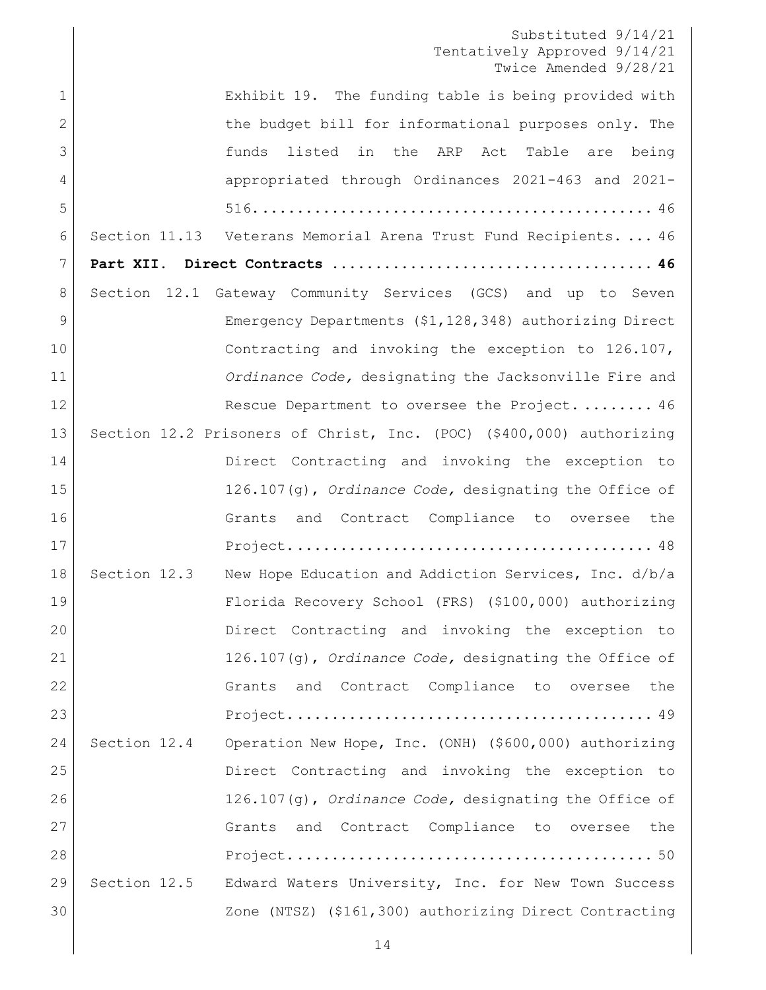|              | IMICE AMENQEQ 9/40/41                                                 |
|--------------|-----------------------------------------------------------------------|
| $\mathbf 1$  | Exhibit 19. The funding table is being provided with                  |
| $\mathbf{2}$ | the budget bill for informational purposes only. The                  |
| 3            | listed in the ARP Act Table are being<br>funds                        |
| 4            | appropriated through Ordinances 2021-463 and 2021-                    |
| 5            |                                                                       |
| 6            | Section 11.13 Veterans Memorial Arena Trust Fund Recipients.  46      |
| 7            |                                                                       |
| 8            | Section 12.1 Gateway Community Services (GCS) and up to Seven         |
| 9            | Emergency Departments (\$1,128,348) authorizing Direct                |
| 10           | Contracting and invoking the exception to 126.107,                    |
| 11           | Ordinance Code, designating the Jacksonville Fire and                 |
| 12           | Rescue Department to oversee the Project.  46                         |
| 13           | Section 12.2 Prisoners of Christ, Inc. (POC) (\$400,000) authorizing  |
| 14           | Direct Contracting and invoking the exception to                      |
| 15           | $126.107(q)$ , Ordinance Code, designating the Office of              |
| 16           | and Contract Compliance to oversee<br>the<br>Grants                   |
| 17           |                                                                       |
| 18           | Section 12.3<br>New Hope Education and Addiction Services, Inc. d/b/a |
| 19           | Florida Recovery School (FRS) (\$100,000) authorizing                 |
| 20           | Direct Contracting and invoking the exception to                      |
| 21           | 126.107(q), Ordinance Code, designating the Office of                 |
| 22           | Grants and Contract Compliance to oversee the                         |
| 23           |                                                                       |
| 24           | Section 12.4 Operation New Hope, Inc. (ONH) (\$600,000) authorizing   |
| 25           | Direct Contracting and invoking the exception to                      |
| 26           | 126.107(g), Ordinance Code, designating the Office of                 |
| 27           | Grants and Contract Compliance to oversee<br>the                      |
| 28           |                                                                       |
| 29           | Section 12.5 Edward Waters University, Inc. for New Town Success      |
| 30           | Zone (NTSZ) (\$161,300) authorizing Direct Contracting                |
|              |                                                                       |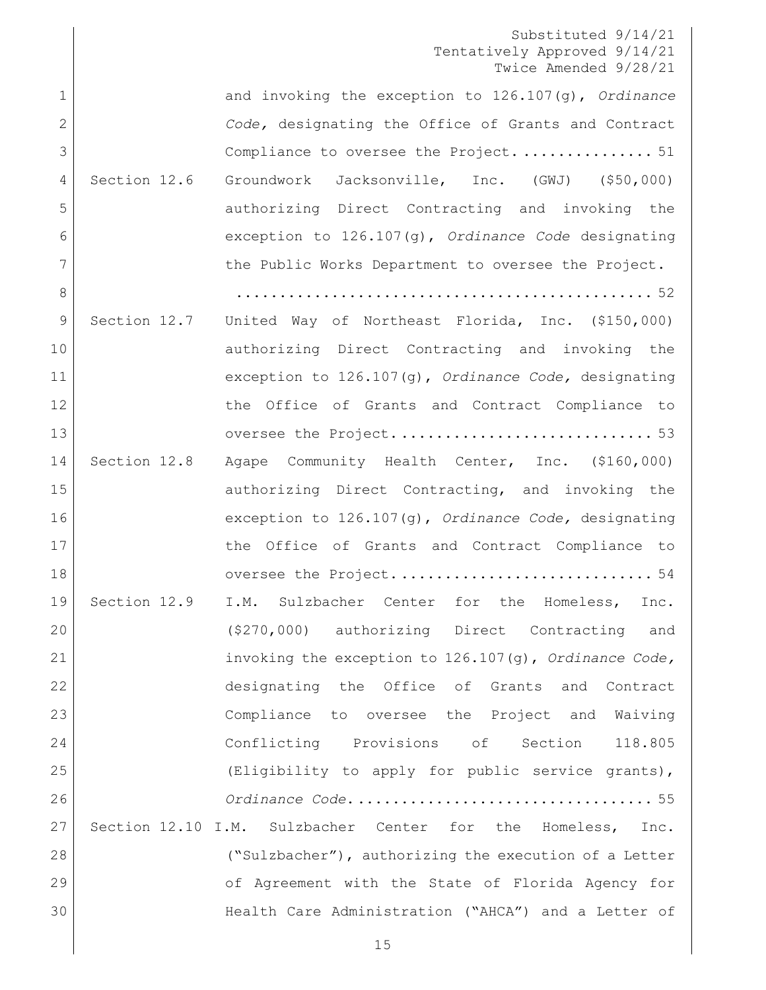| $\mathbf 1$    |              | and invoking the exception to 126.107(g), Ordinance            |
|----------------|--------------|----------------------------------------------------------------|
| $\overline{2}$ |              | Code, designating the Office of Grants and Contract            |
| 3              |              | Compliance to oversee the Project 51                           |
| 4              | Section 12.6 | Groundwork Jacksonville, Inc. (GWJ) (\$50,000)                 |
| 5              |              | authorizing Direct Contracting and invoking the                |
| 6              |              | exception to $126.107(q)$ , Ordinance Code designating         |
| 7              |              | the Public Works Department to oversee the Project.            |
| 8              |              |                                                                |
| $\overline{9}$ | Section 12.7 | United Way of Northeast Florida, Inc. (\$150,000)              |
| 10             |              | authorizing Direct Contracting and invoking the                |
| 11             |              | exception to 126.107(g), Ordinance Code, designating           |
| 12             |              | the Office of Grants and Contract Compliance to                |
| 13             |              |                                                                |
| 14             | Section 12.8 | Agape Community Health Center, Inc. (\$160,000)                |
| 15             |              | authorizing Direct Contracting, and invoking the               |
| 16             |              | exception to 126.107(g), Ordinance Code, designating           |
| 17             |              | the Office of Grants and Contract Compliance to                |
| 18             |              |                                                                |
| 19             |              | Section 12.9 I.M. Sulzbacher Center for the Homeless,<br>Inc.  |
| 20             |              | (\$270,000) authorizing Direct Contracting and                 |
| 21             |              | invoking the exception to 126.107(g), Ordinance Code,          |
| 22             |              | designating the Office of Grants and Contract                  |
| 23             |              | Compliance to oversee the Project and Waiving                  |
| 24             |              | Conflicting Provisions of Section 118.805                      |
| 25             |              | (Eligibility to apply for public service grants),              |
| 26             |              |                                                                |
| 27             |              | Section 12.10 I.M. Sulzbacher Center for the Homeless,<br>Inc. |
| 28             |              | ("Sulzbacher"), authorizing the execution of a Letter          |
| 29             |              | of Agreement with the State of Florida Agency for              |
| 30             |              | Health Care Administration ("AHCA") and a Letter of            |
|                |              |                                                                |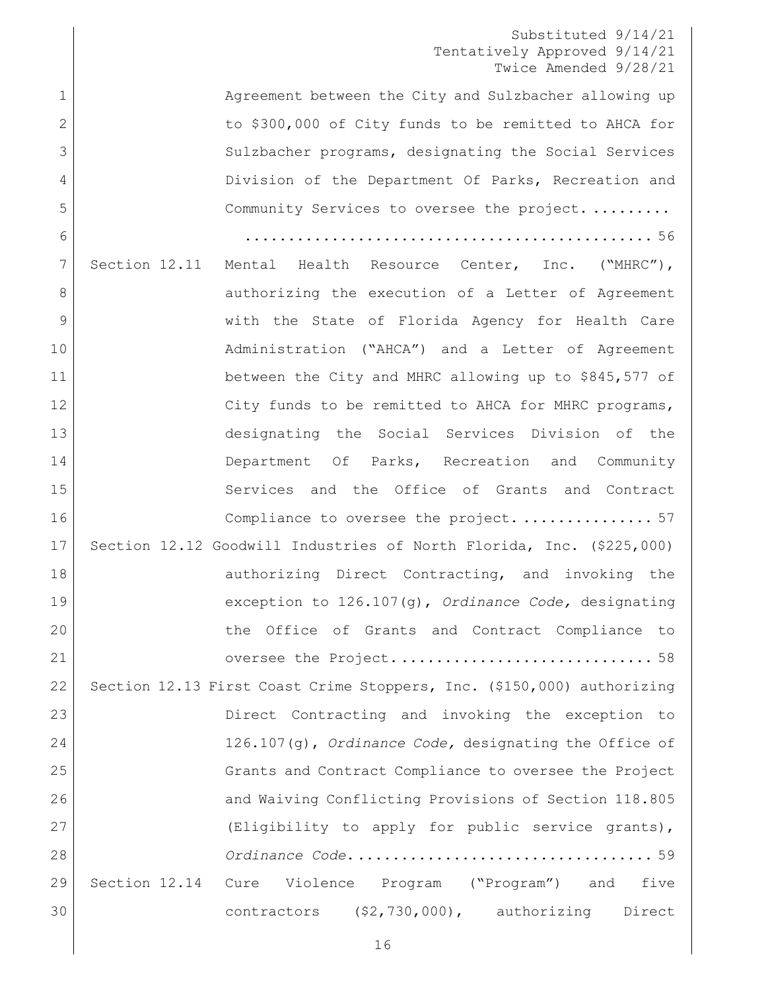1 Agreement between the City and Sulzbacher allowing up 2 to \$300,000 of City funds to be remitted to AHCA for 3 Sulzbacher programs, designating the Social Services 4 Division of the Department Of Parks, Recreation and [Community Services to oversee](#page-55-0) the project......... [...............................................](#page-55-0) 56 Section 12.11 [Mental Health Resource Center, Inc. \("MHRC"\),](#page-56-0)  8 authorizing the execution of a Letter of Agreement [with the State of Florida Agency for Health Care](#page-56-0)  10 | Administration ("AHCA") and a Letter of Agreement 11 between the City and MHRC allowing up to \$845,577 of 12 City funds to be remitted to AHCA for MHRC programs, [designating the Social Services Division of the](#page-56-0)  14 Department Of Parks, Recreation and Community 15 Services and the Office of Grants and Contract [Compliance to oversee the project.](#page-56-0) ............... 57 [Section 12.12 Goodwill Industries of North Florida, Inc. \(\\$225,000\)](#page-57-0)  18 authorizing Direct Contracting, and invoking the [exception to 126.107\(g\),](#page-57-0) *Ordinance Code,* designating [the Office of Grants and Contract Compliance to](#page-57-0)  oversee the Project. [.............................](#page-57-0) 58 [Section 12.13 First Coast Crime Stoppers, Inc. \(\\$150,000\) authorizing](#page-58-0)  [Direct Contracting and invoking the exception to](#page-58-0)  126.107(g), *Ordinance Code,* [designating the Office of](#page-58-0)  [Grants and Contract Compliance to oversee the Project](#page-58-0)  [and Waiving Conflicting Provisions of Section 118.805](#page-58-0)  [\(Eligibility to apply for public service grants\),](#page-58-0) *Ordinance Code*[...................................](#page-58-0) 59 Section 12.14 [Cure Violence Program \("Program"\) and five](#page-59-0)  [contractors \(\\$2,730,000\), authorizing Direct](#page-59-0)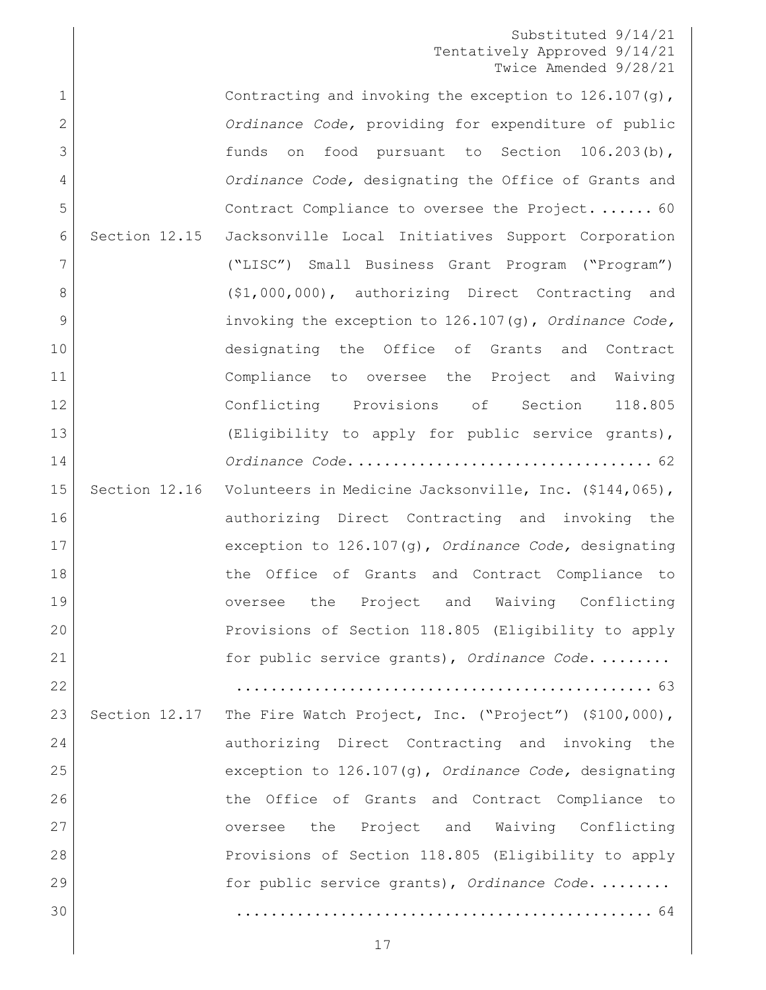1 Contracting and invoking the exception to 126.107(g), *Ordinance Code,* providing for [expenditure of public](#page-59-0)  [funds on food pursuant to Section 106.203\(b\),](#page-59-0) *Ordinance Code,* [designating the Office of Grants and](#page-59-0)  [Contract Compliance to oversee the Project.](#page-59-0) ...... 60 [Section 12.15 Jacksonville Local Initiatives Support Corporation](#page-61-0)  [\("LISC"\) Small Business Grant Program \("Program"\)](#page-61-0)  8 (\$1,000,000), authorizing Direct Contracting and [invoking the exception to 126.107\(g\),](#page-61-0) *Ordinance Code,*  [designating the Office of Grants and Contract](#page-61-0)  [Compliance to oversee the Project and Waiving](#page-61-0)  [Conflicting Provisions of Section 118.805](#page-61-0)  [\(Eligibility to apply for public service grants\),](#page-61-0) *Ordinance Code*[...................................](#page-61-0) 62 15 Section 12.16 Volunteers in Medicine Jacksonville, Inc. (\$144,065), [authorizing Direct Contracting and invoking the](#page-62-0)  [exception to 126.107\(g\),](#page-62-0) *Ordinance Code,* designating 18 18 the Office of Grants and Contract Compliance to [oversee the Project and Waiving Conflicting](#page-62-0)  [Provisions of Section 118.805 \(Eligibility to apply](#page-62-0)  [for public service grants\),](#page-62-0) *Ordinance Code*. ........ [................................................](#page-62-0) 63 23 Section 12.17 The Fire Watch Project, Inc. ("Project") (\$100,000), 24 authorizing Direct Contracting and invoking the [exception to 126.107\(g\),](#page-63-0) *Ordinance Code,* designating [the Office of Grants and Contract Compliance to](#page-63-0)  [oversee the Project and Waiving Conflicting](#page-63-0)  [Provisions of Section 118.805 \(Eligibility to apply](#page-63-0)  [for public service grants\),](#page-63-0) *Ordinance Code*. ........ [................................................](#page-63-0) 64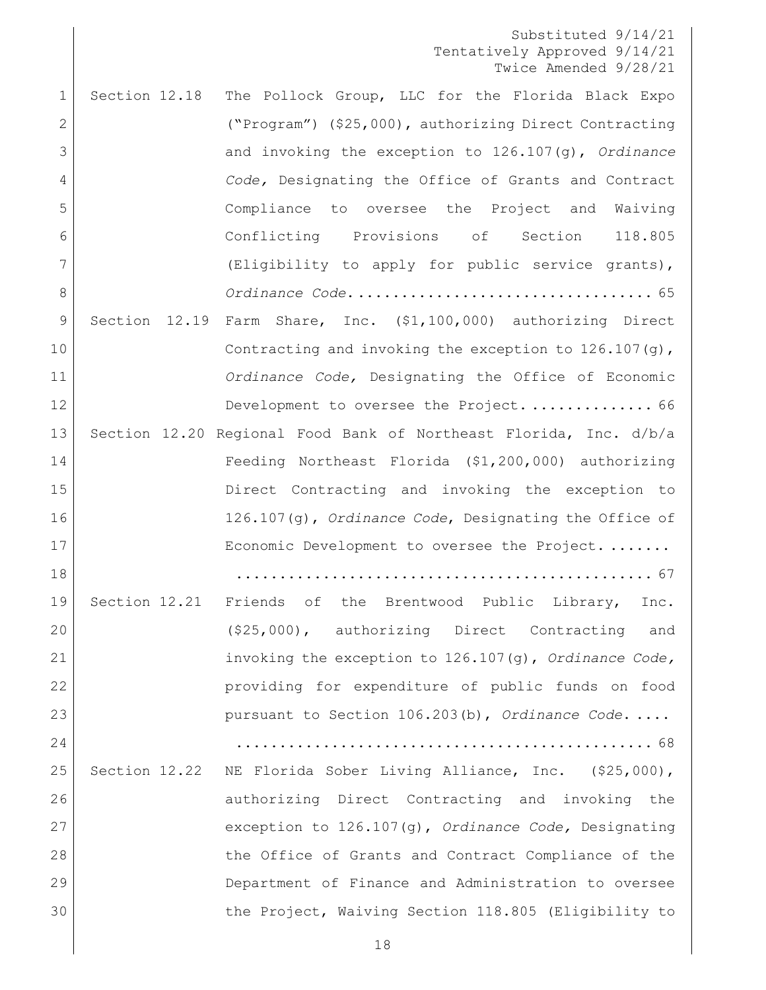| $\mathbf 1$  | Section 12.18 | The Pollock Group, LLC for the Florida Black Expo                 |
|--------------|---------------|-------------------------------------------------------------------|
| $\mathbf{2}$ |               | ("Program") (\$25,000), authorizing Direct Contracting            |
| 3            |               | and invoking the exception to 126.107(g), Ordinance               |
| 4            |               | Code, Designating the Office of Grants and Contract               |
| 5            |               | Compliance to oversee the Project and Waiving                     |
| 6            |               | Conflicting Provisions of Section 118.805                         |
| 7            |               | (Eligibility to apply for public service grants),                 |
| 8            |               |                                                                   |
| 9            |               | Section 12.19 Farm Share, Inc. (\$1,100,000) authorizing Direct   |
| 10           |               | Contracting and invoking the exception to $126.107(q)$ ,          |
| 11           |               | Ordinance Code, Designating the Office of Economic                |
| 12           |               | Development to oversee the Project 66                             |
| 13           |               | Section 12.20 Regional Food Bank of Northeast Florida, Inc. d/b/a |
| 14           |               | Feeding Northeast Florida (\$1,200,000) authorizing               |
| 15           |               | Direct Contracting and invoking the exception to                  |
| 16           |               | 126.107(g), Ordinance Code, Designating the Office of             |
| 17           |               | Economic Development to oversee the Project.                      |
| 18           |               |                                                                   |
| 19           |               | Section 12.21 Friends of the Brentwood Public Library,<br>Inc.    |
| 20           |               | (\$25,000), authorizing Direct Contracting<br>and                 |
| 21           |               | invoking the exception to 126.107(g), Ordinance Code,             |
| 22           |               | providing for expenditure of public funds on food                 |
| 23           |               | pursuant to Section 106.203(b), Ordinance Code                    |
| 24           |               |                                                                   |
| 25           | Section 12.22 | NE Florida Sober Living Alliance, Inc. (\$25,000),                |
| 26           |               | authorizing Direct Contracting and invoking the                   |
| 27           |               | exception to 126.107(g), Ordinance Code, Designating              |
| 28           |               | the Office of Grants and Contract Compliance of the               |
| 29           |               | Department of Finance and Administration to oversee               |
| 30           |               | the Project, Waiving Section 118.805 (Eligibility to              |
|              |               |                                                                   |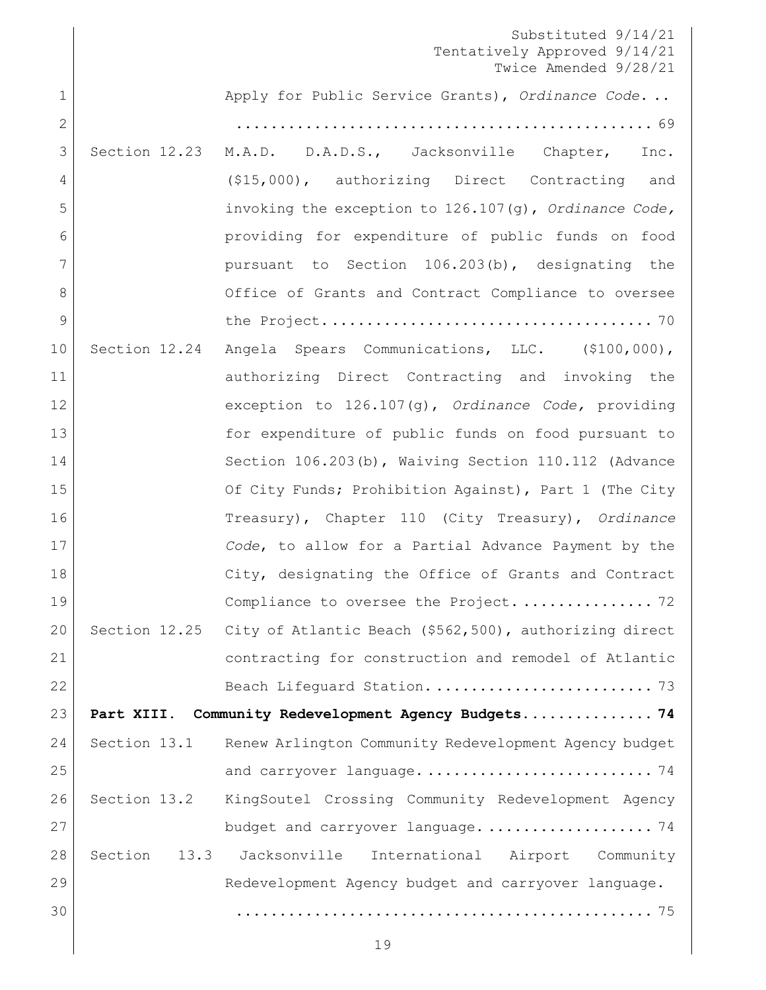[Apply for Public Service Grants\),](#page-68-0) *Ordinance Code*. ..

| $\mathbf{2}$   |                 |                                                        |
|----------------|-----------------|--------------------------------------------------------|
| 3              | Section 12.23   | M.A.D. D.A.D.S., Jacksonville Chapter,<br>Inc.         |
| 4              |                 | $($15,000)$ , authorizing Direct Contracting<br>and    |
| 5              |                 | invoking the exception to 126.107(g), Ordinance Code,  |
| 6              |                 | providing for expenditure of public funds on food      |
| 7              |                 | pursuant to Section 106.203(b), designating the        |
| 8              |                 | Office of Grants and Contract Compliance to oversee    |
| $\overline{9}$ |                 |                                                        |
| 10             | Section 12.24   | Angela Spears Communications, LLC. (\$100,000),        |
| 11             |                 | authorizing Direct Contracting and invoking the        |
| 12             |                 | exception to 126.107(g), Ordinance Code, providing     |
| 13             |                 | for expenditure of public funds on food pursuant to    |
| 14             |                 | Section 106.203(b), Waiving Section 110.112 (Advance   |
| 15             |                 | Of City Funds; Prohibition Against), Part 1 (The City  |
| 16             |                 | Treasury), Chapter 110 (City Treasury), Ordinance      |
| 17             |                 | Code, to allow for a Partial Advance Payment by the    |
| 18             |                 | City, designating the Office of Grants and Contract    |
| 19             |                 | Compliance to oversee the Project 72                   |
| 20             | Section 12.25   | City of Atlantic Beach (\$562,500), authorizing direct |
| 21             |                 | contracting for construction and remodel of Atlantic   |
| 22             |                 |                                                        |
| 23             |                 | Part XIII. Community Redevelopment Agency Budgets 74   |
| 24             | Section 13.1    | Renew Arlington Community Redevelopment Agency budget  |
| 25             |                 |                                                        |
| 26             | Section 13.2    | KingSoutel Crossing Community Redevelopment Agency     |
| 27             |                 | budget and carryover language 74                       |
| 28             | Section<br>13.3 | International Airport Community<br>Jacksonville        |
| 29             |                 | Redevelopment Agency budget and carryover language.    |
| 30             |                 |                                                        |
|                |                 |                                                        |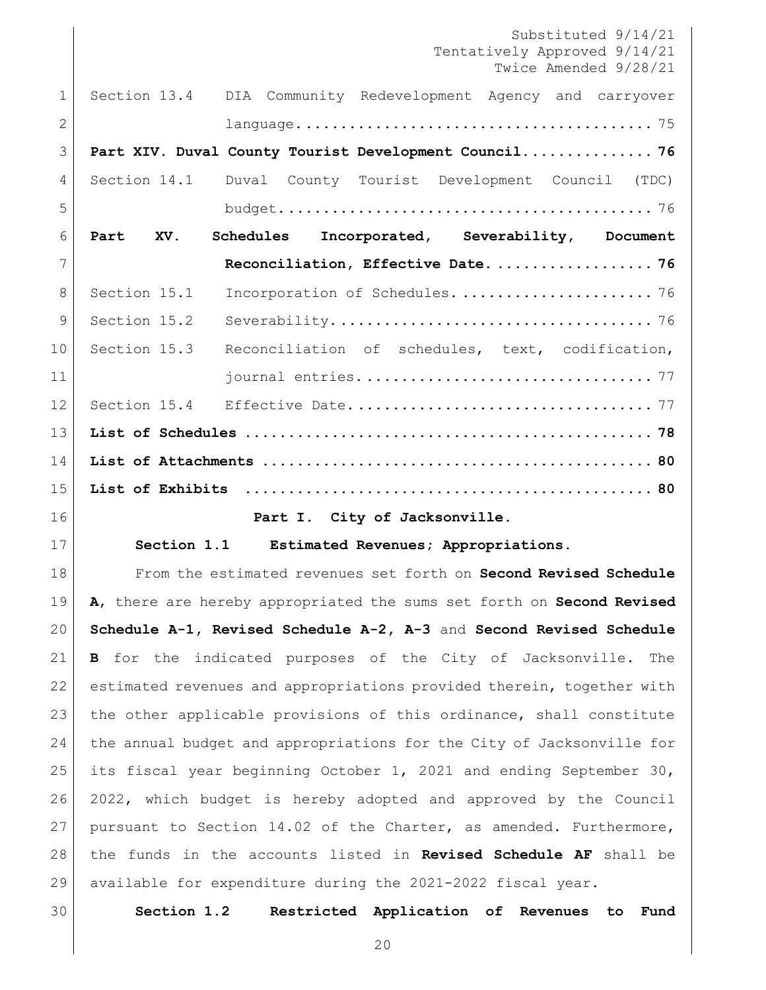<span id="page-19-2"></span><span id="page-19-1"></span><span id="page-19-0"></span>Substituted 9/14/21 Tentatively Approved 9/14/21 Twice Amended 9/28/21 [Section 13.4 DIA Community Redevelopment Agency and carryover](#page-74-1)  [language.........................................](#page-74-1) 75 **[Part XIV. Duval County Tourist Development Council...............](#page-75-0) 76** Section 14.1 [Duval County Tourist Development Council \(TDC\)](#page-75-1)  [budget...........................................](#page-75-1) 76 **[Part XV. Schedules Incorporated, Severability, Document](#page-75-2)  [Reconciliation, Effective Date.](#page-75-2) .................. 76** Section 15.1 [Incorporation of Schedules.](#page-75-3) ...................... 76 Section 15.2 [Severability.....................................](#page-75-4) 76 10 Section 15.3 Reconciliation of schedules, text, codification, journal entries. [.................................](#page-76-0) 77 Section 15.4 Effective Date. [..................................](#page-76-1) 77 **List of Schedules [...............................................](#page-77-0) 78 List of Attachments [.............................................](#page-79-0) 80 List of Exhibits [...............................................](#page-79-1) 80 Part I. City of Jacksonville. Section 1.1 Estimated Revenues; Appropriations.** From the estimated revenues set forth on **Second Revised Schedule A**, there are hereby appropriated the sums set forth on **Second Revised Schedule A-1, Revised Schedule A-2, A-3** and **Second Revised Schedule B** for the indicated purposes of the City of Jacksonville. The estimated revenues and appropriations provided therein, together with 23 the other applicable provisions of this ordinance, shall constitute the annual budget and appropriations for the City of Jacksonville for its fiscal year beginning October 1, 2021 and ending September 30, 2022, which budget is hereby adopted and approved by the Council pursuant to Section 14.02 of the Charter, as amended. Furthermore, the funds in the accounts listed in **Revised Schedule AF** shall be available for expenditure during the 2021-2022 fiscal year. **Section 1.2 Restricted Application of Revenues to Fund**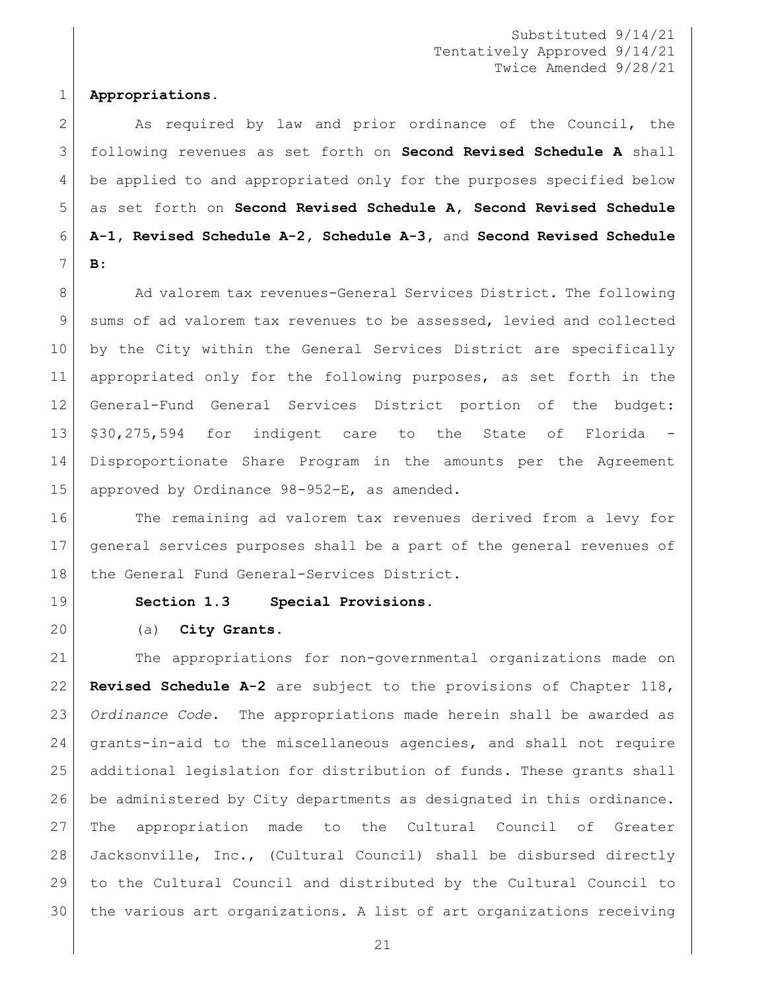#### **Appropriations.**

2 As required by law and prior ordinance of the Council, the following revenues as set forth on **Second Revised Schedule A** shall be applied to and appropriated only for the purposes specified below as set forth on **Second Revised Schedule A, Second Revised Schedule A-1, Revised Schedule A-2, Schedule A-3,** and **Second Revised Schedule B**:

8 Ad valorem tax revenues-General Services District. The following 9 sums of ad valorem tax revenues to be assessed, levied and collected by the City within the General Services District are specifically appropriated only for the following purposes, as set forth in the General-Fund General Services District portion of the budget: 13 \$30,275,594 for indigent care to the State of Florida Disproportionate Share Program in the amounts per the Agreement approved by Ordinance 98-952-E, as amended.

16 The remaining ad valorem tax revenues derived from a levy for general services purposes shall be a part of the general revenues of 18 the General Fund General-Services District.

<span id="page-20-0"></span>

**Section 1.3 Special Provisions.**

## (a) **City Grants.**

 The appropriations for non-governmental organizations made on **Revised Schedule A-2** are subject to the provisions of Chapter 118, *Ordinance Code*. The appropriations made herein shall be awarded as grants-in-aid to the miscellaneous agencies, and shall not require additional legislation for distribution of funds. These grants shall be administered by City departments as designated in this ordinance. The appropriation made to the Cultural Council of Greater Jacksonville, Inc., (Cultural Council) shall be disbursed directly to the Cultural Council and distributed by the Cultural Council to the various art organizations. A list of art organizations receiving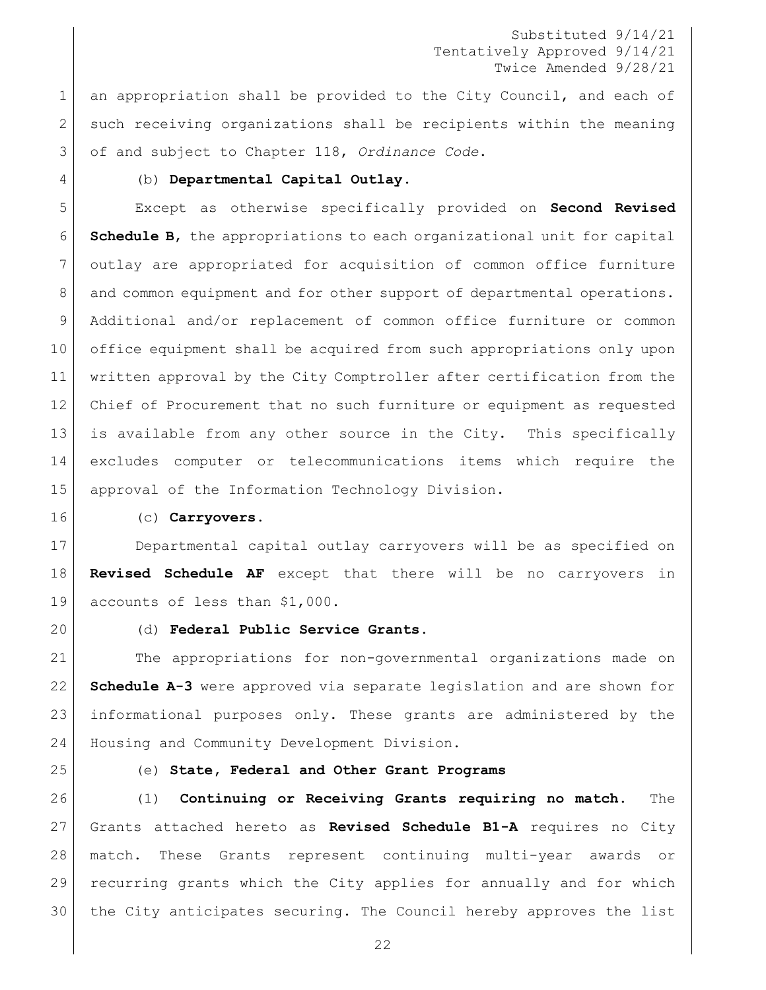1 an appropriation shall be provided to the City Council, and each of 2 such receiving organizations shall be recipients within the meaning of and subject to Chapter 118, *Ordinance Code*.

#### (b) **Departmental Capital Outlay**.

 Except as otherwise specifically provided on **Second Revised Schedule B**, the appropriations to each organizational unit for capital outlay are appropriated for acquisition of common office furniture 8 and common equipment and for other support of departmental operations. Additional and/or replacement of common office furniture or common office equipment shall be acquired from such appropriations only upon written approval by the City Comptroller after certification from the Chief of Procurement that no such furniture or equipment as requested is available from any other source in the City. This specifically excludes computer or telecommunications items which require the approval of the Information Technology Division.

#### (c) **Carryovers**.

 Departmental capital outlay carryovers will be as specified on **Revised Schedule AF** except that there will be no carryovers in accounts of less than \$1,000.

#### (d) **Federal Public Service Grants.**

 The appropriations for non-governmental organizations made on **Schedule A-3** were approved via separate legislation and are shown for informational purposes only. These grants are administered by the Housing and Community Development Division.

#### (e) **State, Federal and Other Grant Programs**

 (1) **Continuing or Receiving Grants requiring no match.** The Grants attached hereto as **Revised Schedule B1-A** requires no City match. These Grants represent continuing multi-year awards or recurring grants which the City applies for annually and for which the City anticipates securing. The Council hereby approves the list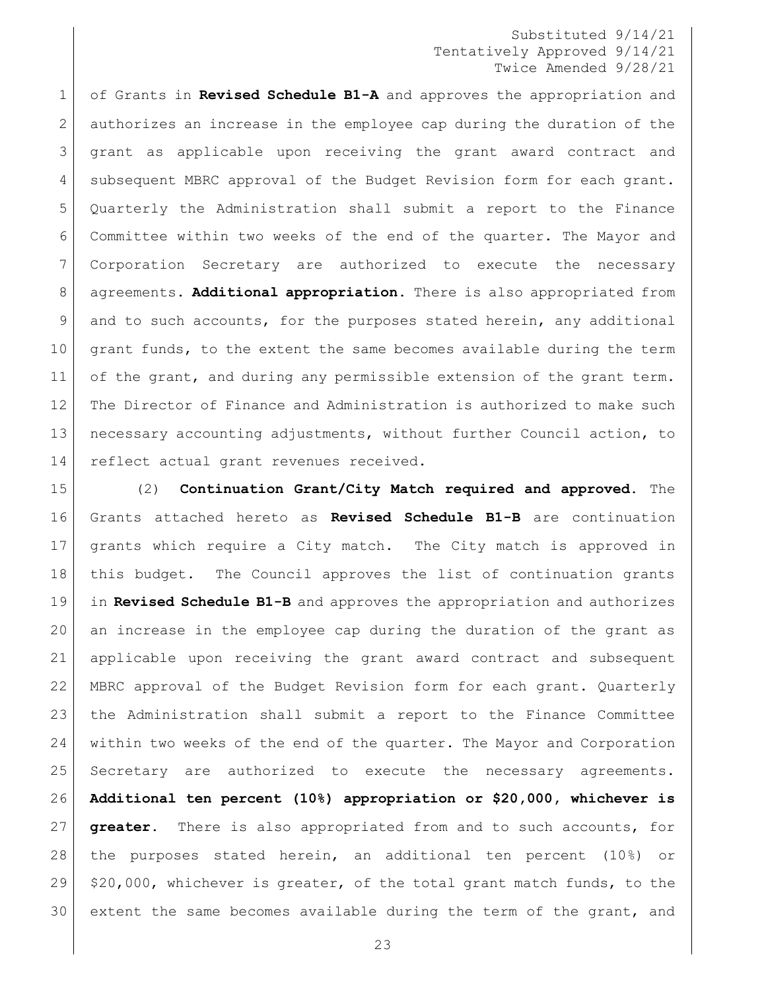of Grants in **Revised Schedule B1-A** and approves the appropriation and authorizes an increase in the employee cap during the duration of the grant as applicable upon receiving the grant award contract and 4 subsequent MBRC approval of the Budget Revision form for each grant. Quarterly the Administration shall submit a report to the Finance Committee within two weeks of the end of the quarter. The Mayor and Corporation Secretary are authorized to execute the necessary agreements. **Additional appropriation.** There is also appropriated from and to such accounts, for the purposes stated herein, any additional 10 grant funds, to the extent the same becomes available during the term 11 of the grant, and during any permissible extension of the grant term. The Director of Finance and Administration is authorized to make such necessary accounting adjustments, without further Council action, to 14 reflect actual grant revenues received.

 (2) **Continuation Grant/City Match required and approved.** The Grants attached hereto as **Revised Schedule B1-B** are continuation grants which require a City match. The City match is approved in 18 | this budget. The Council approves the list of continuation grants in **Revised Schedule B1-B** and approves the appropriation and authorizes an increase in the employee cap during the duration of the grant as applicable upon receiving the grant award contract and subsequent MBRC approval of the Budget Revision form for each grant. Quarterly the Administration shall submit a report to the Finance Committee within two weeks of the end of the quarter. The Mayor and Corporation Secretary are authorized to execute the necessary agreements. **Additional ten percent (10%) appropriation or \$20,000, whichever is greater.** There is also appropriated from and to such accounts, for the purposes stated herein, an additional ten percent (10%) or  $\mid$  \$20,000, whichever is greater, of the total grant match funds, to the extent the same becomes available during the term of the grant, and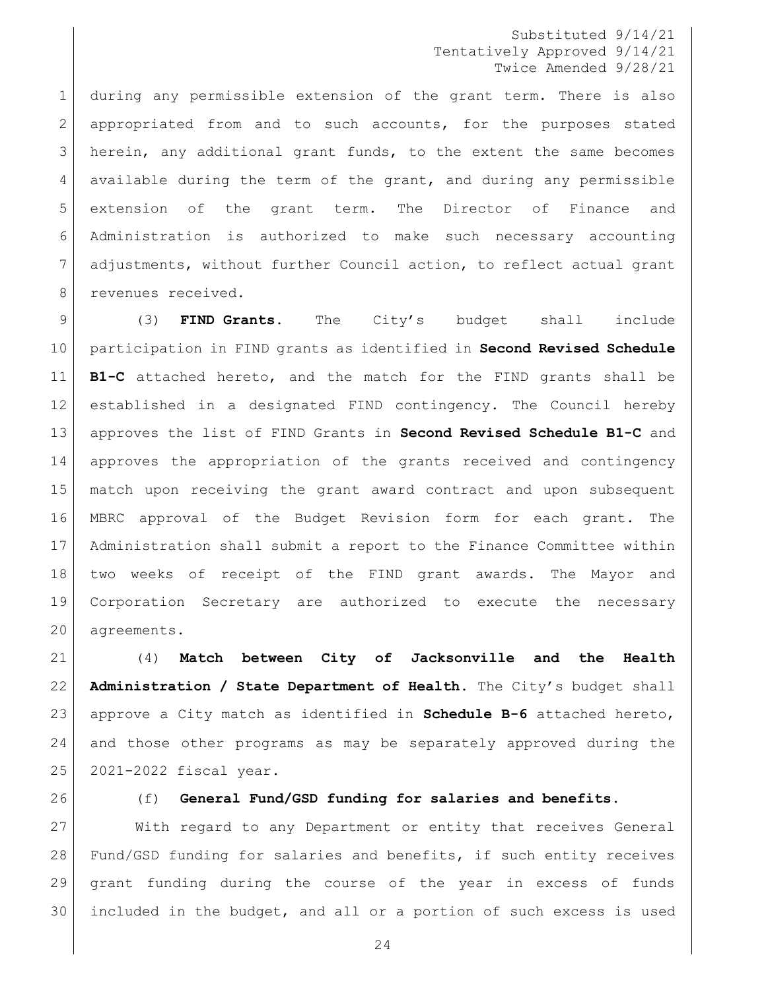during any permissible extension of the grant term. There is also appropriated from and to such accounts, for the purposes stated herein, any additional grant funds, to the extent the same becomes available during the term of the grant, and during any permissible extension of the grant term. The Director of Finance and Administration is authorized to make such necessary accounting 7 adjustments, without further Council action, to reflect actual grant 8 revenues received.

 (3) **FIND Grants.** The City's budget shall include participation in FIND grants as identified in **Second Revised Schedule B1-C** attached hereto, and the match for the FIND grants shall be established in a designated FIND contingency. The Council hereby approves the list of FIND Grants in **Second Revised Schedule B1-C** and approves the appropriation of the grants received and contingency match upon receiving the grant award contract and upon subsequent MBRC approval of the Budget Revision form for each grant. The Administration shall submit a report to the Finance Committee within two weeks of receipt of the FIND grant awards. The Mayor and Corporation Secretary are authorized to execute the necessary agreements.

 (4) **Match between City of Jacksonville and the Health Administration / State Department of Health.** The City's budget shall approve a City match as identified in **Schedule B-6** attached hereto, and those other programs as may be separately approved during the 2021-2022 fiscal year.

#### (f) **General Fund/GSD funding for salaries and benefits.**

 With regard to any Department or entity that receives General Fund/GSD funding for salaries and benefits, if such entity receives grant funding during the course of the year in excess of funds included in the budget, and all or a portion of such excess is used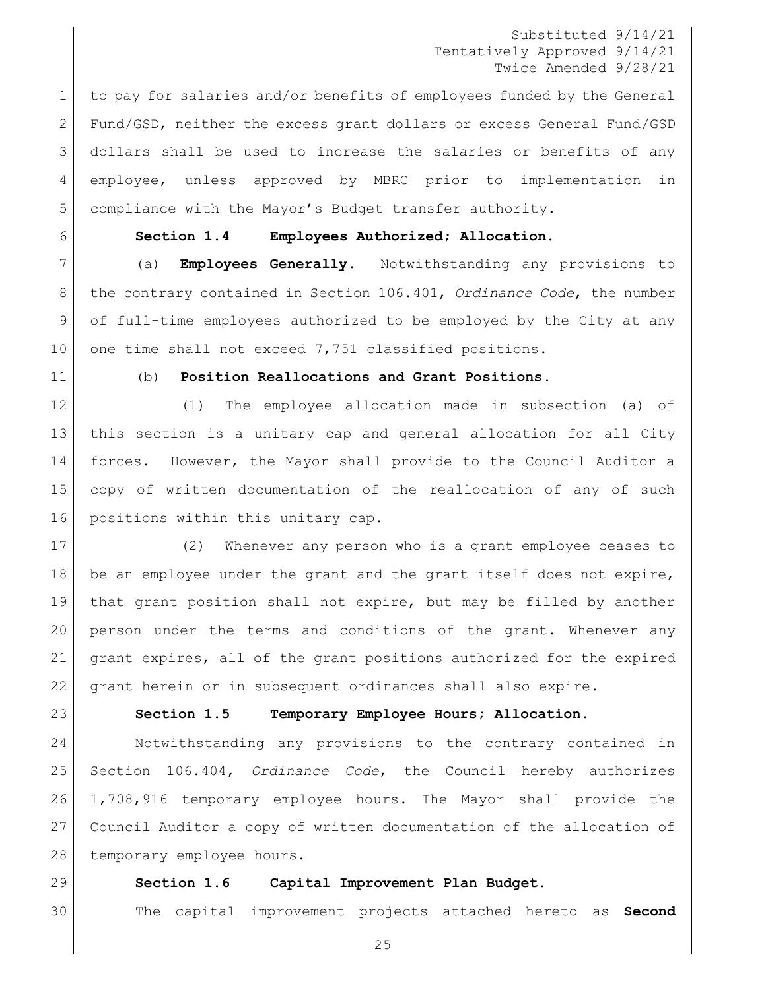1 to pay for salaries and/or benefits of employees funded by the General Fund/GSD, neither the excess grant dollars or excess General Fund/GSD dollars shall be used to increase the salaries or benefits of any employee, unless approved by MBRC prior to implementation in compliance with the Mayor's Budget transfer authority.

## <span id="page-24-0"></span>**Section 1.4 Employees Authorized; Allocation.**

 (a) **Employees Generally**. Notwithstanding any provisions to the contrary contained in Section 106.401, *Ordinance Code*, the number of full-time employees authorized to be employed by the City at any 10 one time shall not exceed 7,751 classified positions.

#### (b) **Position Reallocations and Grant Positions**.

 (1) The employee allocation made in subsection (a) of this section is a unitary cap and general allocation for all City forces. However, the Mayor shall provide to the Council Auditor a copy of written documentation of the reallocation of any of such 16 | positions within this unitary cap.

 (2) Whenever any person who is a grant employee ceases to 18 be an employee under the grant and the grant itself does not expire, that grant position shall not expire, but may be filled by another person under the terms and conditions of the grant. Whenever any grant expires, all of the grant positions authorized for the expired grant herein or in subsequent ordinances shall also expire.

<span id="page-24-1"></span>

#### **Section 1.5 Temporary Employee Hours; Allocation.**

 Notwithstanding any provisions to the contrary contained in Section 106.404, *Ordinance Code*, the Council hereby authorizes 1,708,916 temporary employee hours. The Mayor shall provide the Council Auditor a copy of written documentation of the allocation of 28 temporary employee hours.

#### <span id="page-24-2"></span>**Section 1.6 Capital Improvement Plan Budget.**

The capital improvement projects attached hereto as **Second**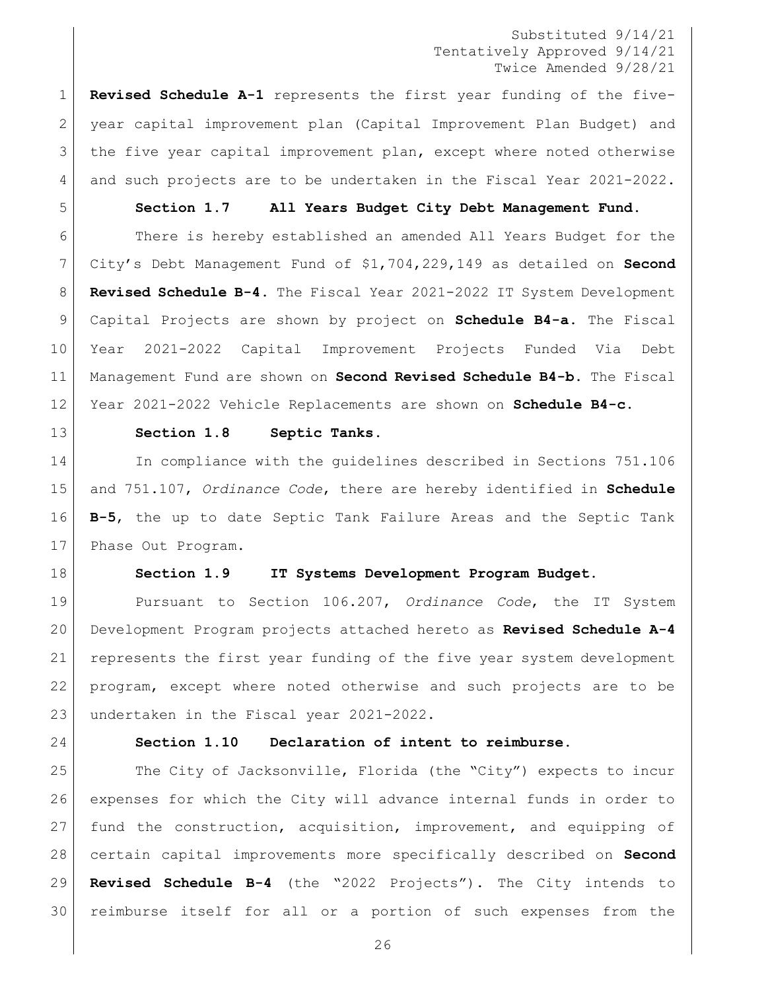**Revised Schedule A-1** represents the first year funding of the five- year capital improvement plan (Capital Improvement Plan Budget) and the five year capital improvement plan, except where noted otherwise and such projects are to be undertaken in the Fiscal Year 2021-2022.

<span id="page-25-0"></span>

#### **Section 1.7 All Years Budget City Debt Management Fund.**

 There is hereby established an amended All Years Budget for the City's Debt Management Fund of \$1,704,229,149 as detailed on **Second Revised Schedule B-4.** The Fiscal Year 2021-2022 IT System Development Capital Projects are shown by project on **Schedule B4-a.** The Fiscal Year 2021-2022 Capital Improvement Projects Funded Via Debt Management Fund are shown on **Second Revised Schedule B4-b.** The Fiscal Year 2021-2022 Vehicle Replacements are shown on **Schedule B4-c.**

<span id="page-25-1"></span>

#### **Section 1.8 Septic Tanks.**

14 In compliance with the quidelines described in Sections 751.106 and 751.107, *Ordinance Code*, there are hereby identified in **Schedule B-5**, the up to date Septic Tank Failure Areas and the Septic Tank 17 Phase Out Program.

<span id="page-25-2"></span>

#### **Section 1.9 IT Systems Development Program Budget.**

 Pursuant to Section 106.207, *Ordinance Code*, the IT System Development Program projects attached hereto as **Revised Schedule A-4** represents the first year funding of the five year system development program, except where noted otherwise and such projects are to be undertaken in the Fiscal year 2021-2022.

<span id="page-25-3"></span>

#### **Section 1.10 Declaration of intent to reimburse.**

25 The City of Jacksonville, Florida (the "City") expects to incur expenses for which the City will advance internal funds in order to fund the construction, acquisition, improvement, and equipping of certain capital improvements more specifically described on **Second Revised Schedule B-4** (the "2022 Projects"). The City intends to reimburse itself for all or a portion of such expenses from the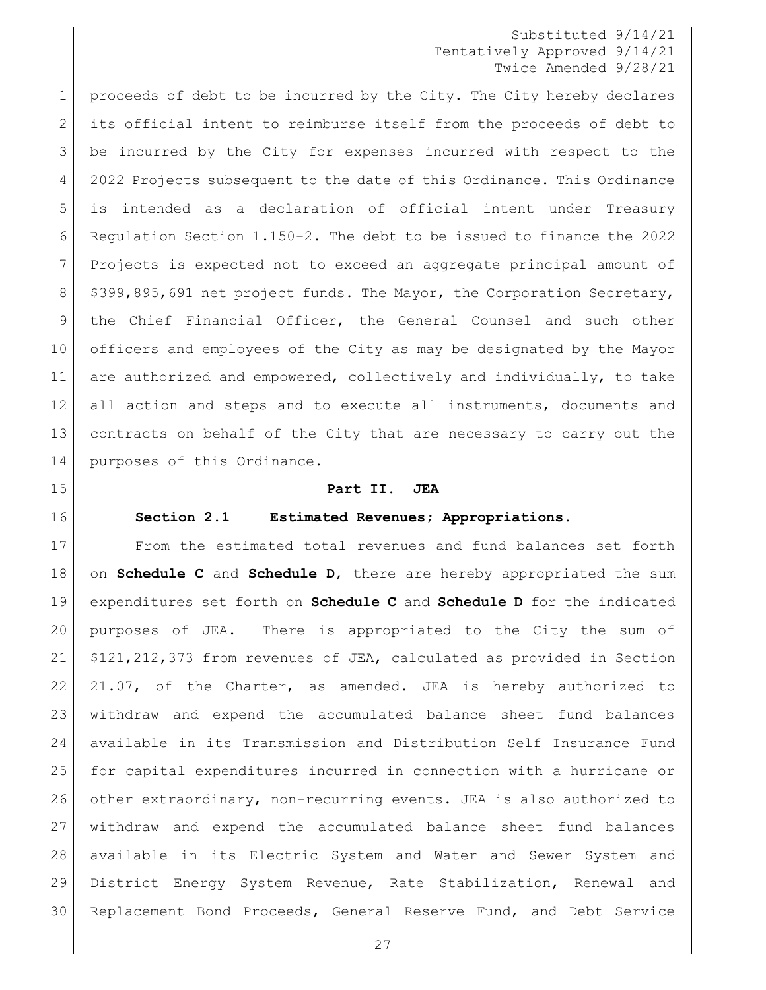1 proceeds of debt to be incurred by the City. The City hereby declares its official intent to reimburse itself from the proceeds of debt to be incurred by the City for expenses incurred with respect to the 2022 Projects subsequent to the date of this Ordinance. This Ordinance is intended as a declaration of official intent under Treasury Regulation Section 1.150-2. The debt to be issued to finance the 2022 Projects is expected not to exceed an aggregate principal amount of 8 | \$399,895,691 net project funds. The Mayor, the Corporation Secretary, the Chief Financial Officer, the General Counsel and such other officers and employees of the City as may be designated by the Mayor are authorized and empowered, collectively and individually, to take all action and steps and to execute all instruments, documents and contracts on behalf of the City that are necessary to carry out the 14 purposes of this Ordinance.

<span id="page-26-0"></span>

<span id="page-26-1"></span>

## **Part II. JEA**

#### **Section 2.1 Estimated Revenues; Appropriations.**

 From the estimated total revenues and fund balances set forth on **Schedule C** and **Schedule D**, there are hereby appropriated the sum expenditures set forth on **Schedule C** and **Schedule D** for the indicated purposes of JEA. There is appropriated to the City the sum of \$121,212,373 from revenues of JEA, calculated as provided in Section 21.07, of the Charter, as amended. JEA is hereby authorized to withdraw and expend the accumulated balance sheet fund balances available in its Transmission and Distribution Self Insurance Fund for capital expenditures incurred in connection with a hurricane or other extraordinary, non-recurring events. JEA is also authorized to withdraw and expend the accumulated balance sheet fund balances available in its Electric System and Water and Sewer System and District Energy System Revenue, Rate Stabilization, Renewal and Replacement Bond Proceeds, General Reserve Fund, and Debt Service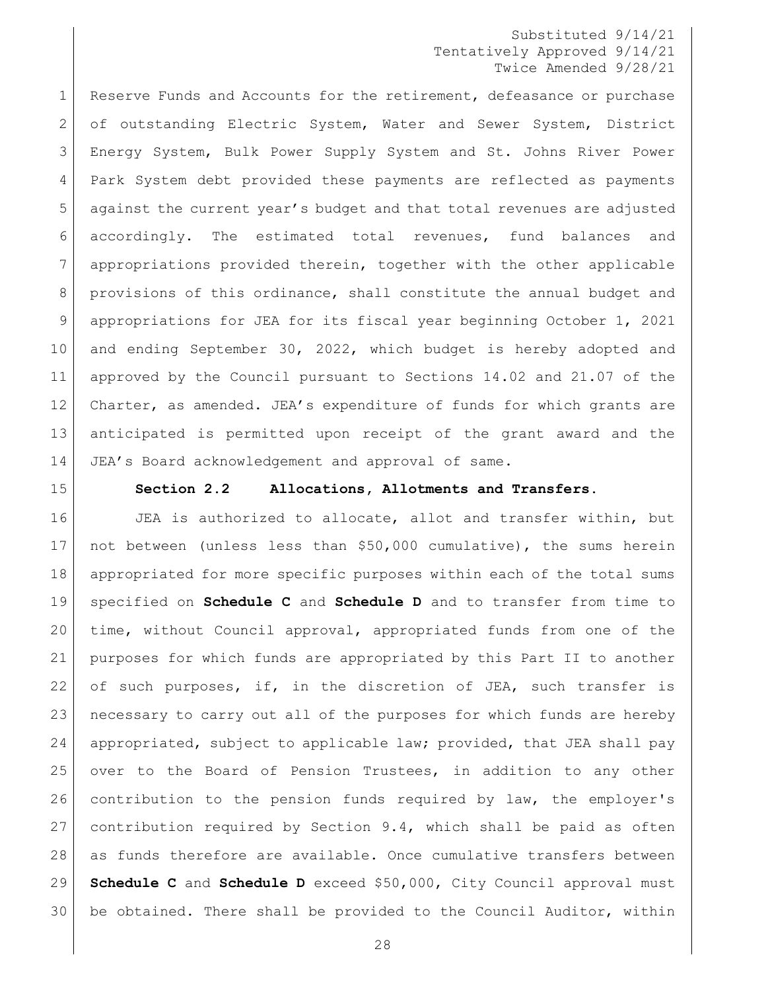1 Reserve Funds and Accounts for the retirement, defeasance or purchase of outstanding Electric System, Water and Sewer System, District Energy System, Bulk Power Supply System and St. Johns River Power 4 | Park System debt provided these payments are reflected as payments against the current year's budget and that total revenues are adjusted accordingly. The estimated total revenues, fund balances and appropriations provided therein, together with the other applicable provisions of this ordinance, shall constitute the annual budget and appropriations for JEA for its fiscal year beginning October 1, 2021 10 and ending September 30, 2022, which budget is hereby adopted and approved by the Council pursuant to Sections 14.02 and 21.07 of the Charter, as amended. JEA's expenditure of funds for which grants are anticipated is permitted upon receipt of the grant award and the JEA's Board acknowledgement and approval of same.

<span id="page-27-0"></span>

#### **Section 2.2 Allocations, Allotments and Transfers.**

**JEA** is authorized to allocate, allot and transfer within, but not between (unless less than \$50,000 cumulative), the sums herein appropriated for more specific purposes within each of the total sums specified on **Schedule C** and **Schedule D** and to transfer from time to time, without Council approval, appropriated funds from one of the purposes for which funds are appropriated by this Part II to another 22 of such purposes, if, in the discretion of JEA, such transfer is necessary to carry out all of the purposes for which funds are hereby appropriated, subject to applicable law; provided, that JEA shall pay 25 over to the Board of Pension Trustees, in addition to any other contribution to the pension funds required by law, the employer's contribution required by Section 9.4, which shall be paid as often as funds therefore are available. Once cumulative transfers between **Schedule C** and **Schedule D** exceed \$50,000, City Council approval must be obtained. There shall be provided to the Council Auditor, within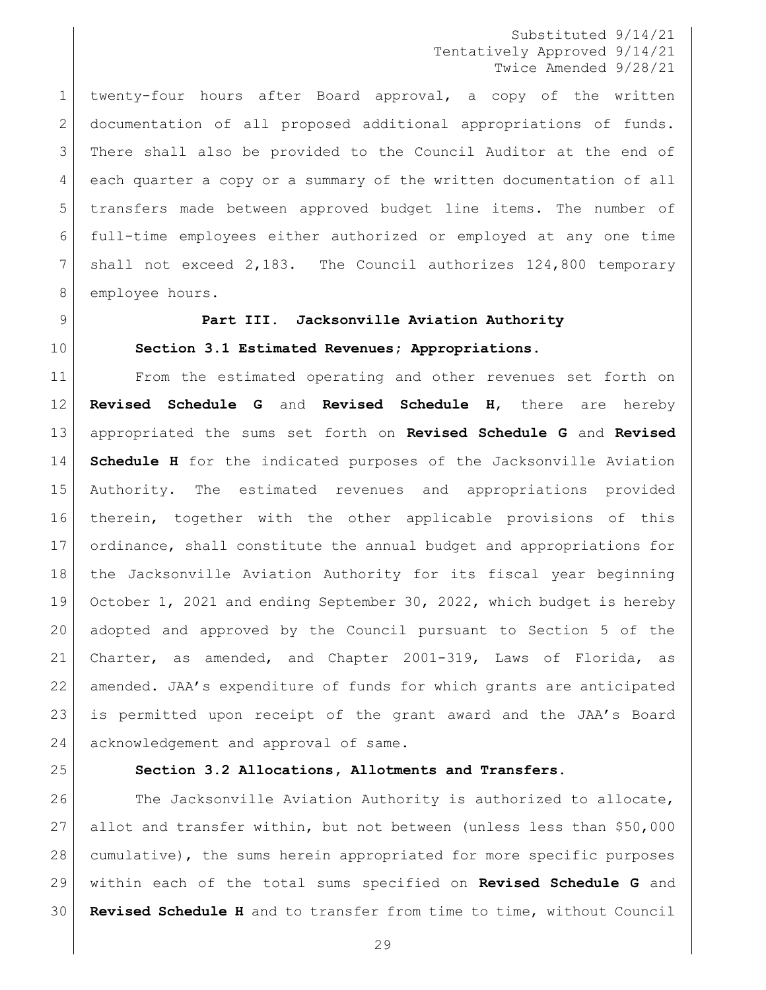twenty-four hours after Board approval, a copy of the written documentation of all proposed additional appropriations of funds. There shall also be provided to the Council Auditor at the end of each quarter a copy or a summary of the written documentation of all transfers made between approved budget line items. The number of full-time employees either authorized or employed at any one time shall not exceed 2,183. The Council authorizes 124,800 temporary 8 employee hours.

#### <span id="page-28-1"></span><span id="page-28-0"></span>**Part III. Jacksonville Aviation Authority**

#### **Section 3.1 Estimated Revenues; Appropriations.**

 From the estimated operating and other revenues set forth on **Revised Schedule G** and **Revised Schedule H**, there are hereby appropriated the sums set forth on **Revised Schedule G** and **Revised Schedule H** for the indicated purposes of the Jacksonville Aviation Authority. The estimated revenues and appropriations provided therein, together with the other applicable provisions of this ordinance, shall constitute the annual budget and appropriations for the Jacksonville Aviation Authority for its fiscal year beginning October 1, 2021 and ending September 30, 2022, which budget is hereby adopted and approved by the Council pursuant to Section 5 of the Charter, as amended, and Chapter 2001-319, Laws of Florida, as amended. JAA's expenditure of funds for which grants are anticipated is permitted upon receipt of the grant award and the JAA's Board 24 acknowledgement and approval of same.

<span id="page-28-2"></span>

## **Section 3.2 Allocations, Allotments and Transfers.**

26 The Jacksonville Aviation Authority is authorized to allocate, allot and transfer within, but not between (unless less than \$50,000 cumulative), the sums herein appropriated for more specific purposes within each of the total sums specified on **Revised Schedule G** and **Revised Schedule H** and to transfer from time to time, without Council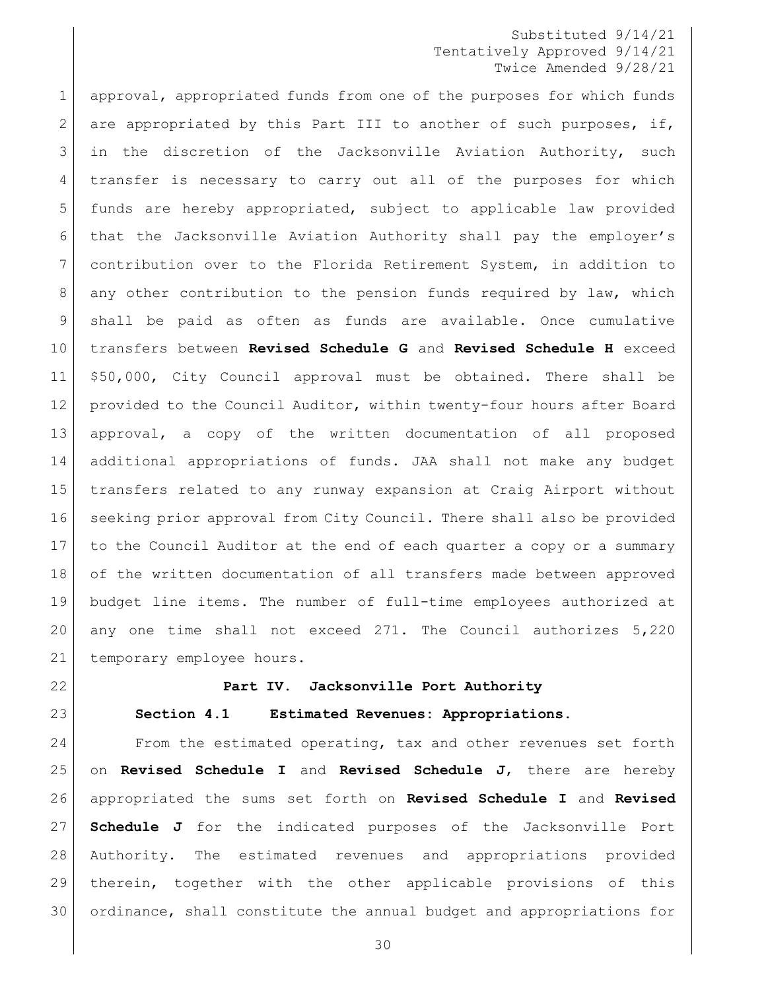approval, appropriated funds from one of the purposes for which funds 2 are appropriated by this Part III to another of such purposes, if, in the discretion of the Jacksonville Aviation Authority, such transfer is necessary to carry out all of the purposes for which funds are hereby appropriated, subject to applicable law provided that the Jacksonville Aviation Authority shall pay the employer's contribution over to the Florida Retirement System, in addition to 8 any other contribution to the pension funds required by law, which shall be paid as often as funds are available. Once cumulative transfers between **Revised Schedule G** and **Revised Schedule H** exceed \$50,000, City Council approval must be obtained. There shall be provided to the Council Auditor, within twenty-four hours after Board approval, a copy of the written documentation of all proposed additional appropriations of funds. JAA shall not make any budget transfers related to any runway expansion at Craig Airport without 16 seeking prior approval from City Council. There shall also be provided to the Council Auditor at the end of each quarter a copy or a summary of the written documentation of all transfers made between approved budget line items. The number of full-time employees authorized at any one time shall not exceed 271. The Council authorizes 5,220 21 temporary employee hours.

<span id="page-29-0"></span>

<span id="page-29-1"></span>

#### **Part IV. Jacksonville Port Authority**

#### **Section 4.1 Estimated Revenues: Appropriations.**

24 From the estimated operating, tax and other revenues set forth on **Revised Schedule I** and **Revised Schedule J**, there are hereby appropriated the sums set forth on **Revised Schedule I** and **Revised Schedule J** for the indicated purposes of the Jacksonville Port Authority. The estimated revenues and appropriations provided therein, together with the other applicable provisions of this ordinance, shall constitute the annual budget and appropriations for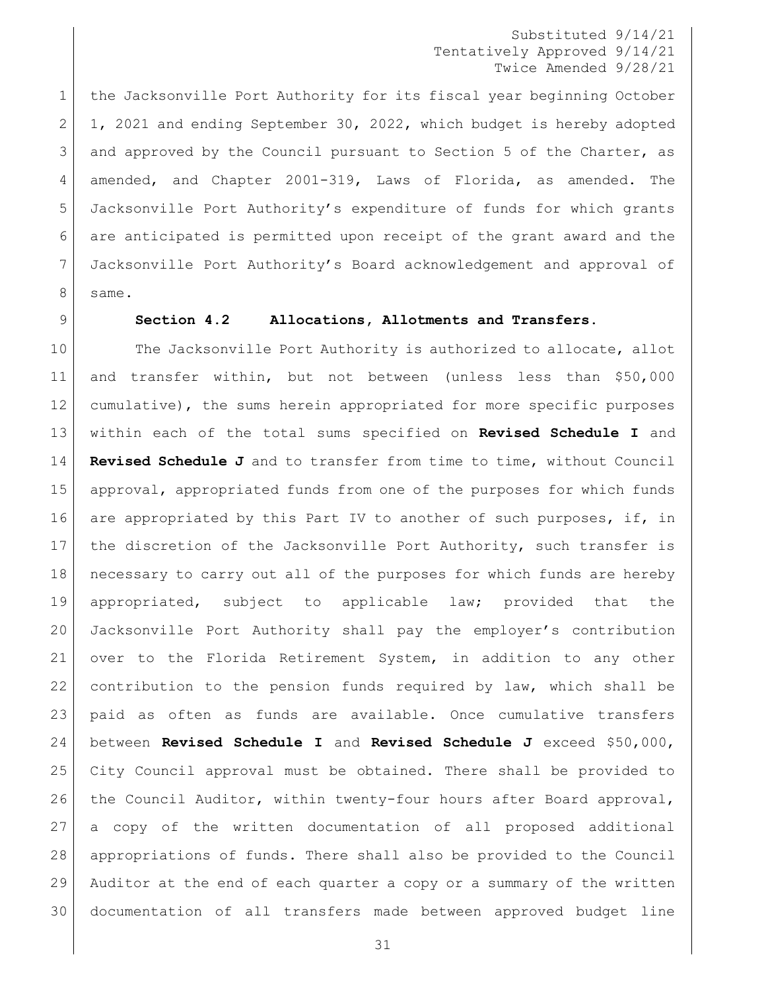the Jacksonville Port Authority for its fiscal year beginning October 2 1, 2021 and ending September 30, 2022, which budget is hereby adopted 3 and approved by the Council pursuant to Section 5 of the Charter, as amended, and Chapter 2001-319, Laws of Florida, as amended. The Jacksonville Port Authority's expenditure of funds for which grants 6 are anticipated is permitted upon receipt of the grant award and the Jacksonville Port Authority's Board acknowledgement and approval of 8 same.

#### <span id="page-30-0"></span>**Section 4.2 Allocations, Allotments and Transfers.**

10 The Jacksonville Port Authority is authorized to allocate, allot and transfer within, but not between (unless less than \$50,000 cumulative), the sums herein appropriated for more specific purposes within each of the total sums specified on **Revised Schedule I** and **Revised Schedule J** and to transfer from time to time, without Council approval, appropriated funds from one of the purposes for which funds 16 are appropriated by this Part IV to another of such purposes, if, in 17 the discretion of the Jacksonville Port Authority, such transfer is necessary to carry out all of the purposes for which funds are hereby appropriated, subject to applicable law; provided that the Jacksonville Port Authority shall pay the employer's contribution over to the Florida Retirement System, in addition to any other contribution to the pension funds required by law, which shall be paid as often as funds are available. Once cumulative transfers between **Revised Schedule I** and **Revised Schedule J** exceed \$50,000, City Council approval must be obtained. There shall be provided to 26 the Council Auditor, within twenty-four hours after Board approval, a copy of the written documentation of all proposed additional appropriations of funds. There shall also be provided to the Council Auditor at the end of each quarter a copy or a summary of the written documentation of all transfers made between approved budget line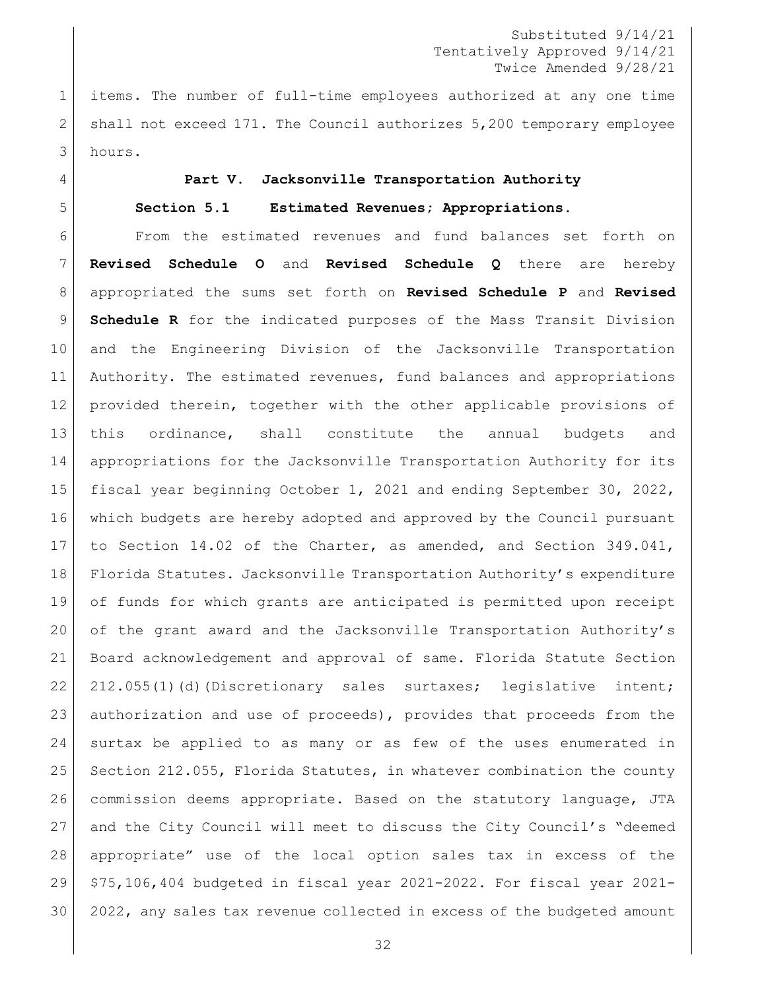items. The number of full-time employees authorized at any one time shall not exceed 171. The Council authorizes 5,200 temporary employee hours.

#### <span id="page-31-1"></span><span id="page-31-0"></span>**Part V. Jacksonville Transportation Authority**

**Section 5.1 Estimated Revenues; Appropriations.**

 From the estimated revenues and fund balances set forth on **Revised Schedule O** and **Revised Schedule Q** there are hereby appropriated the sums set forth on **Revised Schedule P** and **Revised Schedule R** for the indicated purposes of the Mass Transit Division and the Engineering Division of the Jacksonville Transportation Authority. The estimated revenues, fund balances and appropriations provided therein, together with the other applicable provisions of this ordinance, shall constitute the annual budgets and appropriations for the Jacksonville Transportation Authority for its fiscal year beginning October 1, 2021 and ending September 30, 2022, which budgets are hereby adopted and approved by the Council pursuant to Section 14.02 of the Charter, as amended, and Section 349.041, Florida Statutes. Jacksonville Transportation Authority's expenditure of funds for which grants are anticipated is permitted upon receipt of the grant award and the Jacksonville Transportation Authority's Board acknowledgement and approval of same. Florida Statute Section 22 212.055(1)(d)(Discretionary sales surtaxes; legislative intent; authorization and use of proceeds), provides that proceeds from the surtax be applied to as many or as few of the uses enumerated in 25 Section 212.055, Florida Statutes, in whatever combination the county commission deems appropriate. Based on the statutory language, JTA and the City Council will meet to discuss the City Council's "deemed appropriate" use of the local option sales tax in excess of the \$75,106,404 budgeted in fiscal year 2021-2022. For fiscal year 2021- 2022, any sales tax revenue collected in excess of the budgeted amount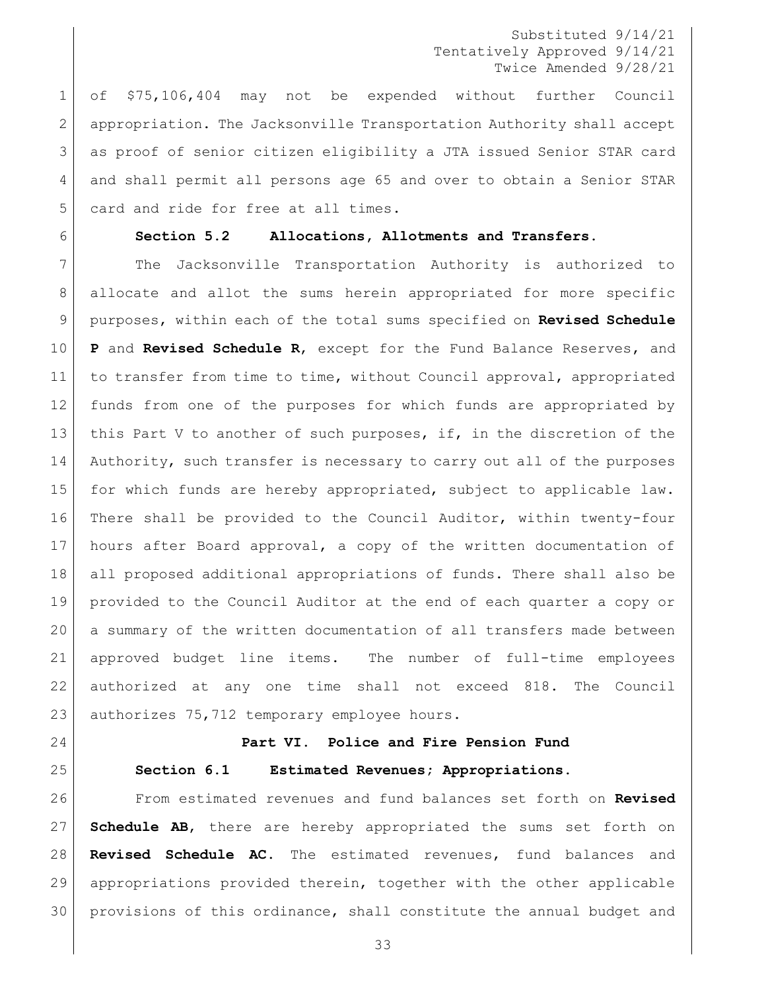of \$75,106,404 may not be expended without further Council appropriation. The Jacksonville Transportation Authority shall accept as proof of senior citizen eligibility a JTA issued Senior STAR card and shall permit all persons age 65 and over to obtain a Senior STAR 5 card and ride for free at all times.

<span id="page-32-0"></span>

## **Section 5.2 Allocations, Allotments and Transfers.**

 The Jacksonville Transportation Authority is authorized to 8 | allocate and allot the sums herein appropriated for more specific purposes, within each of the total sums specified on **Revised Schedule P** and **Revised Schedule R**, except for the Fund Balance Reserves, and to transfer from time to time, without Council approval, appropriated funds from one of the purposes for which funds are appropriated by 13 this Part V to another of such purposes, if, in the discretion of the 14 | Authority, such transfer is necessary to carry out all of the purposes for which funds are hereby appropriated, subject to applicable law. There shall be provided to the Council Auditor, within twenty-four hours after Board approval, a copy of the written documentation of all proposed additional appropriations of funds. There shall also be provided to the Council Auditor at the end of each quarter a copy or a summary of the written documentation of all transfers made between approved budget line items. The number of full-time employees authorized at any one time shall not exceed 818. The Council 23 authorizes 75,712 temporary employee hours.

<span id="page-32-2"></span><span id="page-32-1"></span>

# **Part VI. Police and Fire Pension Fund Section 6.1 Estimated Revenues; Appropriations.**

 From estimated revenues and fund balances set forth on **Revised Schedule AB**, there are hereby appropriated the sums set forth on **Revised Schedule AC**. The estimated revenues, fund balances and appropriations provided therein, together with the other applicable provisions of this ordinance, shall constitute the annual budget and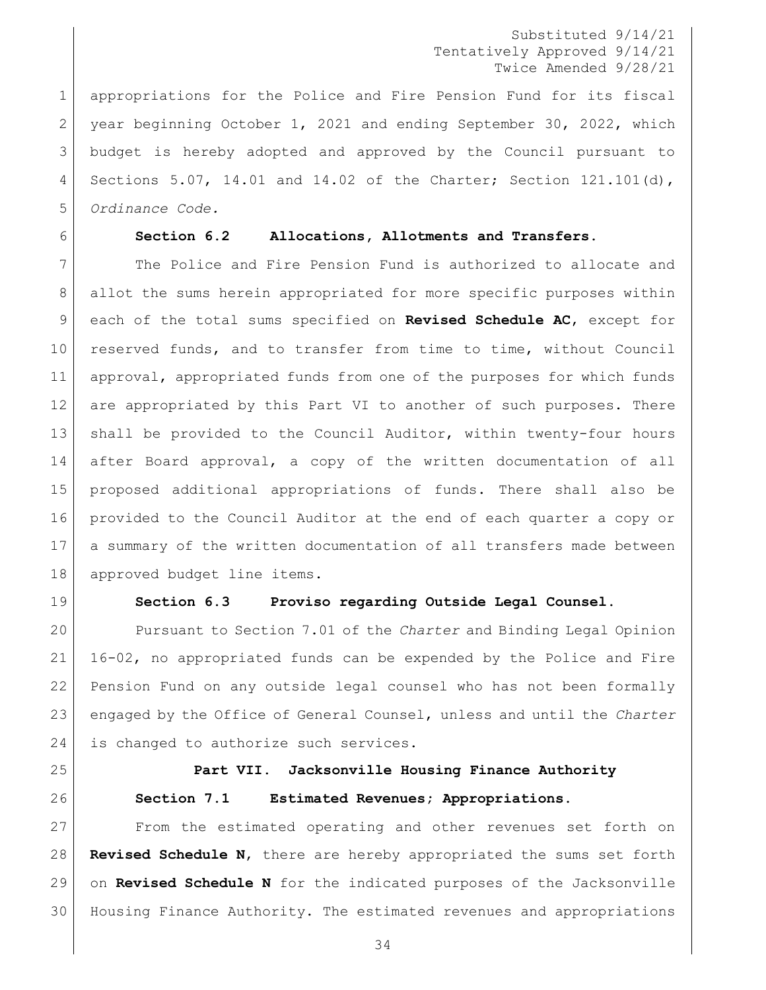appropriations for the Police and Fire Pension Fund for its fiscal 2 year beginning October 1, 2021 and ending September 30, 2022, which budget is hereby adopted and approved by the Council pursuant to Sections 5.07, 14.01 and 14.02 of the Charter; Section 121.101(d), *Ordinance Code.*

#### <span id="page-33-0"></span>**Section 6.2 Allocations, Allotments and Transfers.**

 The Police and Fire Pension Fund is authorized to allocate and allot the sums herein appropriated for more specific purposes within each of the total sums specified on **Revised Schedule AC**, except for reserved funds, and to transfer from time to time, without Council approval, appropriated funds from one of the purposes for which funds 12 are appropriated by this Part VI to another of such purposes. There shall be provided to the Council Auditor, within twenty-four hours after Board approval, a copy of the written documentation of all proposed additional appropriations of funds. There shall also be provided to the Council Auditor at the end of each quarter a copy or a summary of the written documentation of all transfers made between approved budget line items.

<span id="page-33-1"></span>

#### **Section 6.3 Proviso regarding Outside Legal Counsel.**

 Pursuant to Section 7.01 of the *Charter* and Binding Legal Opinion 16-02, no appropriated funds can be expended by the Police and Fire Pension Fund on any outside legal counsel who has not been formally engaged by the Office of General Counsel, unless and until the *Charter* 24 is changed to authorize such services.

<span id="page-33-2"></span>

<span id="page-33-3"></span>

# **Part VII. Jacksonville Housing Finance Authority Section 7.1 Estimated Revenues; Appropriations.**

 From the estimated operating and other revenues set forth on **Revised Schedule N**, there are hereby appropriated the sums set forth on **Revised Schedule N** for the indicated purposes of the Jacksonville Housing Finance Authority. The estimated revenues and appropriations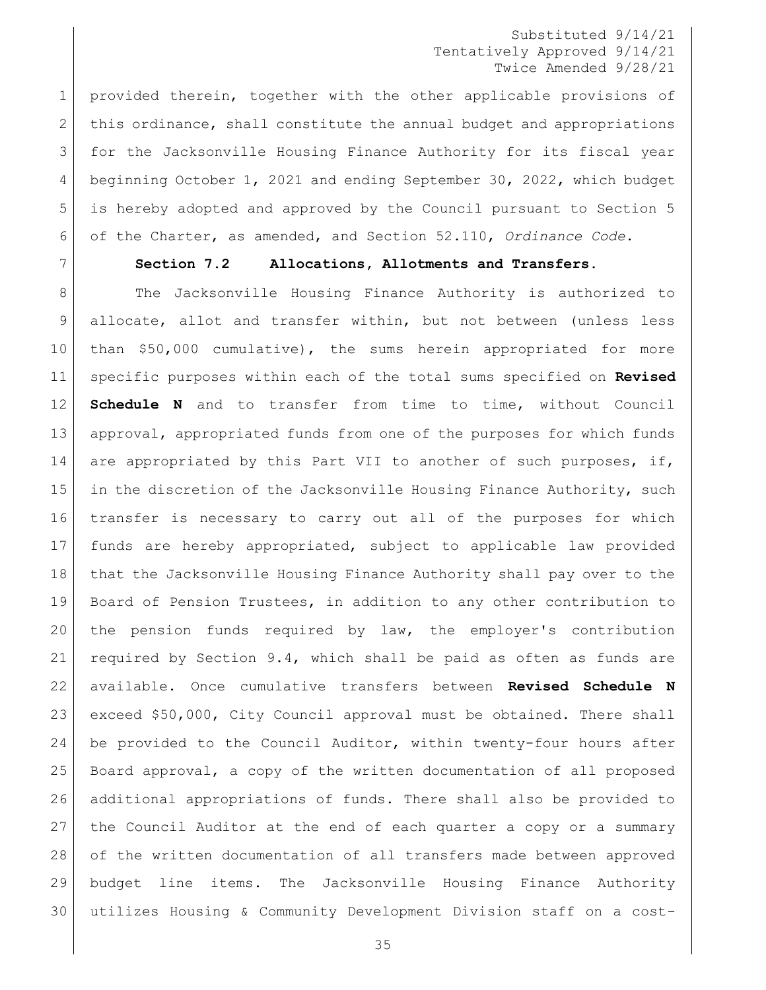provided therein, together with the other applicable provisions of 2 this ordinance, shall constitute the annual budget and appropriations for the Jacksonville Housing Finance Authority for its fiscal year beginning October 1, 2021 and ending September 30, 2022, which budget is hereby adopted and approved by the Council pursuant to Section 5 of the Charter, as amended, and Section 52.110, *Ordinance Code*.

<span id="page-34-0"></span>

## **Section 7.2 Allocations, Allotments and Transfers.**

8 The Jacksonville Housing Finance Authority is authorized to allocate, allot and transfer within, but not between (unless less 10 | than \$50,000 cumulative), the sums herein appropriated for more specific purposes within each of the total sums specified on **Revised Schedule N** and to transfer from time to time, without Council approval, appropriated funds from one of the purposes for which funds 14 are appropriated by this Part VII to another of such purposes, if, 15 in the discretion of the Jacksonville Housing Finance Authority, such transfer is necessary to carry out all of the purposes for which funds are hereby appropriated, subject to applicable law provided that the Jacksonville Housing Finance Authority shall pay over to the Board of Pension Trustees, in addition to any other contribution to the pension funds required by law, the employer's contribution required by Section 9.4, which shall be paid as often as funds are available. Once cumulative transfers between **Revised Schedule N** exceed \$50,000, City Council approval must be obtained. There shall be provided to the Council Auditor, within twenty-four hours after Board approval, a copy of the written documentation of all proposed additional appropriations of funds. There shall also be provided to the Council Auditor at the end of each quarter a copy or a summary of the written documentation of all transfers made between approved budget line items. The Jacksonville Housing Finance Authority utilizes Housing & Community Development Division staff on a cost-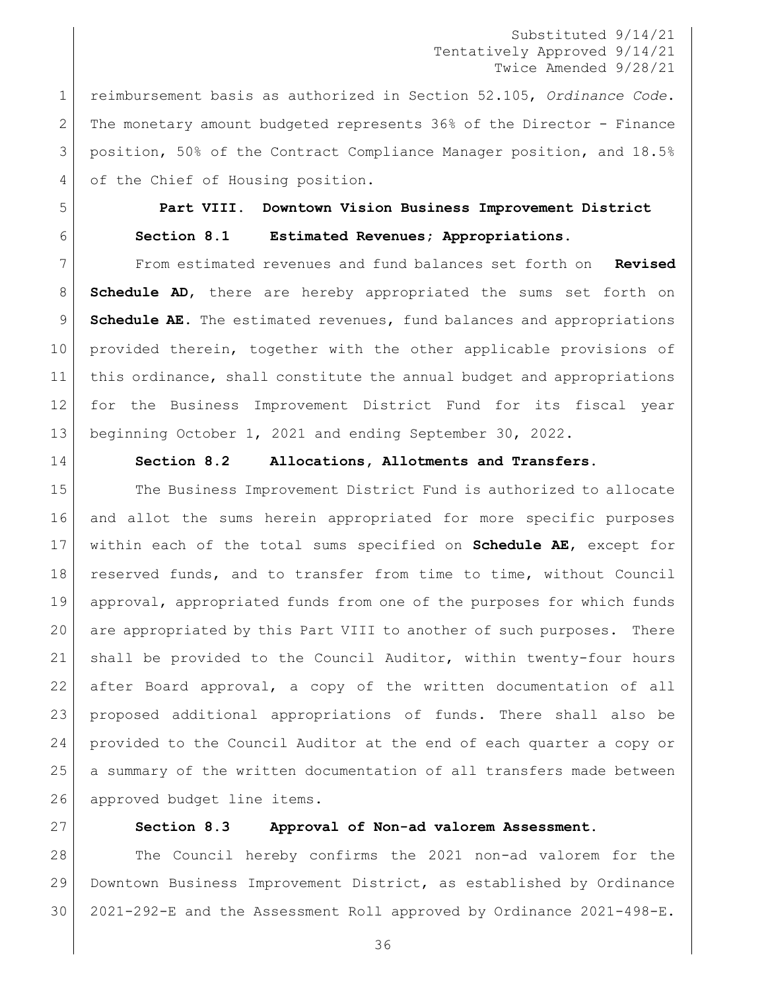reimbursement basis as authorized in Section 52.105, *Ordinance Code*. The monetary amount budgeted represents 36% of the Director - Finance position, 50% of the Contract Compliance Manager position, and 18.5% 4 of the Chief of Housing position.

# <span id="page-35-1"></span><span id="page-35-0"></span> **Part VIII. Downtown Vision Business Improvement District Section 8.1 Estimated Revenues; Appropriations.**

 From estimated revenues and fund balances set forth on **Revised Schedule AD**, there are hereby appropriated the sums set forth on **Schedule AE**. The estimated revenues, fund balances and appropriations 10 provided therein, together with the other applicable provisions of this ordinance, shall constitute the annual budget and appropriations for the Business Improvement District Fund for its fiscal year beginning October 1, 2021 and ending September 30, 2022.

<span id="page-35-2"></span>

## **Section 8.2 Allocations, Allotments and Transfers.**

15 The Business Improvement District Fund is authorized to allocate and allot the sums herein appropriated for more specific purposes within each of the total sums specified on **Schedule AE**, except for reserved funds, and to transfer from time to time, without Council approval, appropriated funds from one of the purposes for which funds are appropriated by this Part VIII to another of such purposes. There shall be provided to the Council Auditor, within twenty-four hours after Board approval, a copy of the written documentation of all proposed additional appropriations of funds. There shall also be provided to the Council Auditor at the end of each quarter a copy or a summary of the written documentation of all transfers made between 26 approved budget line items.

<span id="page-35-3"></span>

#### **Section 8.3 Approval of Non-ad valorem Assessment.**

 The Council hereby confirms the 2021 non-ad valorem for the Downtown Business Improvement District, as established by Ordinance 2021-292-E and the Assessment Roll approved by Ordinance 2021-498-E.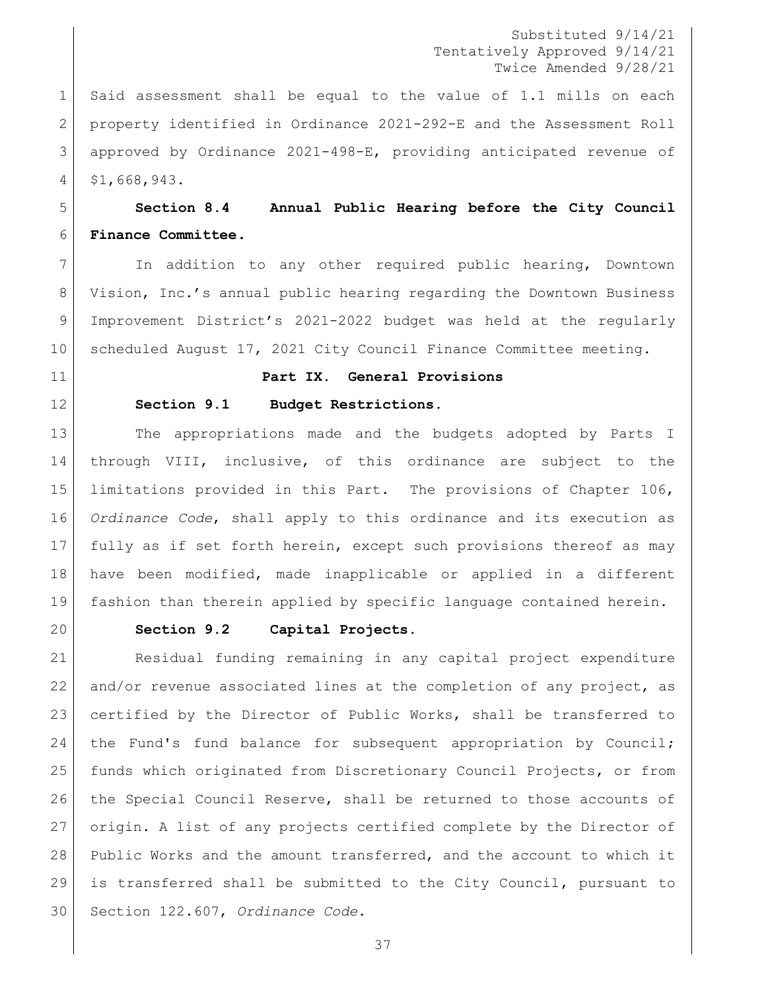Said assessment shall be equal to the value of 1.1 mills on each property identified in Ordinance 2021-292-E and the Assessment Roll approved by Ordinance 2021-498-E, providing anticipated revenue of \$1,668,943.

## **Section 8.4 Annual Public Hearing before the City Council Finance Committee.**

 In addition to any other required public hearing, Downtown Vision, Inc.'s annual public hearing regarding the Downtown Business Improvement District's 2021-2022 budget was held at the regularly scheduled August 17, 2021 City Council Finance Committee meeting.

- **Part IX. General Provisions**
- 

#### **Section 9.1 Budget Restrictions.**

13 The appropriations made and the budgets adopted by Parts I through VIII, inclusive, of this ordinance are subject to the limitations provided in this Part. The provisions of Chapter 106, *Ordinance Code*, shall apply to this ordinance and its execution as fully as if set forth herein, except such provisions thereof as may have been modified, made inapplicable or applied in a different fashion than therein applied by specific language contained herein.

#### **Section 9.2 Capital Projects.**

 Residual funding remaining in any capital project expenditure and/or revenue associated lines at the completion of any project, as certified by the Director of Public Works, shall be transferred to 24 the Fund's fund balance for subsequent appropriation by Council; funds which originated from Discretionary Council Projects, or from the Special Council Reserve, shall be returned to those accounts of origin. A list of any projects certified complete by the Director of Public Works and the amount transferred, and the account to which it is transferred shall be submitted to the City Council, pursuant to Section 122.607, *Ordinance Code*.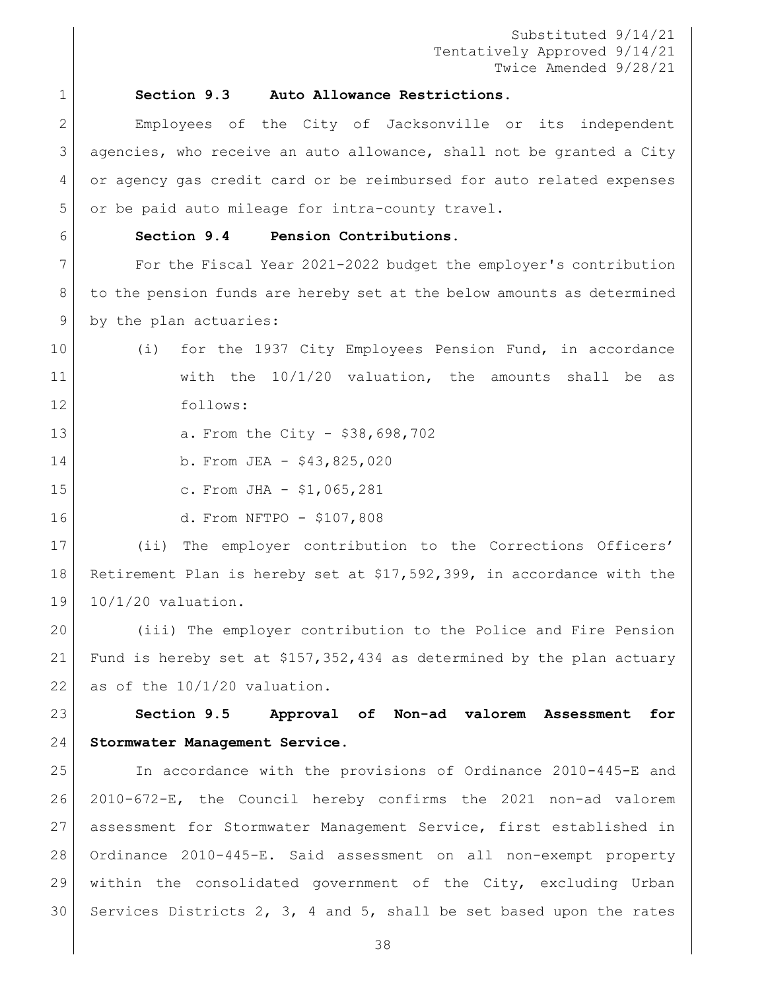#### **Section 9.3 Auto Allowance Restrictions.**

 Employees of the City of Jacksonville or its independent agencies, who receive an auto allowance, shall not be granted a City or agency gas credit card or be reimbursed for auto related expenses or be paid auto mileage for intra-county travel.

### **Section 9.4 Pension Contributions.**

 For the Fiscal Year 2021-2022 budget the employer's contribution 8 to the pension funds are hereby set at the below amounts as determined 9 by the plan actuaries:

- (i) for the 1937 City Employees Pension Fund, in accordance with the 10/1/20 valuation, the amounts shall be as follows:
- 13 a. From the City \$38,698,702
- 14 b. From JEA \$43,825,020
- 
- 
- 15 c. From JHA \$1,065,281

d. From NFTPO - \$107,808

 (ii) The employer contribution to the Corrections Officers' Retirement Plan is hereby set at \$17,592,399, in accordance with the 19 10/1/20 valuation.

 (iii) The employer contribution to the Police and Fire Pension Fund is hereby set at \$157,352,434 as determined by the plan actuary 22 as of the  $10/1/20$  valuation.

 **Section 9.5 Approval of Non-ad valorem Assessment for Stormwater Management Service.**

 In accordance with the provisions of Ordinance 2010-445-E and 2010-672-E, the Council hereby confirms the 2021 non-ad valorem assessment for Stormwater Management Service, first established in Ordinance 2010-445-E. Said assessment on all non-exempt property within the consolidated government of the City, excluding Urban 30 Services Districts 2, 3, 4 and 5, shall be set based upon the rates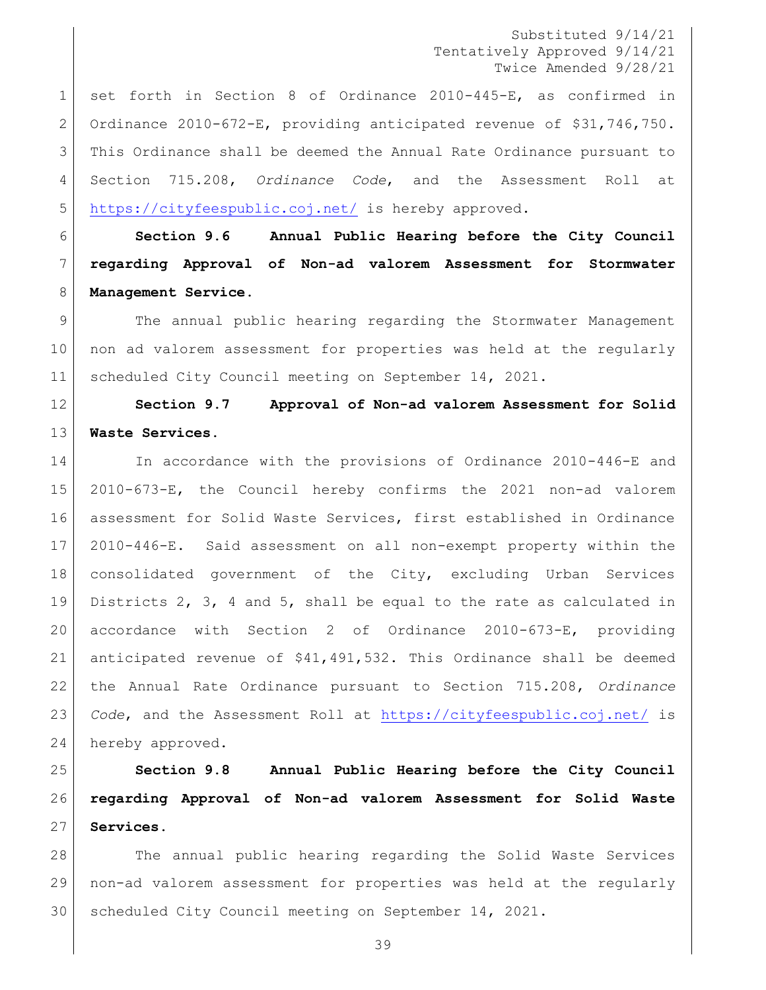set forth in Section 8 of Ordinance 2010-445-E, as confirmed in Ordinance 2010-672-E, providing anticipated revenue of \$31,746,750. This Ordinance shall be deemed the Annual Rate Ordinance pursuant to Section 715.208, *Ordinance Code*, and the Assessment Roll at <https://cityfeespublic.coj.net/> is hereby approved.

 **Section 9.6 Annual Public Hearing before the City Council regarding Approval of Non-ad valorem Assessment for Stormwater Management Service.**

 The annual public hearing regarding the Stormwater Management non ad valorem assessment for properties was held at the regularly 11 | scheduled City Council meeting on September 14, 2021.

 **Section 9.7 Approval of Non-ad valorem Assessment for Solid Waste Services.**

 In accordance with the provisions of Ordinance 2010-446-E and 2010-673-E, the Council hereby confirms the 2021 non-ad valorem assessment for Solid Waste Services, first established in Ordinance 2010-446-E. Said assessment on all non-exempt property within the consolidated government of the City, excluding Urban Services Districts 2, 3, 4 and 5, shall be equal to the rate as calculated in accordance with Section 2 of Ordinance 2010-673-E, providing anticipated revenue of \$41,491,532**.** This Ordinance shall be deemed the Annual Rate Ordinance pursuant to Section 715.208, *Ordinance Code*, and the Assessment Roll at<https://cityfeespublic.coj.net/> is 24 hereby approved.

 **Section 9.8 Annual Public Hearing before the City Council regarding Approval of Non-ad valorem Assessment for Solid Waste Services.**

 The annual public hearing regarding the Solid Waste Services non-ad valorem assessment for properties was held at the regularly scheduled City Council meeting on September 14, 2021.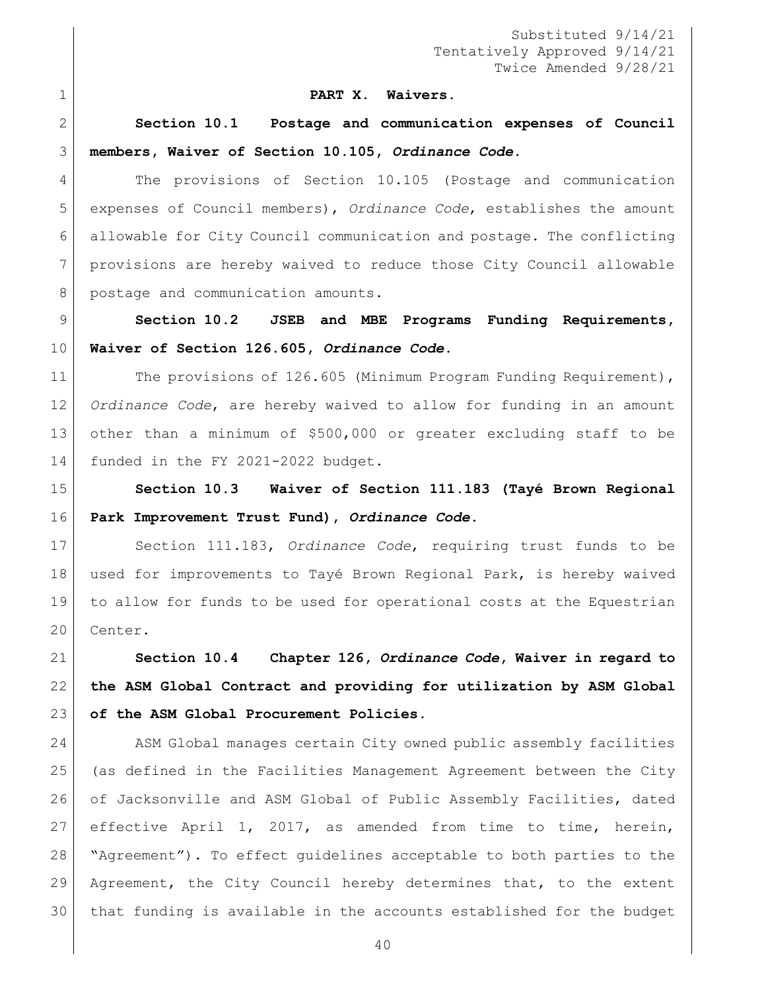#### **PART X. Waivers.**

 **Section 10.1 Postage and communication expenses of Council members, Waiver of Section 10.105,** *Ordinance Code***.**

 The provisions of Section 10.105 (Postage and communication expenses of Council members), *Ordinance Code*, establishes the amount allowable for City Council communication and postage. The conflicting provisions are hereby waived to reduce those City Council allowable 8 postage and communication amounts.

 **Section 10.2 JSEB and MBE Programs Funding Requirements, Waiver of Section 126.605,** *Ordinance Code***.**

11 The provisions of 126.605 (Minimum Program Funding Requirement), *Ordinance Code*, are hereby waived to allow for funding in an amount other than a minimum of \$500,000 or greater excluding staff to be 14 funded in the FY 2021-2022 budget.

 **Section 10.3 Waiver of Section 111.183 (Tayé Brown Regional Park Improvement Trust Fund),** *Ordinance Code***.**

 Section 111.183, *Ordinance Code*, requiring trust funds to be used for improvements to Tayé Brown Regional Park, is hereby waived to allow for funds to be used for operational costs at the Equestrian 20 Center.

 **Section 10.4 Chapter 126,** *Ordinance Code***, Waiver in regard to the ASM Global Contract and providing for utilization by ASM Global of the ASM Global Procurement Policies.** 

24 ASM Global manages certain City owned public assembly facilities (as defined in the Facilities Management Agreement between the City of Jacksonville and ASM Global of Public Assembly Facilities, dated effective April 1, 2017, as amended from time to time, herein, "Agreement"). To effect guidelines acceptable to both parties to the Agreement, the City Council hereby determines that, to the extent that funding is available in the accounts established for the budget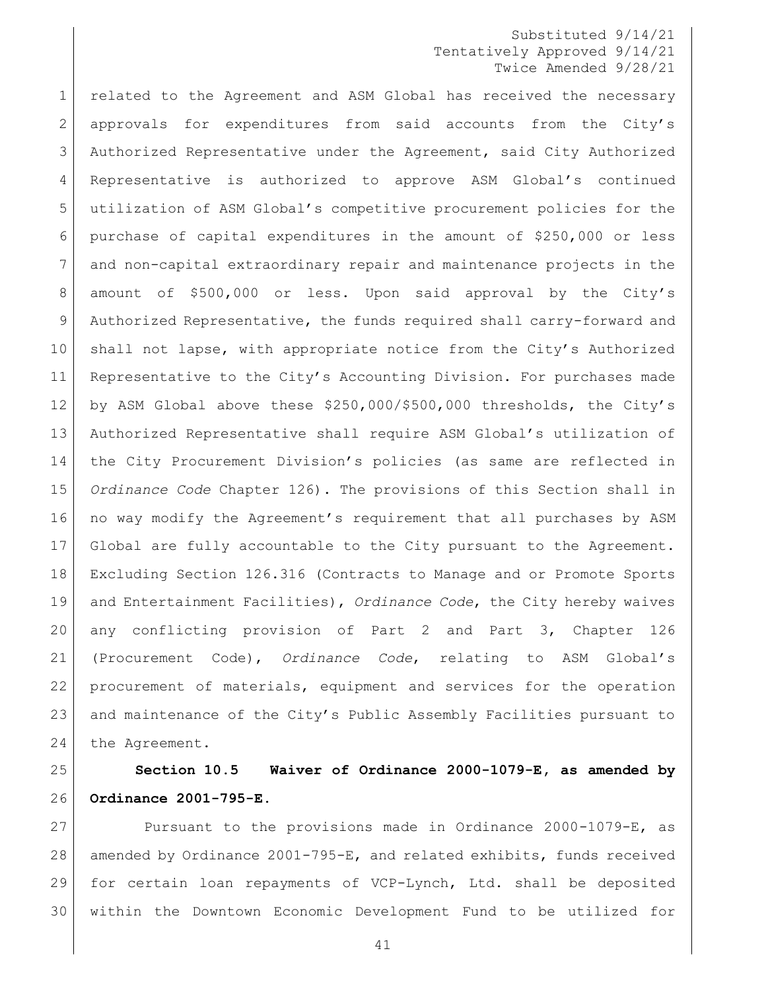related to the Agreement and ASM Global has received the necessary approvals for expenditures from said accounts from the City's Authorized Representative under the Agreement, said City Authorized Representative is authorized to approve ASM Global's continued utilization of ASM Global's competitive procurement policies for the purchase of capital expenditures in the amount of \$250,000 or less and non-capital extraordinary repair and maintenance projects in the amount of \$500,000 or less. Upon said approval by the City's Authorized Representative, the funds required shall carry-forward and 10 shall not lapse, with appropriate notice from the City's Authorized Representative to the City's Accounting Division. For purchases made by ASM Global above these \$250,000/\$500,000 thresholds, the City's Authorized Representative shall require ASM Global's utilization of the City Procurement Division's policies (as same are reflected in *Ordinance Code* Chapter 126). The provisions of this Section shall in no way modify the Agreement's requirement that all purchases by ASM Global are fully accountable to the City pursuant to the Agreement. Excluding Section 126.316 (Contracts to Manage and or Promote Sports and Entertainment Facilities), *Ordinance Code*, the City hereby waives any conflicting provision of Part 2 and Part 3, Chapter 126 (Procurement Code), *Ordinance Code*, relating to ASM Global's procurement of materials, equipment and services for the operation and maintenance of the City's Public Assembly Facilities pursuant to 24 the Agreement.

## **Section 10.5 Waiver of Ordinance 2000-1079-E, as amended by Ordinance 2001-795-E.**

 Pursuant to the provisions made in Ordinance 2000-1079-E, as amended by Ordinance 2001-795-E, and related exhibits, funds received for certain loan repayments of VCP-Lynch, Ltd. shall be deposited within the Downtown Economic Development Fund to be utilized for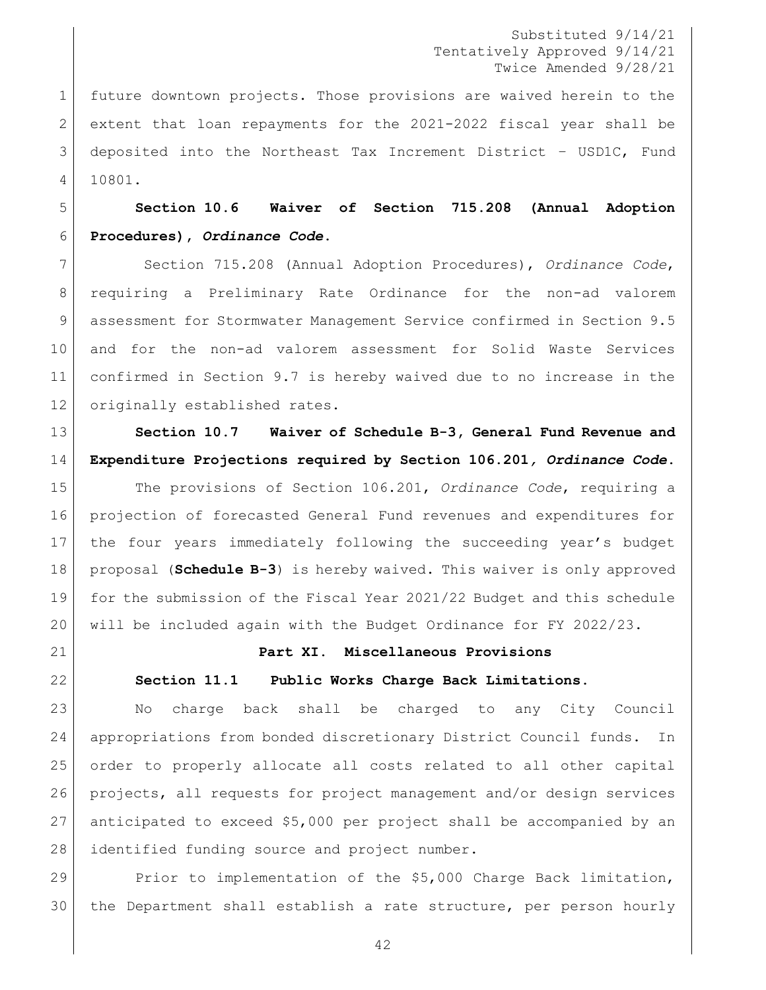future downtown projects. Those provisions are waived herein to the extent that loan repayments for the 2021-2022 fiscal year shall be deposited into the Northeast Tax Increment District – USD1C, Fund 10801.

 **Section 10.6 Waiver of Section 715.208 (Annual Adoption Procedures),** *Ordinance Code***.**

 Section 715.208 (Annual Adoption Procedures), *Ordinance Code*, requiring a Preliminary Rate Ordinance for the non-ad valorem assessment for Stormwater Management Service confirmed in Section 9.5 and for the non-ad valorem assessment for Solid Waste Services confirmed in Section 9.7 is hereby waived due to no increase in the originally established rates.

 **Section 10.7 Waiver of Schedule B-3, General Fund Revenue and Expenditure Projections required by Section 106.201***, Ordinance Code***.** 

 The provisions of Section 106.201, *Ordinance Code*, requiring a projection of forecasted General Fund revenues and expenditures for the four years immediately following the succeeding year's budget proposal (**Schedule B-3**) is hereby waived. This waiver is only approved for the submission of the Fiscal Year 2021/22 Budget and this schedule will be included again with the Budget Ordinance for FY 2022/23.

#### **Part XI. Miscellaneous Provisions**

#### **Section 11.1 Public Works Charge Back Limitations.**

23 | No charge back shall be charged to any City Council appropriations from bonded discretionary District Council funds. In order to properly allocate all costs related to all other capital projects, all requests for project management and/or design services anticipated to exceed \$5,000 per project shall be accompanied by an identified funding source and project number.

29 Prior to implementation of the \$5,000 Charge Back limitation, 30 | the Department shall establish a rate structure, per person hourly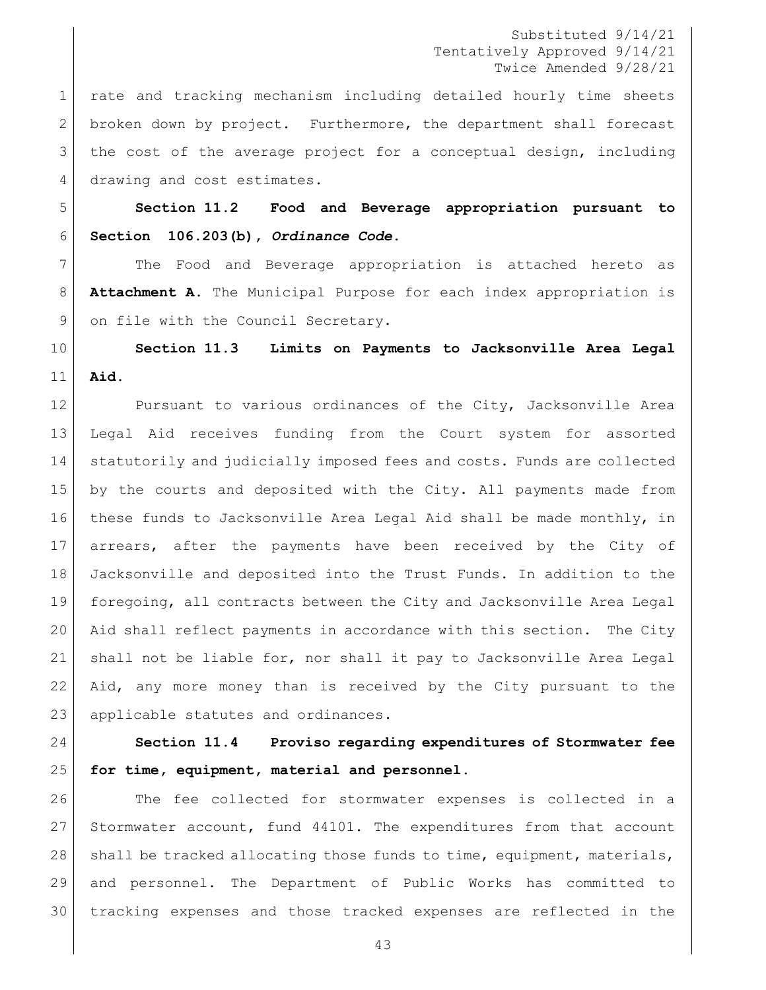rate and tracking mechanism including detailed hourly time sheets broken down by project. Furthermore, the department shall forecast 3 | the cost of the average project for a conceptual design, including 4 drawing and cost estimates.

 **Section 11.2 Food and Beverage appropriation pursuant to Section 106.203(b),** *Ordinance Code***.** 

 The Food and Beverage appropriation is attached hereto as **Attachment A**. The Municipal Purpose for each index appropriation is 9 on file with the Council Secretary.

 **Section 11.3 Limits on Payments to Jacksonville Area Legal Aid.**

12 Pursuant to various ordinances of the City, Jacksonville Area Legal Aid receives funding from the Court system for assorted 14 statutorily and judicially imposed fees and costs. Funds are collected by the courts and deposited with the City. All payments made from these funds to Jacksonville Area Legal Aid shall be made monthly, in arrears, after the payments have been received by the City of Jacksonville and deposited into the Trust Funds. In addition to the foregoing, all contracts between the City and Jacksonville Area Legal Aid shall reflect payments in accordance with this section. The City shall not be liable for, nor shall it pay to Jacksonville Area Legal Aid, any more money than is received by the City pursuant to the 23 | applicable statutes and ordinances.

 **Section 11.4 Proviso regarding expenditures of Stormwater fee for time, equipment, material and personnel.**

 The fee collected for stormwater expenses is collected in a Stormwater account, fund 44101. The expenditures from that account 28 shall be tracked allocating those funds to time, equipment, materials, and personnel. The Department of Public Works has committed to tracking expenses and those tracked expenses are reflected in the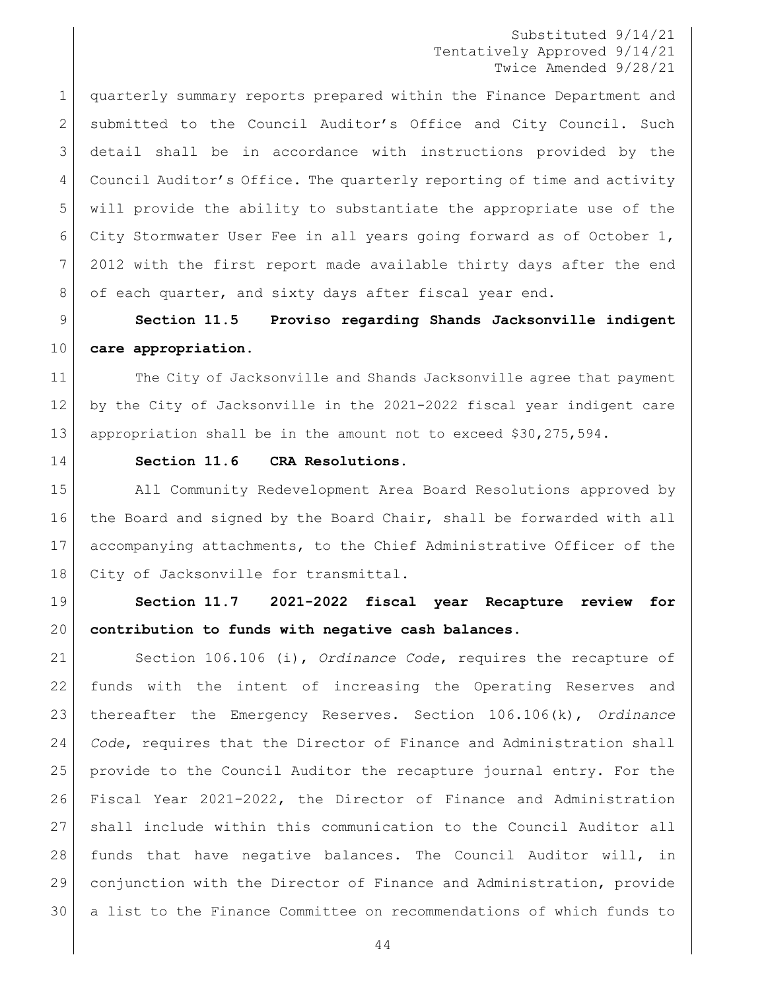quarterly summary reports prepared within the Finance Department and 2 Submitted to the Council Auditor's Office and City Council. Such detail shall be in accordance with instructions provided by the Council Auditor's Office. The quarterly reporting of time and activity will provide the ability to substantiate the appropriate use of the City Stormwater User Fee in all years going forward as of October 1, 2012 with the first report made available thirty days after the end 8 of each quarter, and sixty days after fiscal year end.

 **Section 11.5 Proviso regarding Shands Jacksonville indigent care appropriation.** 

11 The City of Jacksonville and Shands Jacksonville agree that payment by the City of Jacksonville in the 2021-2022 fiscal year indigent care appropriation shall be in the amount not to exceed \$30,275,594.

### **Section 11.6 CRA Resolutions.**

 All Community Redevelopment Area Board Resolutions approved by the Board and signed by the Board Chair, shall be forwarded with all accompanying attachments, to the Chief Administrative Officer of the 18 | City of Jacksonville for transmittal.

 **Section 11.7 2021-2022 fiscal year Recapture review for contribution to funds with negative cash balances.** 

 Section 106.106 (i), *Ordinance Code*, requires the recapture of funds with the intent of increasing the Operating Reserves and thereafter the Emergency Reserves. Section 106.106(k), *Ordinance Code*, requires that the Director of Finance and Administration shall provide to the Council Auditor the recapture journal entry. For the Fiscal Year 2021-2022, the Director of Finance and Administration shall include within this communication to the Council Auditor all funds that have negative balances. The Council Auditor will, in conjunction with the Director of Finance and Administration, provide a list to the Finance Committee on recommendations of which funds to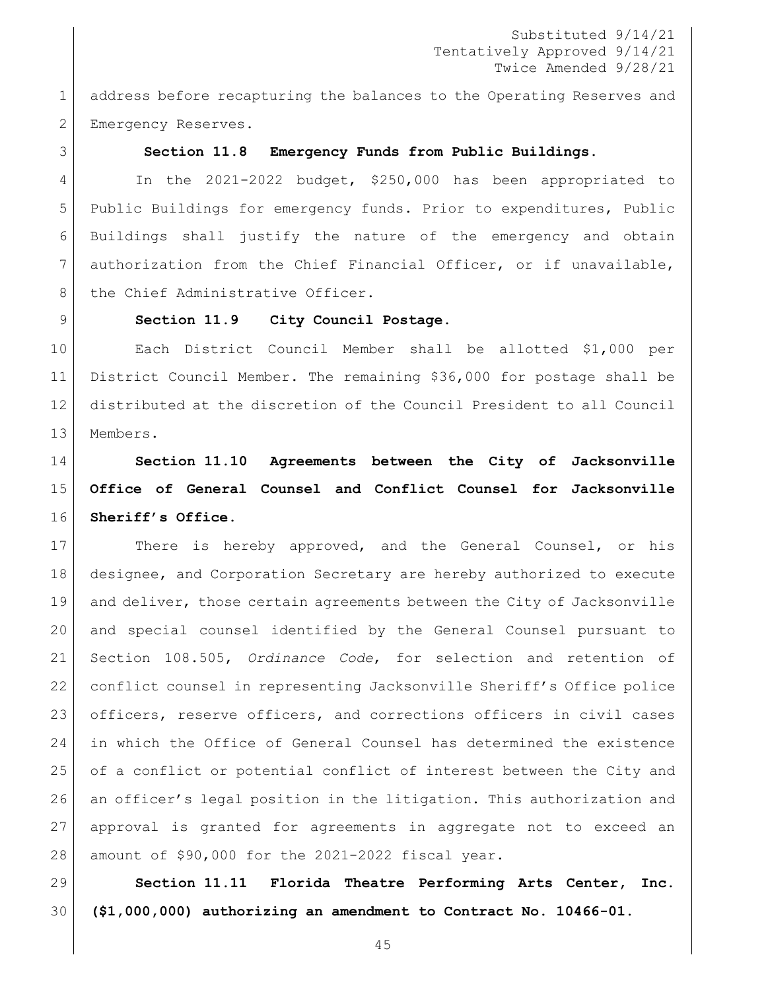1 address before recapturing the balances to the Operating Reserves and 2 | Emergency Reserves.

#### **Section 11.8 Emergency Funds from Public Buildings.**

 In the 2021-2022 budget, \$250,000 has been appropriated to Public Buildings for emergency funds. Prior to expenditures, Public Buildings shall justify the nature of the emergency and obtain authorization from the Chief Financial Officer, or if unavailable, 8 | the Chief Administrative Officer.

#### **Section 11.9 City Council Postage.**

 Each District Council Member shall be allotted \$1,000 per District Council Member. The remaining \$36,000 for postage shall be distributed at the discretion of the Council President to all Council Members.

# **Section 11.10 Agreements between the City of Jacksonville Office of General Counsel and Conflict Counsel for Jacksonville Sheriff's Office.**

17 There is hereby approved, and the General Counsel, or his designee, and Corporation Secretary are hereby authorized to execute and deliver, those certain agreements between the City of Jacksonville and special counsel identified by the General Counsel pursuant to Section 108.505, *Ordinance Code*, for selection and retention of conflict counsel in representing Jacksonville Sheriff's Office police officers, reserve officers, and corrections officers in civil cases in which the Office of General Counsel has determined the existence of a conflict or potential conflict of interest between the City and an officer's legal position in the litigation. This authorization and approval is granted for agreements in aggregate not to exceed an amount of \$90,000 for the 2021-2022 fiscal year.

 **Section 11.11 Florida Theatre Performing Arts Center, Inc. (\$1,000,000) authorizing an amendment to Contract No. 10466-01.**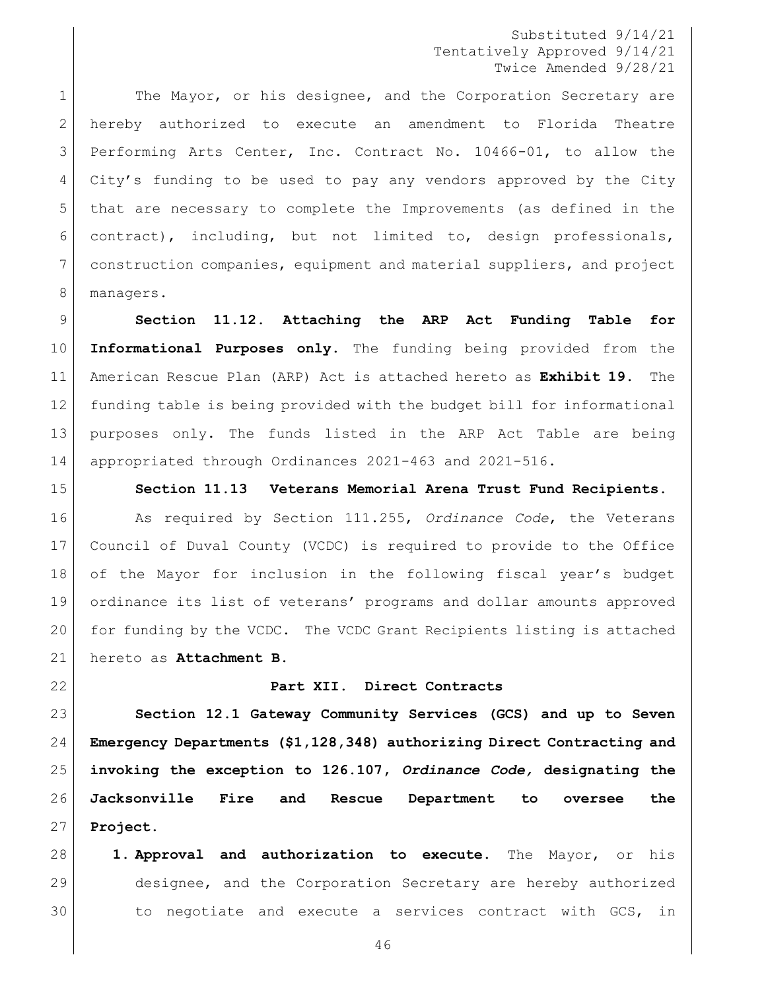1 The Mayor, or his designee, and the Corporation Secretary are hereby authorized to execute an amendment to Florida Theatre Performing Arts Center, Inc. Contract No. 10466-01, to allow the City's funding to be used to pay any vendors approved by the City that are necessary to complete the Improvements (as defined in the contract), including, but not limited to, design professionals, construction companies, equipment and material suppliers, and project 8 managers.

 **Section 11.12. Attaching the ARP Act Funding Table for Informational Purposes only.** The funding being provided from the American Rescue Plan (ARP) Act is attached hereto as **Exhibit 19.** The funding table is being provided with the budget bill for informational purposes only. The funds listed in the ARP Act Table are being appropriated through Ordinances 2021-463 and 2021-516.

#### **Section 11.13 Veterans Memorial Arena Trust Fund Recipients.**

 As required by Section 111.255, *Ordinance Code*, the Veterans Council of Duval County (VCDC) is required to provide to the Office of the Mayor for inclusion in the following fiscal year's budget ordinance its list of veterans' programs and dollar amounts approved for funding by the VCDC. The VCDC Grant Recipients listing is attached hereto as **Attachment B**.

#### **Part XII. Direct Contracts**

 **Section 12.1 Gateway Community Services (GCS) and up to Seven Emergency Departments (\$1,128,348) authorizing Direct Contracting and invoking the exception to 126.107,** *Ordinance Code,* **designating the Jacksonville Fire and Rescue Department to oversee the Project.** 

 **1. Approval and authorization to execute.** The Mayor, or his designee, and the Corporation Secretary are hereby authorized to negotiate and execute a services contract with GCS, in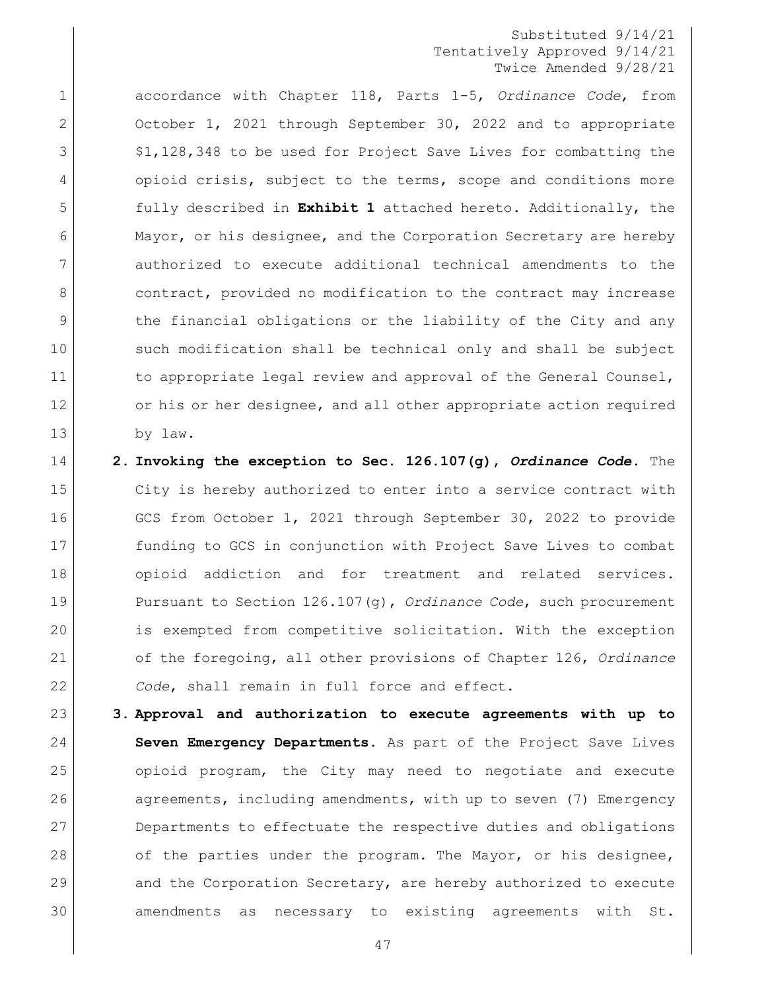1 accordance with Chapter 118, Parts 1-5, *Ordinance Code*, from 2 October 1, 2021 through September 30, 2022 and to appropriate 3  $\vert$  \$1,128,348 to be used for Project Save Lives for combatting the 4 opioid crisis, subject to the terms, scope and conditions more 5 fully described in **Exhibit 1** attached hereto. Additionally, the 6 Mayor, or his designee, and the Corporation Secretary are hereby 7 authorized to execute additional technical amendments to the 8 contract, provided no modification to the contract may increase 9 1 1 the financial obligations or the liability of the City and any 10 such modification shall be technical only and shall be subject 11 to appropriate legal review and approval of the General Counsel, 12 or his or her designee, and all other appropriate action required 13 by law.

- 14 **2. Invoking the exception to Sec. 126.107(g),** *Ordinance Code***.** The 15 City is hereby authorized to enter into a service contract with 16 GCS from October 1, 2021 through September 30, 2022 to provide 17 funding to GCS in conjunction with Project Save Lives to combat 18 opioid addiction and for treatment and related services. 19 Pursuant to Section 126.107(g), *Ordinance Code*, such procurement 20 is exempted from competitive solicitation. With the exception 21 of the foregoing, all other provisions of Chapter 126, *Ordinance*  22 *Code*, shall remain in full force and effect.
- 23 **3. Approval and authorization to execute agreements with up to**  24 **Seven Emergency Departments.** As part of the Project Save Lives 25 opioid program, the City may need to negotiate and execute 26 agreements, including amendments, with up to seven (7) Emergency 27 Departments to effectuate the respective duties and obligations 28 of the parties under the program. The Mayor, or his designee, 29 and the Corporation Secretary, are hereby authorized to execute 30 amendments as necessary to existing agreements with St.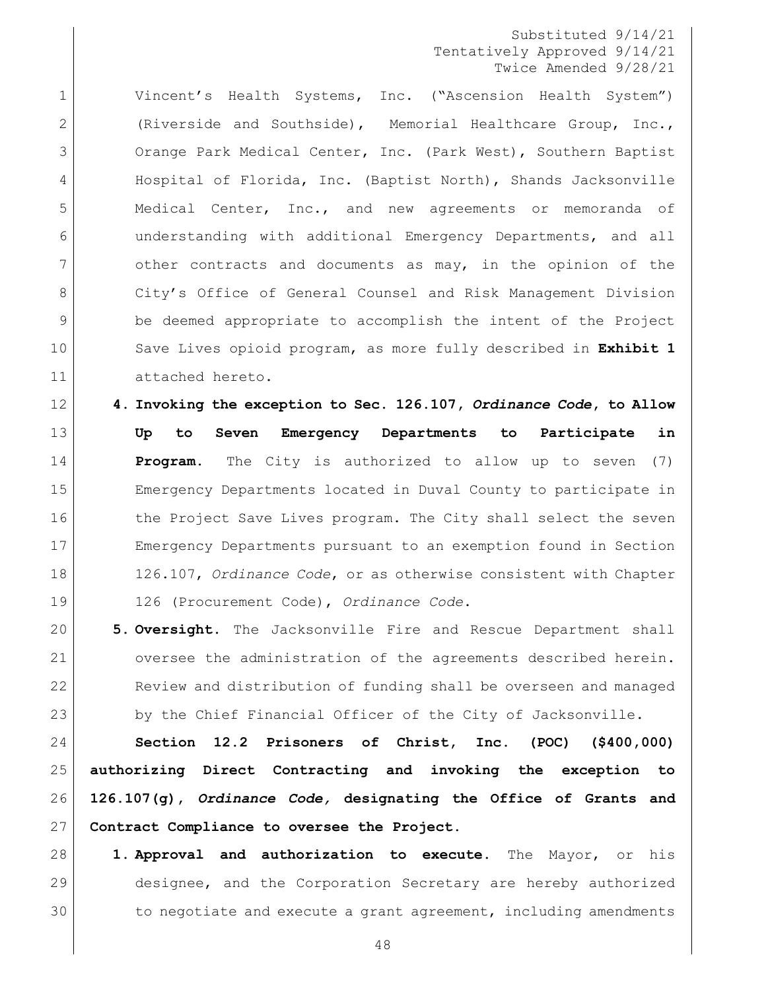Vincent's Health Systems, Inc. ("Ascension Health System") (Riverside and Southside), Memorial Healthcare Group, Inc., 3 Orange Park Medical Center, Inc. (Park West), Southern Baptist Hospital of Florida, Inc. (Baptist North), Shands Jacksonville Medical Center, Inc., and new agreements or memoranda of understanding with additional Emergency Departments, and all 7 other contracts and documents as may, in the opinion of the 8 City's Office of General Counsel and Risk Management Division be deemed appropriate to accomplish the intent of the Project Save Lives opioid program, as more fully described in **Exhibit 1** attached hereto.

- **4. Invoking the exception to Sec. 126.107,** *Ordinance Code***, to Allow Up to Seven Emergency Departments to Participate in Program.** The City is authorized to allow up to seven (7) Emergency Departments located in Duval County to participate in 16 the Project Save Lives program. The City shall select the seven Emergency Departments pursuant to an exemption found in Section 126.107, *Ordinance Code*, or as otherwise consistent with Chapter 126 (Procurement Code), *Ordinance Code*.
- **5. Oversight.** The Jacksonville Fire and Rescue Department shall oversee the administration of the agreements described herein. Review and distribution of funding shall be overseen and managed 23 by the Chief Financial Officer of the City of Jacksonville.

 **Section 12.2 Prisoners of Christ, Inc. (POC) (\$400,000) authorizing Direct Contracting and invoking the exception to 126.107(g),** *Ordinance Code,* **designating the Office of Grants and Contract Compliance to oversee the Project.** 

 **1. Approval and authorization to execute.** The Mayor, or his designee, and the Corporation Secretary are hereby authorized 30 to negotiate and execute a grant agreement, including amendments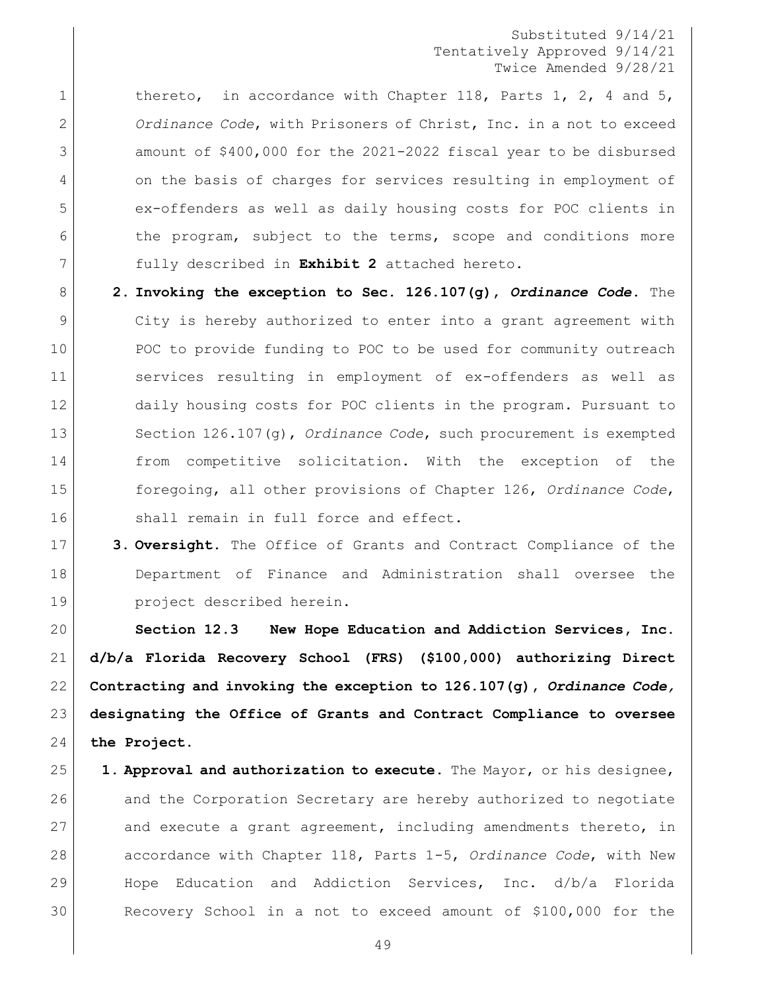1 thereto, in accordance with Chapter 118, Parts 1, 2, 4 and 5, *Ordinance Code*, with Prisoners of Christ, Inc. in a not to exceed amount of \$400,000 for the 2021-2022 fiscal year to be disbursed on the basis of charges for services resulting in employment of ex-offenders as well as daily housing costs for POC clients in 6 the program, subject to the terms, scope and conditions more fully described in **Exhibit 2** attached hereto.

- **2. Invoking the exception to Sec. 126.107(g),** *Ordinance Code***.** The City is hereby authorized to enter into a grant agreement with 10 POC to provide funding to POC to be used for community outreach services resulting in employment of ex-offenders as well as 12 daily housing costs for POC clients in the program. Pursuant to Section 126.107(g), *Ordinance Code*, such procurement is exempted from competitive solicitation. With the exception of the foregoing, all other provisions of Chapter 126, *Ordinance Code*, 16 Shall remain in full force and effect.
- **3. Oversight.** The Office of Grants and Contract Compliance of the Department of Finance and Administration shall oversee the project described herein.

 **Section 12.3 New Hope Education and Addiction Services, Inc. d/b/a Florida Recovery School (FRS) (\$100,000) authorizing Direct Contracting and invoking the exception to 126.107(g),** *Ordinance Code,*  **designating the Office of Grants and Contract Compliance to oversee the Project.** 

 **1. Approval and authorization to execute.** The Mayor, or his designee, 26 and the Corporation Secretary are hereby authorized to negotiate 27 and execute a grant agreement, including amendments thereto, in accordance with Chapter 118, Parts 1-5, *Ordinance Code*, with New Hope Education and Addiction Services, Inc. d/b/a Florida Recovery School in a not to exceed amount of \$100,000 for the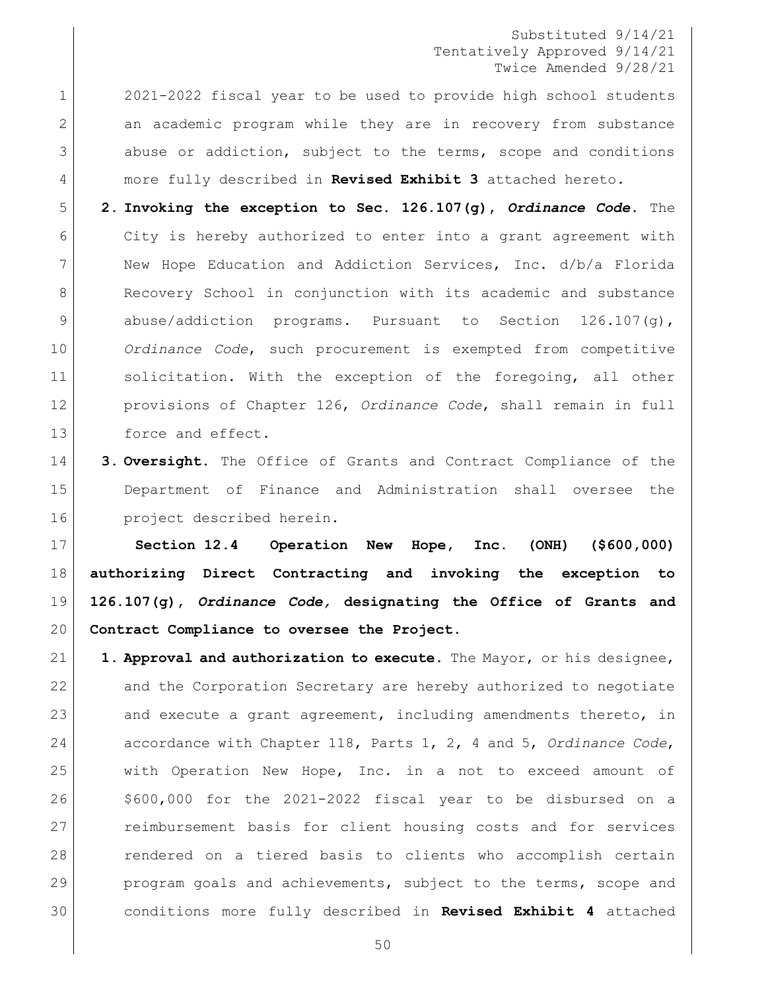2021-2022 fiscal year to be used to provide high school students 2 an academic program while they are in recovery from substance 3 abuse or addiction, subject to the terms, scope and conditions more fully described in **Revised Exhibit 3** attached hereto.

 **2. Invoking the exception to Sec. 126.107(g),** *Ordinance Code***.** The 6 | City is hereby authorized to enter into a grant agreement with 7 | New Hope Education and Addiction Services, Inc. d/b/a Florida 8 Recovery School in conjunction with its academic and substance abuse/addiction programs. Pursuant to Section 126.107(g), *Ordinance Code*, such procurement is exempted from competitive 11 solicitation. With the exception of the foregoing, all other provisions of Chapter 126, *Ordinance Code*, shall remain in full 13 force and effect.

 **3. Oversight.** The Office of Grants and Contract Compliance of the Department of Finance and Administration shall oversee the **project** described herein.

 **Section 12.4 Operation New Hope, Inc. (ONH) (\$600,000) authorizing Direct Contracting and invoking the exception to 126.107(g),** *Ordinance Code,* **designating the Office of Grants and Contract Compliance to oversee the Project.** 

 **1. Approval and authorization to execute.** The Mayor, or his designee, and the Corporation Secretary are hereby authorized to negotiate 23 and execute a grant agreement, including amendments thereto, in accordance with Chapter 118, Parts 1, 2, 4 and 5, *Ordinance Code*, with Operation New Hope, Inc. in a not to exceed amount of \$600,000 for the 2021-2022 fiscal year to be disbursed on a reimbursement basis for client housing costs and for services rendered on a tiered basis to clients who accomplish certain 29 program goals and achievements, subject to the terms, scope and conditions more fully described in **Revised Exhibit 4** attached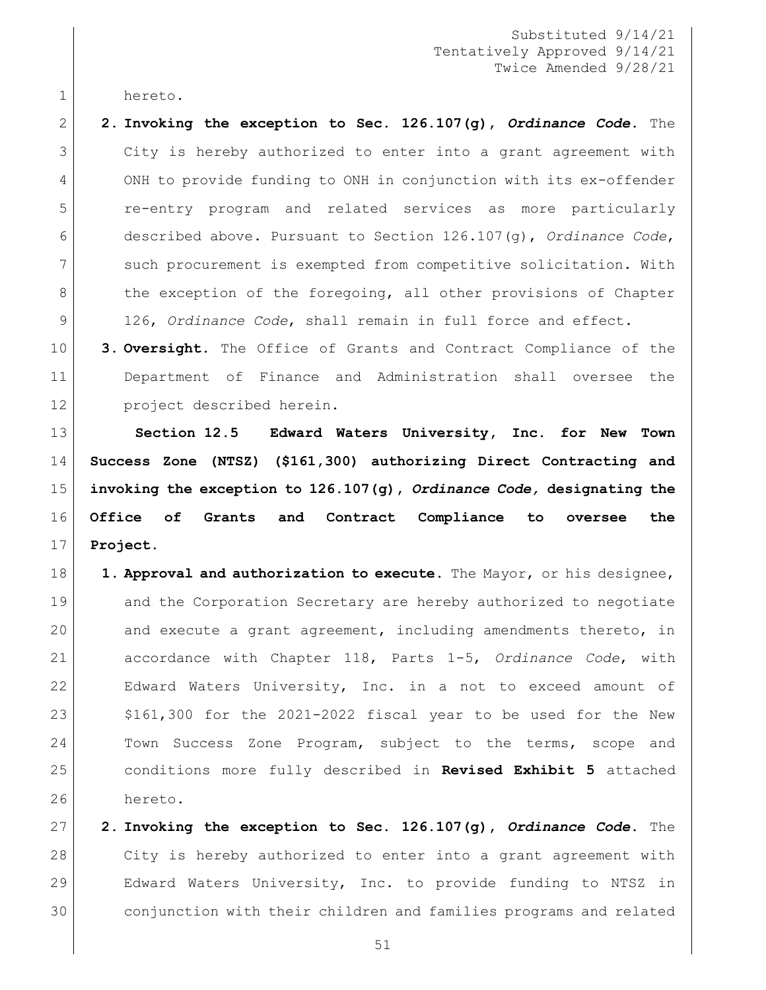hereto.

 **2. Invoking the exception to Sec. 126.107(g),** *Ordinance Code***.** The City is hereby authorized to enter into a grant agreement with ONH to provide funding to ONH in conjunction with its ex-offender re-entry program and related services as more particularly described above. Pursuant to Section 126.107(g), *Ordinance Code*, such procurement is exempted from competitive solicitation. With 8 the exception of the foregoing, all other provisions of Chapter 126, *Ordinance Code*, shall remain in full force and effect.

 **3. Oversight.** The Office of Grants and Contract Compliance of the Department of Finance and Administration shall oversee the project described herein.

 **Section 12.5 Edward Waters University, Inc. for New Town Success Zone (NTSZ) (\$161,300) authorizing Direct Contracting and invoking the exception to 126.107(g),** *Ordinance Code,* **designating the Office of Grants and Contract Compliance to oversee the Project.** 

 **1. Approval and authorization to execute.** The Mayor, or his designee, 19 and the Corporation Secretary are hereby authorized to negotiate and execute a grant agreement, including amendments thereto, in accordance with Chapter 118, Parts 1-5, *Ordinance Code*, with Edward Waters University, Inc. in a not to exceed amount of  $$161,300$  for the 2021-2022 fiscal year to be used for the New 24 Town Success Zone Program, subject to the terms, scope and conditions more fully described in **Revised Exhibit 5** attached hereto.

 **2. Invoking the exception to Sec. 126.107(g),** *Ordinance Code***.** The City is hereby authorized to enter into a grant agreement with Edward Waters University, Inc. to provide funding to NTSZ in conjunction with their children and families programs and related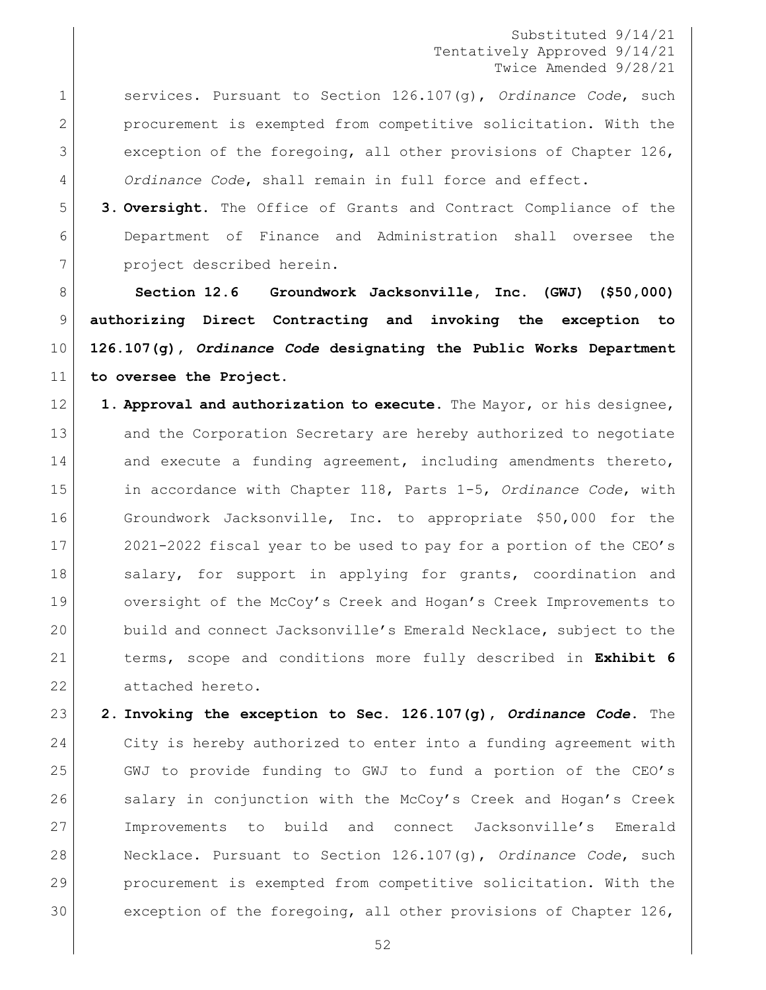services. Pursuant to Section 126.107(g), *Ordinance Code*, such procurement is exempted from competitive solicitation. With the exception of the foregoing, all other provisions of Chapter 126, *Ordinance Code*, shall remain in full force and effect.

 **3. Oversight.** The Office of Grants and Contract Compliance of the Department of Finance and Administration shall oversee the 7 project described herein.

 **Section 12.6 Groundwork Jacksonville, Inc. (GWJ) (\$50,000) authorizing Direct Contracting and invoking the exception to 126.107(g),** *Ordinance Code* **designating the Public Works Department to oversee the Project.** 

 **1. Approval and authorization to execute.** The Mayor, or his designee, 13 and the Corporation Secretary are hereby authorized to negotiate 14 and execute a funding agreement, including amendments thereto, in accordance with Chapter 118, Parts 1-5, *Ordinance Code*, with 16 Groundwork Jacksonville, Inc. to appropriate \$50,000 for the 2021-2022 fiscal year to be used to pay for a portion of the CEO's 18 Salary, for support in applying for grants, coordination and 19 oversight of the McCoy's Creek and Hogan's Creek Improvements to 20 build and connect Jacksonville's Emerald Necklace, subject to the terms, scope and conditions more fully described in **Exhibit 6** 22 attached hereto.

 **2. Invoking the exception to Sec. 126.107(g),** *Ordinance Code***.** The City is hereby authorized to enter into a funding agreement with GWJ to provide funding to GWJ to fund a portion of the CEO's 26 salary in conjunction with the McCoy's Creek and Hogan's Creek Improvements to build and connect Jacksonville's Emerald Necklace. Pursuant to Section 126.107(g), *Ordinance Code*, such procurement is exempted from competitive solicitation. With the exception of the foregoing, all other provisions of Chapter 126,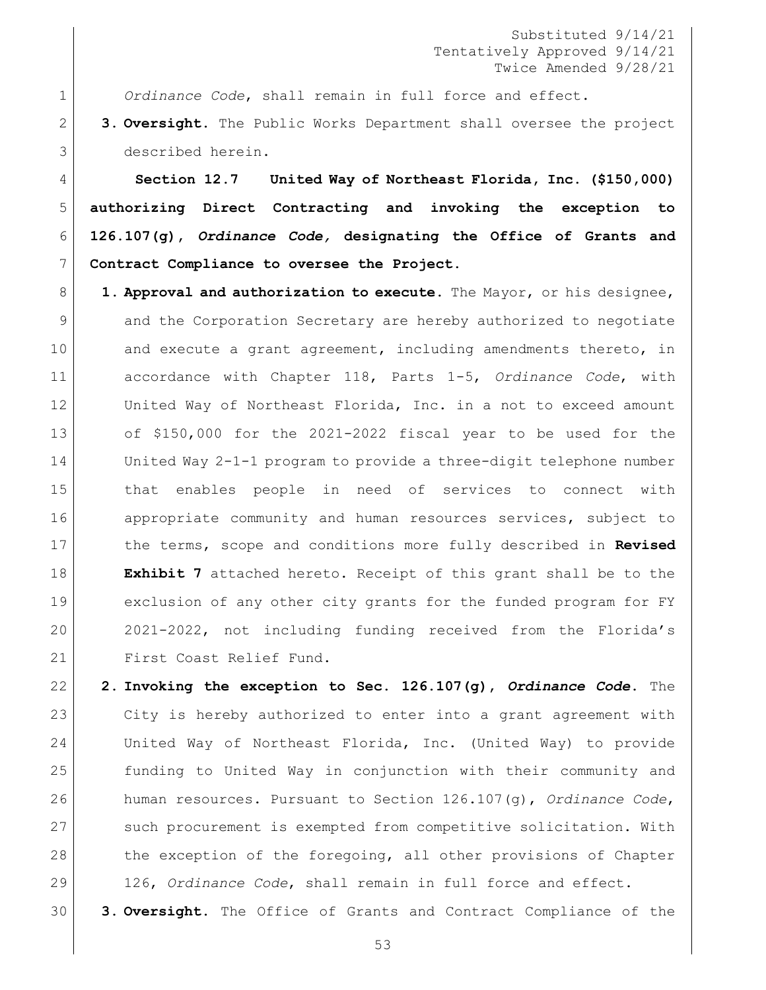*Ordinance Code*, shall remain in full force and effect.

 **3. Oversight.** The Public Works Department shall oversee the project described herein.

 **Section 12.7 United Way of Northeast Florida, Inc. (\$150,000) authorizing Direct Contracting and invoking the exception to 126.107(g),** *Ordinance Code,* **designating the Office of Grants and Contract Compliance to oversee the Project.** 

 **1. Approval and authorization to execute.** The Mayor, or his designee, 9 and the Corporation Secretary are hereby authorized to negotiate 10 and execute a grant agreement, including amendments thereto, in accordance with Chapter 118, Parts 1-5, *Ordinance Code*, with 12 United Way of Northeast Florida, Inc. in a not to exceed amount of \$150,000 for the 2021-2022 fiscal year to be used for the United Way 2-1-1 program to provide a three-digit telephone number that enables people in need of services to connect with appropriate community and human resources services, subject to the terms, scope and conditions more fully described in **Revised Exhibit 7** attached hereto. Receipt of this grant shall be to the exclusion of any other city grants for the funded program for FY 2021-2022, not including funding received from the Florida's 21 First Coast Relief Fund.

 **2. Invoking the exception to Sec. 126.107(g),** *Ordinance Code***.** The City is hereby authorized to enter into a grant agreement with United Way of Northeast Florida, Inc. (United Way) to provide funding to United Way in conjunction with their community and human resources. Pursuant to Section 126.107(g), *Ordinance Code*, such procurement is exempted from competitive solicitation. With 28 the exception of the foregoing, all other provisions of Chapter 126, *Ordinance Code*, shall remain in full force and effect.

**3. Oversight.** The Office of Grants and Contract Compliance of the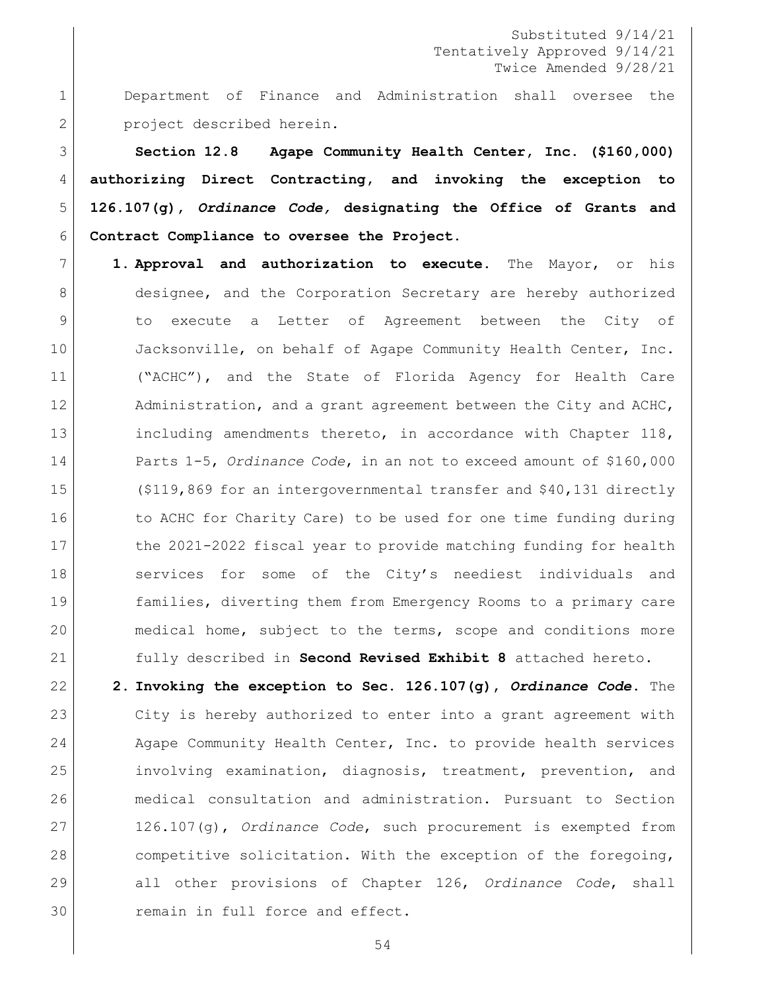1 Department of Finance and Administration shall oversee the 2 project described herein.

 **Section 12.8 Agape Community Health Center, Inc. (\$160,000) authorizing Direct Contracting, and invoking the exception to 126.107(g),** *Ordinance Code,* **designating the Office of Grants and Contract Compliance to oversee the Project.** 

7 **1. Approval and authorization to execute.** The Mayor, or his 8 designee, and the Corporation Secretary are hereby authorized 9 to execute a Letter of Agreement between the City of 10 Jacksonville, on behalf of Agape Community Health Center, Inc. 11 ("ACHC"), and the State of Florida Agency for Health Care 12 Administration, and a grant agreement between the City and ACHC, 13 including amendments thereto, in accordance with Chapter 118, 14 Parts 1-5, *Ordinance Code*, in an not to exceed amount of \$160,000 15 (\$119,869 for an intergovernmental transfer and \$40,131 directly 16 to ACHC for Charity Care) to be used for one time funding during 17 the 2021-2022 fiscal year to provide matching funding for health 18 services for some of the City's neediest individuals and 19 families, diverting them from Emergency Rooms to a primary care 20 | medical home, subject to the terms, scope and conditions more 21 fully described in **Second Revised Exhibit 8** attached hereto.

 **2. Invoking the exception to Sec. 126.107(g),** *Ordinance Code***.** The City is hereby authorized to enter into a grant agreement with 24 Agape Community Health Center, Inc. to provide health services involving examination, diagnosis, treatment, prevention, and medical consultation and administration. Pursuant to Section 126.107(g), *Ordinance Code*, such procurement is exempted from 28 competitive solicitation. With the exception of the foregoing, all other provisions of Chapter 126, *Ordinance Code*, shall 30 remain in full force and effect.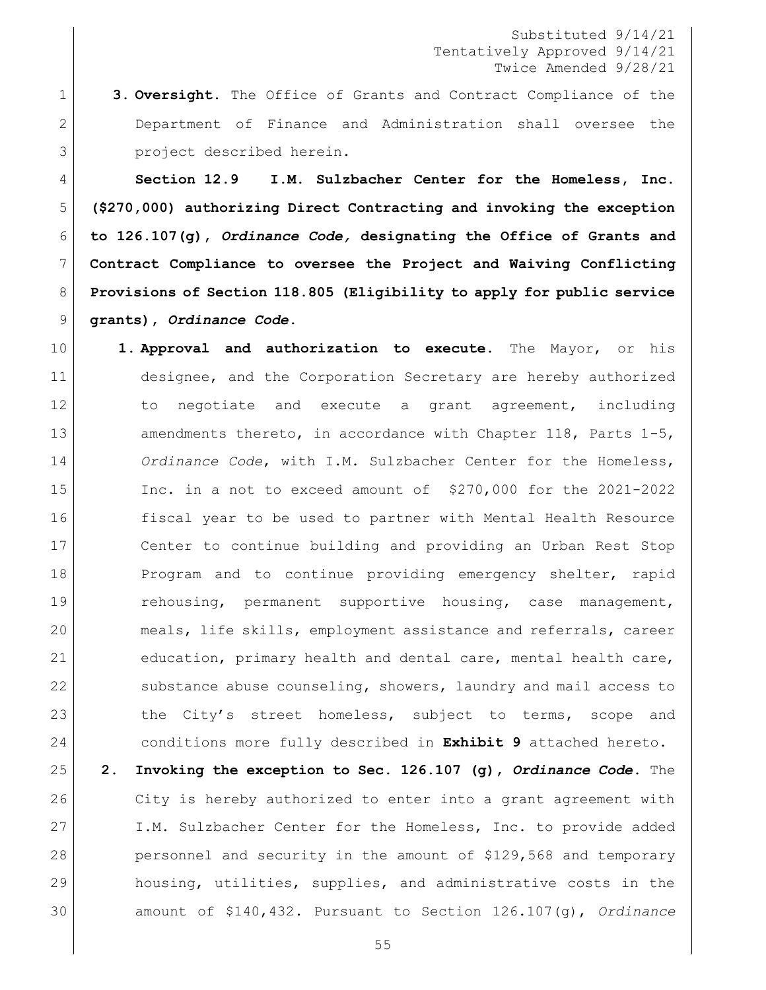**3. Oversight.** The Office of Grants and Contract Compliance of the 2 Department of Finance and Administration shall oversee the project described herein.

 **Section 12.9 I.M. Sulzbacher Center for the Homeless, Inc. (\$270,000) authorizing Direct Contracting and invoking the exception to 126.107(g),** *Ordinance Code,* **designating the Office of Grants and Contract Compliance to oversee the Project and Waiving Conflicting Provisions of Section 118.805 (Eligibility to apply for public service grants),** *Ordinance Code***.** 

- **1. Approval and authorization to execute.** The Mayor, or his designee, and the Corporation Secretary are hereby authorized to negotiate and execute a grant agreement, including 13 amendments thereto, in accordance with Chapter 118, Parts 1-5, *Ordinance Code*, with I.M. Sulzbacher Center for the Homeless, Inc. in a not to exceed amount of \$270,000 for the 2021-2022 fiscal year to be used to partner with Mental Health Resource Center to continue building and providing an Urban Rest Stop 18 Program and to continue providing emergency shelter, rapid rehousing, permanent supportive housing, case management, meals, life skills, employment assistance and referrals, career education, primary health and dental care, mental health care, 22 substance abuse counseling, showers, laundry and mail access to 23 the City's street homeless, subject to terms, scope and conditions more fully described in **Exhibit 9** attached hereto.
- **2. Invoking the exception to Sec. 126.107 (g),** *Ordinance Code***.** The City is hereby authorized to enter into a grant agreement with I.M. Sulzbacher Center for the Homeless, Inc. to provide added 28 personnel and security in the amount of \$129,568 and temporary housing, utilities, supplies, and administrative costs in the amount of \$140,432. Pursuant to Section 126.107(g), *Ordinance*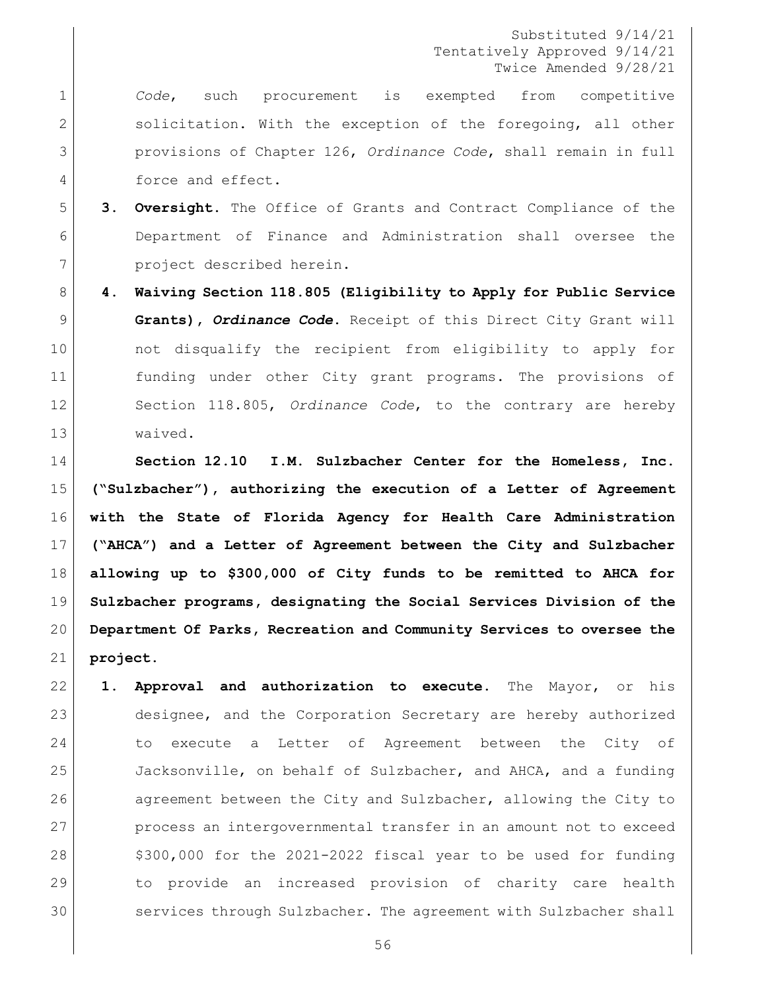*Code*, such procurement is exempted from competitive 2 Solicitation. With the exception of the foregoing, all other provisions of Chapter 126, *Ordinance Code*, shall remain in full 4 force and effect.

- **3. Oversight.** The Office of Grants and Contract Compliance of the Department of Finance and Administration shall oversee the project described herein.
- **4. Waiving Section 118.805 (Eligibility to Apply for Public Service Grants),** *Ordinance Code***.** Receipt of this Direct City Grant will not disqualify the recipient from eligibility to apply for funding under other City grant programs. The provisions of Section 118.805, *Ordinance Code*, to the contrary are hereby waived.

 **Section 12.10 I.M. Sulzbacher Center for the Homeless, Inc. ("Sulzbacher"), authorizing the execution of a Letter of Agreement with the State of Florida Agency for Health Care Administration ("AHCA") and a Letter of Agreement between the City and Sulzbacher allowing up to \$300,000 of City funds to be remitted to AHCA for Sulzbacher programs, designating the Social Services Division of the Department Of Parks, Recreation and Community Services to oversee the project.**

 **1. Approval and authorization to execute.** The Mayor, or his designee, and the Corporation Secretary are hereby authorized to execute a Letter of Agreement between the City of Jacksonville, on behalf of Sulzbacher, and AHCA, and a funding 26 agreement between the City and Sulzbacher, allowing the City to process an intergovernmental transfer in an amount not to exceed  $\frac{28}{100}$ ,000 for the 2021-2022 fiscal year to be used for funding to provide an increased provision of charity care health services through Sulzbacher. The agreement with Sulzbacher shall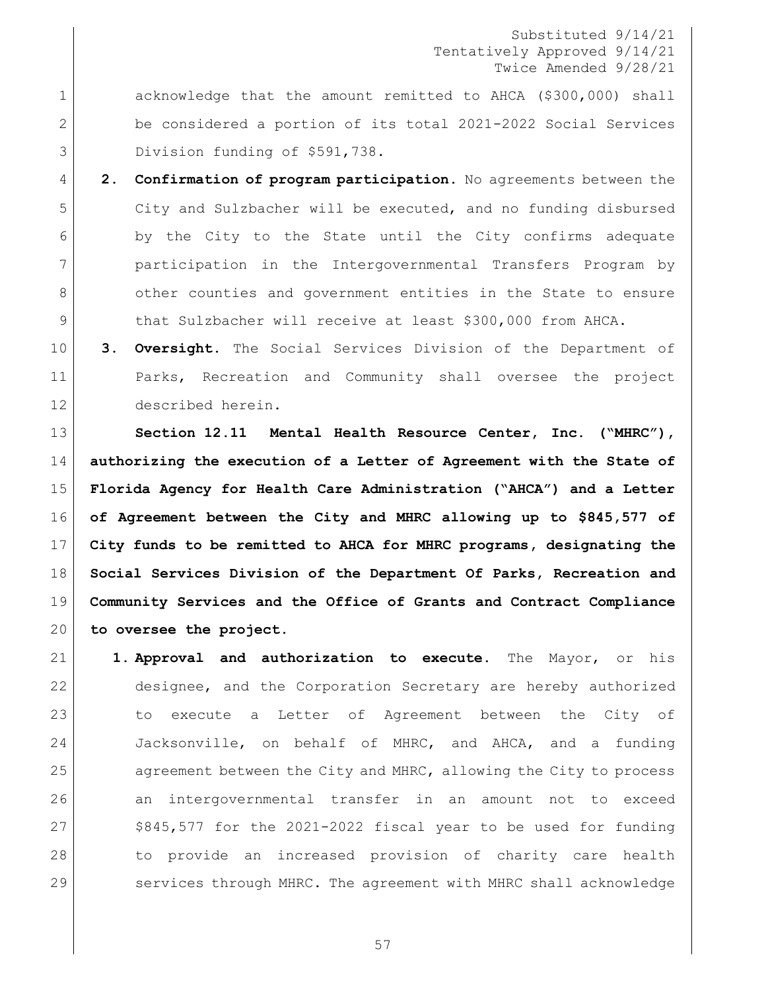1 acknowledge that the amount remitted to AHCA (\$300,000) shall be considered a portion of its total 2021-2022 Social Services 3 Division funding of \$591,738.

 **2. Confirmation of program participation.** No agreements between the City and Sulzbacher will be executed, and no funding disbursed by the City to the State until the City confirms adequate participation in the Intergovernmental Transfers Program by 8 other counties and government entities in the State to ensure 9 that Sulzbacher will receive at least \$300,000 from AHCA.

 **3. Oversight.** The Social Services Division of the Department of Parks, Recreation and Community shall oversee the project described herein.

 **Section 12.11 Mental Health Resource Center, Inc. ("MHRC"), authorizing the execution of a Letter of Agreement with the State of Florida Agency for Health Care Administration ("AHCA") and a Letter of Agreement between the City and MHRC allowing up to \$845,577 of City funds to be remitted to AHCA for MHRC programs, designating the Social Services Division of the Department Of Parks, Recreation and Community Services and the Office of Grants and Contract Compliance to oversee the project.**

 **1. Approval and authorization to execute.** The Mayor, or his designee, and the Corporation Secretary are hereby authorized to execute a Letter of Agreement between the City of Jacksonville, on behalf of MHRC, and AHCA, and a funding 25 agreement between the City and MHRC, allowing the City to process an intergovernmental transfer in an amount not to exceed \$845,577 for the 2021-2022 fiscal year to be used for funding to provide an increased provision of charity care health services through MHRC. The agreement with MHRC shall acknowledge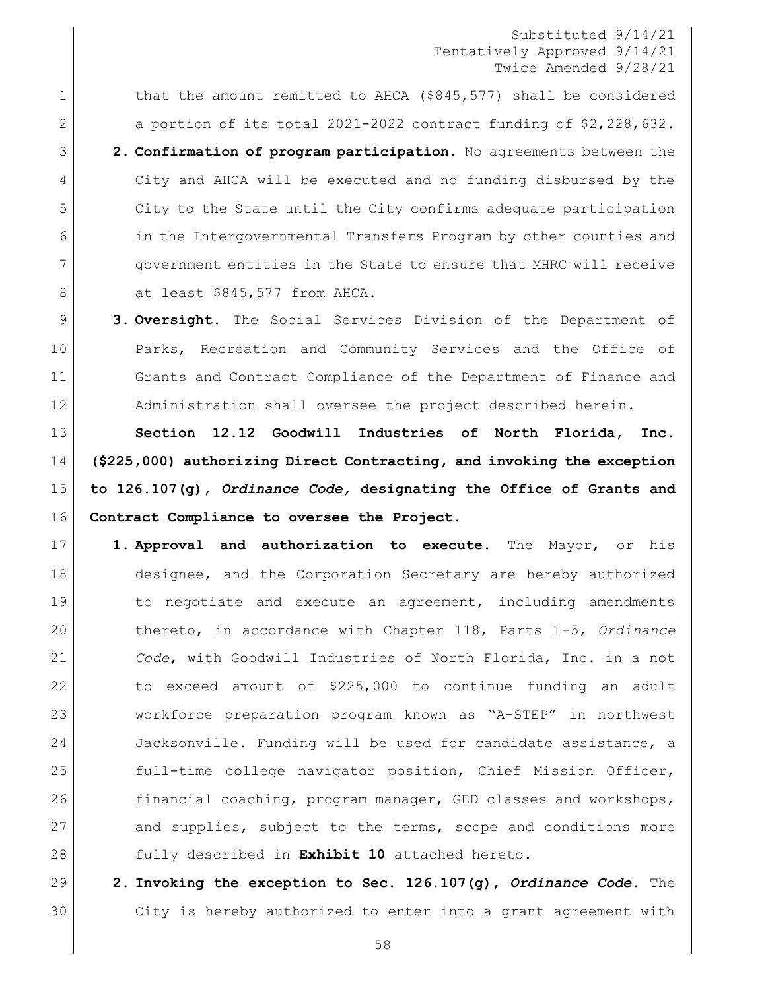1 that the amount remitted to AHCA (\$845,577) shall be considered 2 a portion of its total 2021-2022 contract funding of  $$2,228,632$ . **2. Confirmation of program participation.** No agreements between the City and AHCA will be executed and no funding disbursed by the City to the State until the City confirms adequate participation in the Intergovernmental Transfers Program by other counties and government entities in the State to ensure that MHRC will receive 8 at least \$845,577 from AHCA.

9 **3. Oversight.** The Social Services Division of the Department of 10 Parks, Recreation and Community Services and the Office of 11 Grants and Contract Compliance of the Department of Finance and 12 Administration shall oversee the project described herein.

 **Section 12.12 Goodwill Industries of North Florida, Inc. (\$225,000) authorizing Direct Contracting, and invoking the exception to 126.107(g),** *Ordinance Code,* **designating the Office of Grants and Contract Compliance to oversee the Project.** 

17 **1. Approval and authorization to execute.** The Mayor, or his 18 designee, and the Corporation Secretary are hereby authorized 19 19 to negotiate and execute an agreement, including amendments 20 thereto, in accordance with Chapter 118, Parts 1-5, *Ordinance*  21 *Code*, with Goodwill Industries of North Florida, Inc. in a not 22 to exceed amount of \$225,000 to continue funding an adult 23 workforce preparation program known as "A-STEP" in northwest 24 Jacksonville. Funding will be used for candidate assistance, a 25 full-time college navigator position, Chief Mission Officer, 26 financial coaching, program manager, GED classes and workshops, 27 and supplies, subject to the terms, scope and conditions more 28 fully described in **Exhibit 10** attached hereto.

29 **2. Invoking the exception to Sec. 126.107(g),** *Ordinance Code***.** The 30 City is hereby authorized to enter into a grant agreement with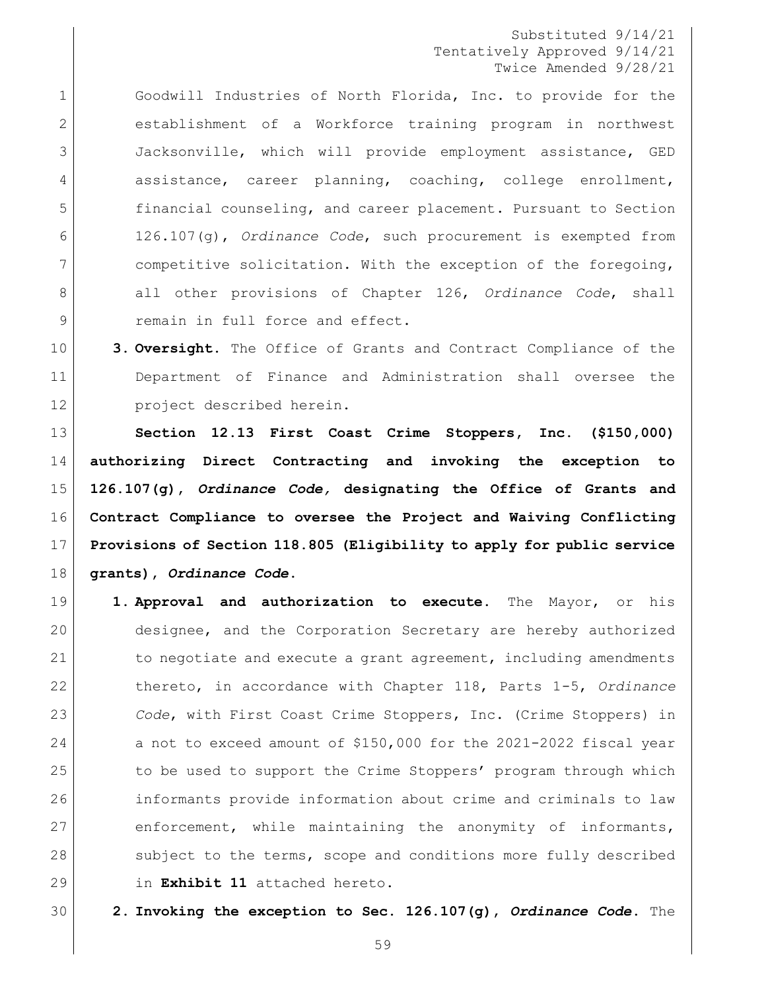Goodwill Industries of North Florida, Inc. to provide for the establishment of a Workforce training program in northwest Jacksonville, which will provide employment assistance, GED 4 assistance, career planning, coaching, college enrollment, financial counseling, and career placement. Pursuant to Section 126.107(g), *Ordinance Code*, such procurement is exempted from competitive solicitation. With the exception of the foregoing, 8 all other provisions of Chapter 126, *Ordinance Code*, shall 9 remain in full force and effect.

 **3. Oversight.** The Office of Grants and Contract Compliance of the Department of Finance and Administration shall oversee the project described herein.

 **Section 12.13 First Coast Crime Stoppers, Inc. (\$150,000) authorizing Direct Contracting and invoking the exception to 126.107(g),** *Ordinance Code,* **designating the Office of Grants and Contract Compliance to oversee the Project and Waiving Conflicting Provisions of Section 118.805 (Eligibility to apply for public service grants),** *Ordinance Code***.** 

 **1. Approval and authorization to execute.** The Mayor, or his designee, and the Corporation Secretary are hereby authorized 21 to negotiate and execute a grant agreement, including amendments thereto, in accordance with Chapter 118, Parts 1-5, *Ordinance Code*, with First Coast Crime Stoppers, Inc. (Crime Stoppers) in 24 a not to exceed amount of \$150,000 for the 2021-2022 fiscal year 25 to be used to support the Crime Stoppers' program through which informants provide information about crime and criminals to law 27 enforcement, while maintaining the anonymity of informants, 28 subject to the terms, scope and conditions more fully described in **Exhibit 11** attached hereto.

**2. Invoking the exception to Sec. 126.107(g),** *Ordinance Code***.** The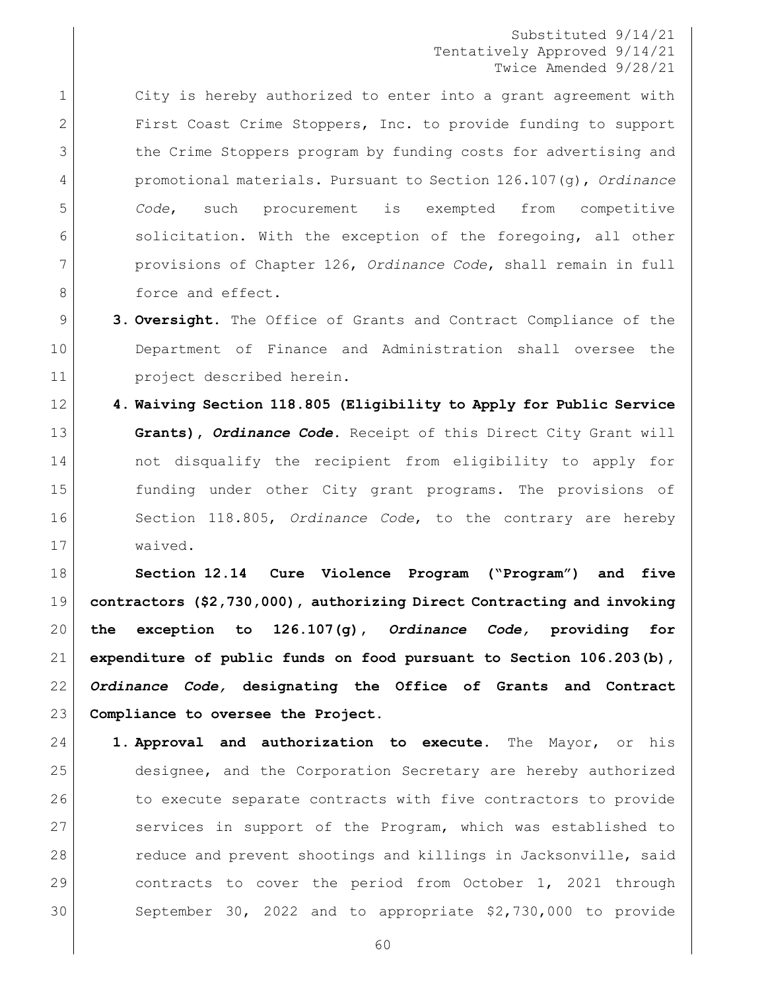1 city is hereby authorized to enter into a grant agreement with First Coast Crime Stoppers, Inc. to provide funding to support 3 1 The Crime Stoppers program by funding costs for advertising and promotional materials. Pursuant to Section 126.107(g), *Ordinance Code*, such procurement is exempted from competitive 6 solicitation. With the exception of the foregoing, all other provisions of Chapter 126, *Ordinance Code*, shall remain in full **b** force and effect.

- **3. Oversight.** The Office of Grants and Contract Compliance of the Department of Finance and Administration shall oversee the project described herein.
- **4. Waiving Section 118.805 (Eligibility to Apply for Public Service Grants),** *Ordinance Code***.** Receipt of this Direct City Grant will not disqualify the recipient from eligibility to apply for funding under other City grant programs. The provisions of Section 118.805, *Ordinance Code*, to the contrary are hereby waived.

 **Section 12.14 Cure Violence Program ("Program") and five contractors (\$2,730,000), authorizing Direct Contracting and invoking the exception to 126.107(g),** *Ordinance Code,* **providing for expenditure of public funds on food pursuant to Section 106.203(b),** *Ordinance Code,* **designating the Office of Grants and Contract Compliance to oversee the Project.**

 **1. Approval and authorization to execute.** The Mayor, or his designee, and the Corporation Secretary are hereby authorized 26 to execute separate contracts with five contractors to provide 27 Services in support of the Program, which was established to 28 reduce and prevent shootings and killings in Jacksonville, said contracts to cover the period from October 1, 2021 through September 30, 2022 and to appropriate \$2,730,000 to provide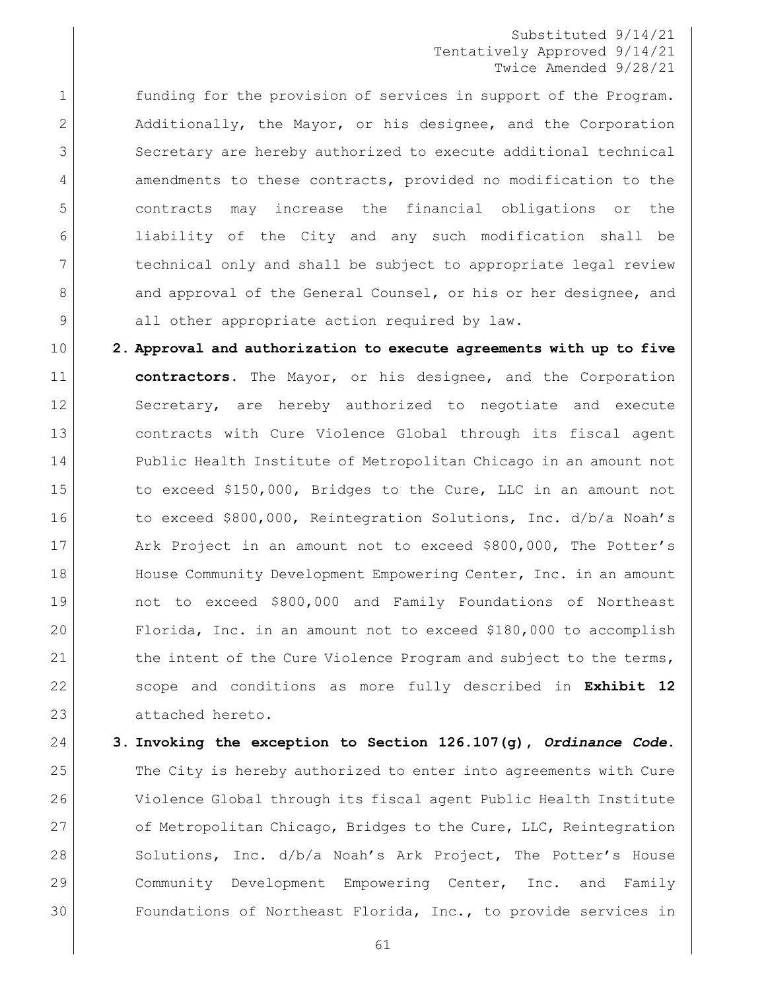1 funding for the provision of services in support of the Program. 2 Additionally, the Mayor, or his designee, and the Corporation 3 Secretary are hereby authorized to execute additional technical 4 amendments to these contracts, provided no modification to the 5 contracts may increase the financial obligations or the 6 liability of the City and any such modification shall be 7 technical only and shall be subject to appropriate legal review 8 and approval of the General Counsel, or his or her designee, and 9 all other appropriate action required by law.

10 **2. Approval and authorization to execute agreements with up to five** 11 **contractors.** The Mayor, or his designee, and the Corporation 12 Secretary, are hereby authorized to negotiate and execute 13 contracts with Cure Violence Global through its fiscal agent 14 Public Health Institute of Metropolitan Chicago in an amount not 15 to exceed \$150,000, Bridges to the Cure, LLC in an amount not 16 to exceed \$800,000, Reintegration Solutions, Inc. d/b/a Noah's 17 Ark Project in an amount not to exceed \$800,000, The Potter's 18 House Community Development Empowering Center, Inc. in an amount 19 not to exceed \$800,000 and Family Foundations of Northeast 20 Florida, Inc. in an amount not to exceed \$180,000 to accomplish 21 the intent of the Cure Violence Program and subject to the terms, 22 scope and conditions as more fully described in **Exhibit 12** 23 attached hereto.

 **3. Invoking the exception to Section 126.107(g),** *Ordinance Code***.** The City is hereby authorized to enter into agreements with Cure Violence Global through its fiscal agent Public Health Institute 27 of Metropolitan Chicago, Bridges to the Cure, LLC, Reintegration 28 Solutions, Inc. d/b/a Noah's Ark Project, The Potter's House Community Development Empowering Center, Inc. and Family Foundations of Northeast Florida, Inc., to provide services in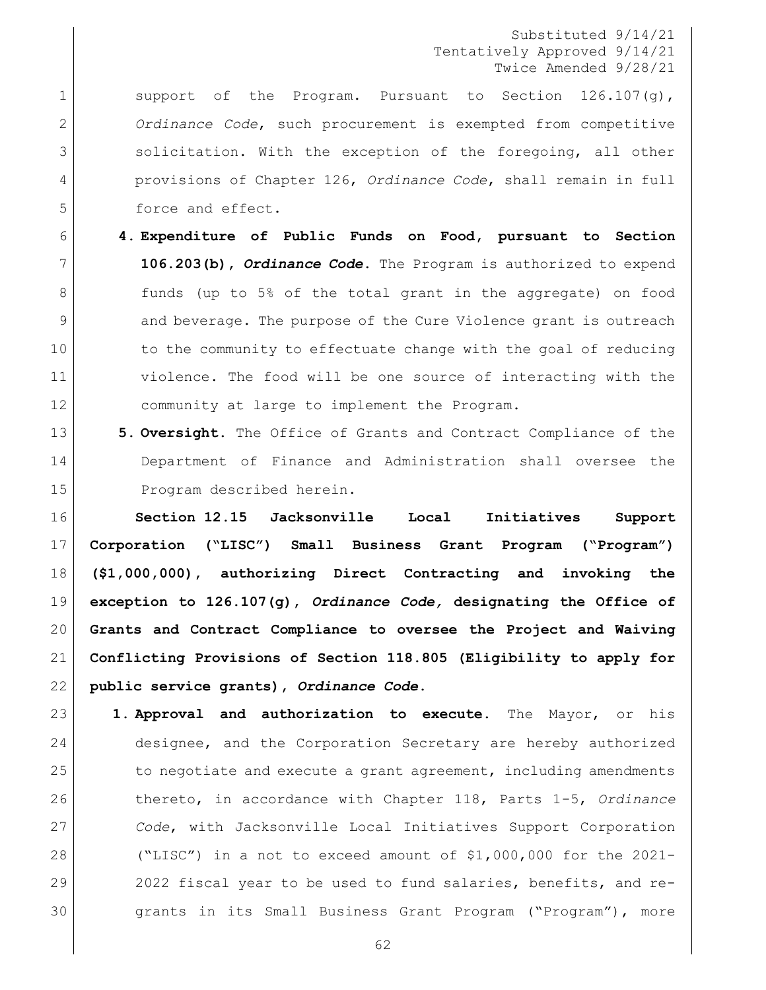1 Support of the Program. Pursuant to Section 126.107(g), *Ordinance Code*, such procurement is exempted from competitive 3 solicitation. With the exception of the foregoing, all other provisions of Chapter 126, *Ordinance Code*, shall remain in full 5 force and effect.

- **4. Expenditure of Public Funds on Food, pursuant to Section 106.203(b),** *Ordinance Code***.** The Program is authorized to expend 8 a funds (up to 5% of the total grant in the aggregate) on food 9 and beverage. The purpose of the Cure Violence grant is outreach 10 to the community to effectuate change with the goal of reducing violence. The food will be one source of interacting with the community at large to implement the Program.
- **5. Oversight.** The Office of Grants and Contract Compliance of the Department of Finance and Administration shall oversee the 15 Program described herein.

 **Section 12.15 Jacksonville Local Initiatives Support Corporation ("LISC") Small Business Grant Program ("Program") (\$1,000,000), authorizing Direct Contracting and invoking the exception to 126.107(g),** *Ordinance Code,* **designating the Office of Grants and Contract Compliance to oversee the Project and Waiving Conflicting Provisions of Section 118.805 (Eligibility to apply for public service grants),** *Ordinance Code***.**

- **1. Approval and authorization to execute.** The Mayor, or his designee, and the Corporation Secretary are hereby authorized 25 to negotiate and execute a grant agreement, including amendments thereto, in accordance with Chapter 118, Parts 1-5, *Ordinance Code*, with Jacksonville Local Initiatives Support Corporation ("LISC") in a not to exceed amount of \$1,000,000 for the 2021- 29 2022 fiscal year to be used to fund salaries, benefits, and re- grants in its Small Business Grant Program ("Program"), more
	-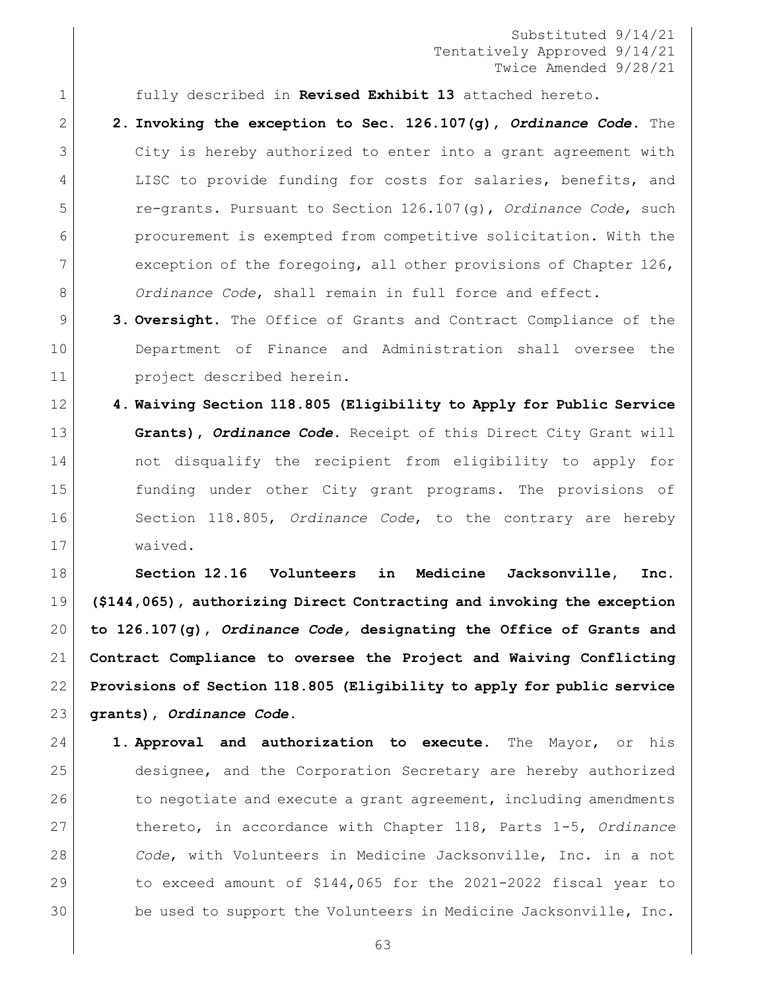fully described in **Revised Exhibit 13** attached hereto.

- **2. Invoking the exception to Sec. 126.107(g),** *Ordinance Code***.** The City is hereby authorized to enter into a grant agreement with 4 LISC to provide funding for costs for salaries, benefits, and re-grants. Pursuant to Section 126.107(g), *Ordinance Code*, such procurement is exempted from competitive solicitation. With the exception of the foregoing, all other provisions of Chapter 126, *Ordinance Code*, shall remain in full force and effect.
- **3. Oversight.** The Office of Grants and Contract Compliance of the Department of Finance and Administration shall oversee the project described herein.
- **4. Waiving Section 118.805 (Eligibility to Apply for Public Service Grants),** *Ordinance Code***.** Receipt of this Direct City Grant will not disqualify the recipient from eligibility to apply for funding under other City grant programs. The provisions of Section 118.805, *Ordinance Code*, to the contrary are hereby waived.

 **Section 12.16 Volunteers in Medicine Jacksonville, Inc. (\$144,065), authorizing Direct Contracting and invoking the exception to 126.107(g),** *Ordinance Code,* **designating the Office of Grants and Contract Compliance to oversee the Project and Waiving Conflicting Provisions of Section 118.805 (Eligibility to apply for public service grants),** *Ordinance Code***.**

 **1. Approval and authorization to execute.** The Mayor, or his designee, and the Corporation Secretary are hereby authorized 26 to negotiate and execute a grant agreement, including amendments thereto, in accordance with Chapter 118, Parts 1-5, *Ordinance Code*, with Volunteers in Medicine Jacksonville, Inc. in a not 29 to exceed amount of \$144,065 for the 2021-2022 fiscal year to 30 be used to support the Volunteers in Medicine Jacksonville, Inc.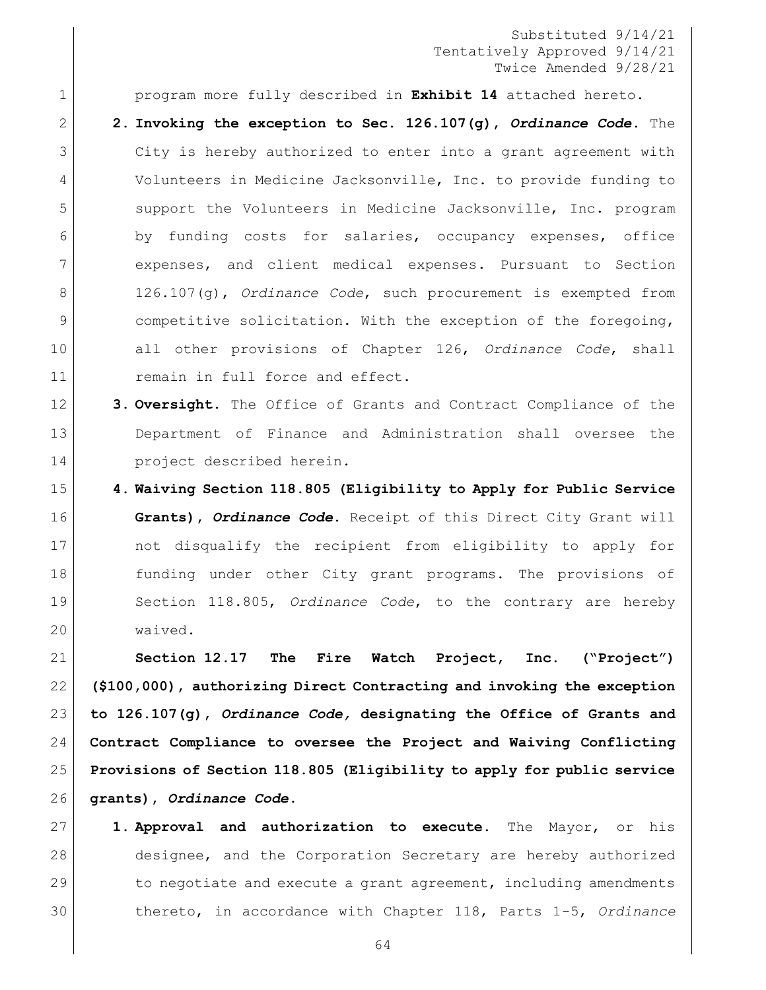program more fully described in **Exhibit 14** attached hereto. **2. Invoking the exception to Sec. 126.107(g),** *Ordinance Code***.** The City is hereby authorized to enter into a grant agreement with Volunteers in Medicine Jacksonville, Inc. to provide funding to support the Volunteers in Medicine Jacksonville, Inc. program by funding costs for salaries, occupancy expenses, office expenses, and client medical expenses. Pursuant to Section 126.107(g), *Ordinance Code*, such procurement is exempted from competitive solicitation. With the exception of the foregoing, all other provisions of Chapter 126, *Ordinance Code*, shall **11** remain in full force and effect.

- **3. Oversight.** The Office of Grants and Contract Compliance of the Department of Finance and Administration shall oversee the **project** described herein.
- **4. Waiving Section 118.805 (Eligibility to Apply for Public Service Grants),** *Ordinance Code***.** Receipt of this Direct City Grant will not disqualify the recipient from eligibility to apply for 18 funding under other City grant programs. The provisions of Section 118.805, *Ordinance Code*, to the contrary are hereby waived.

 **Section 12.17 The Fire Watch Project, Inc. ("Project") (\$100,000), authorizing Direct Contracting and invoking the exception to 126.107(g),** *Ordinance Code,* **designating the Office of Grants and Contract Compliance to oversee the Project and Waiving Conflicting Provisions of Section 118.805 (Eligibility to apply for public service grants),** *Ordinance Code***.**

 **1. Approval and authorization to execute.** The Mayor, or his designee, and the Corporation Secretary are hereby authorized 29 to negotiate and execute a grant agreement, including amendments thereto, in accordance with Chapter 118, Parts 1-5, *Ordinance*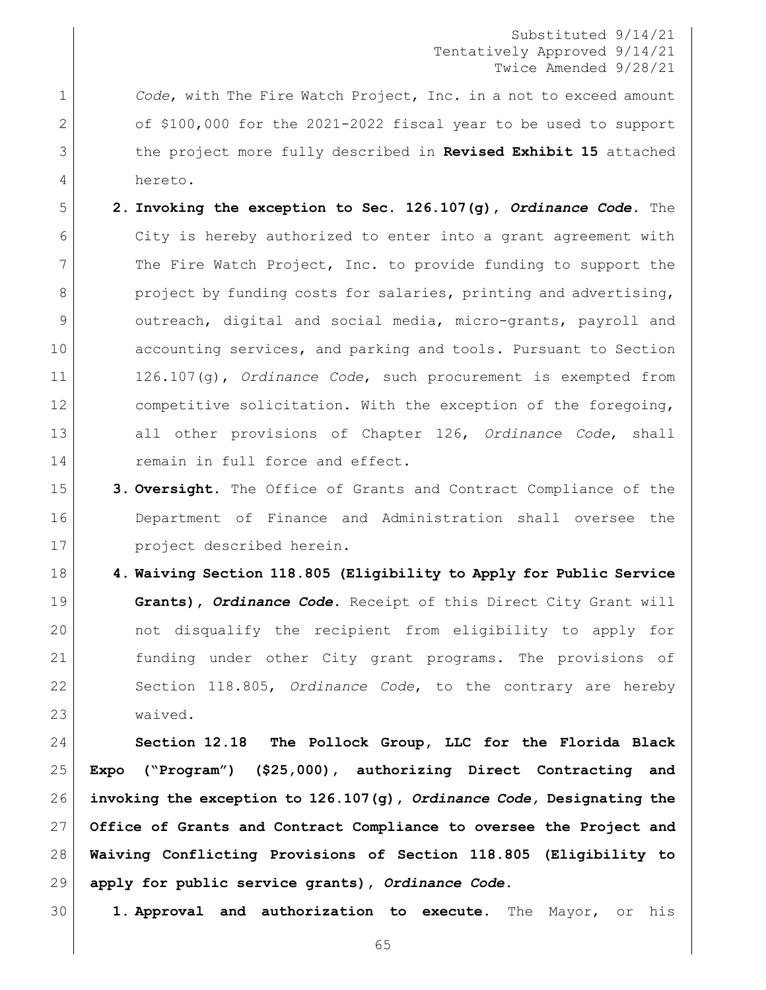*Code*, with The Fire Watch Project, Inc. in a not to exceed amount of \$100,000 for the 2021-2022 fiscal year to be used to support the project more fully described in **Revised Exhibit 15** attached hereto.

- **2. Invoking the exception to Sec. 126.107(g),** *Ordinance Code***.** The 6 City is hereby authorized to enter into a grant agreement with 7 The Fire Watch Project, Inc. to provide funding to support the 8 project by funding costs for salaries, printing and advertising, outreach, digital and social media, micro-grants, payroll and **accounting services, and parking and tools. Pursuant to Section**  126.107(g), *Ordinance Code*, such procurement is exempted from 12 competitive solicitation. With the exception of the foregoing, all other provisions of Chapter 126, *Ordinance Code*, shall 14 remain in full force and effect.
- **3. Oversight.** The Office of Grants and Contract Compliance of the Department of Finance and Administration shall oversee the project described herein.

 **4. Waiving Section 118.805 (Eligibility to Apply for Public Service Grants),** *Ordinance Code***.** Receipt of this Direct City Grant will not disqualify the recipient from eligibility to apply for funding under other City grant programs. The provisions of Section 118.805, *Ordinance Code*, to the contrary are hereby waived.

 **Section 12.18 The Pollock Group, LLC for the Florida Black Expo ("Program") (\$25,000), authorizing Direct Contracting and invoking the exception to 126.107(g),** *Ordinance Code,* **Designating the Office of Grants and Contract Compliance to oversee the Project and Waiving Conflicting Provisions of Section 118.805 (Eligibility to apply for public service grants),** *Ordinance Code***.**

**1. Approval and authorization to execute.** The Mayor, or his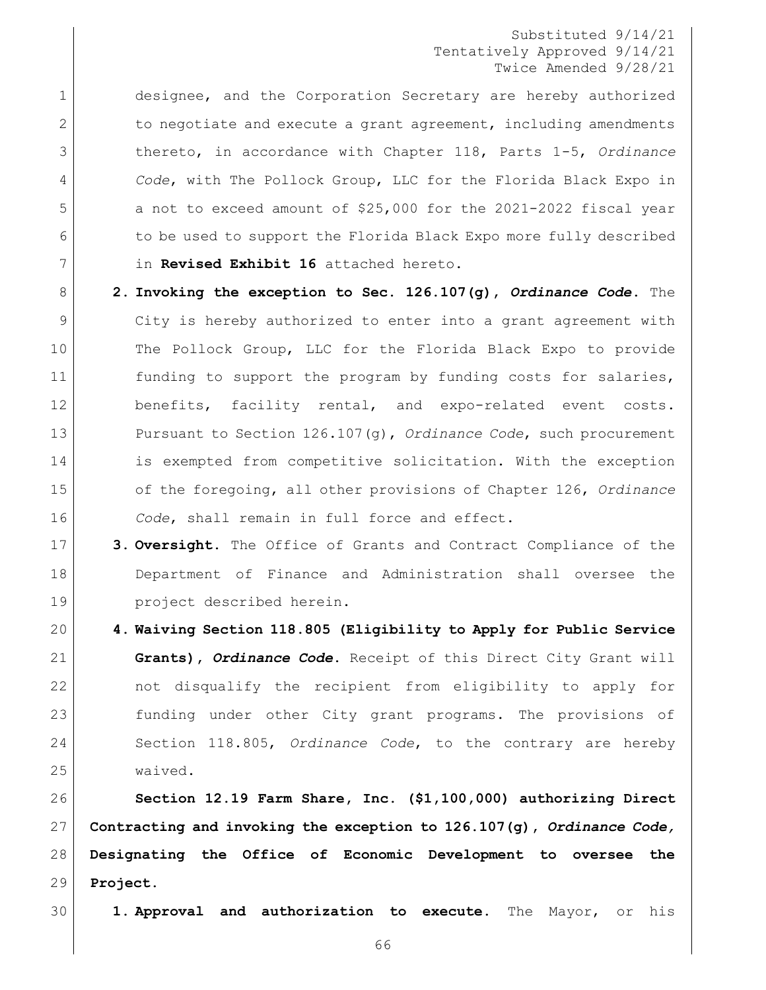designee, and the Corporation Secretary are hereby authorized 2 to negotiate and execute a grant agreement, including amendments thereto, in accordance with Chapter 118, Parts 1-5, *Ordinance Code*, with The Pollock Group, LLC for the Florida Black Expo in 5 a not to exceed amount of \$25,000 for the 2021-2022 fiscal year 6 to be used to support the Florida Black Expo more fully described in **Revised Exhibit 16** attached hereto.

- **2. Invoking the exception to Sec. 126.107(g),** *Ordinance Code***.** The City is hereby authorized to enter into a grant agreement with The Pollock Group, LLC for the Florida Black Expo to provide 11 funding to support the program by funding costs for salaries, 12 benefits, facility rental, and expo-related event costs. Pursuant to Section 126.107(g), *Ordinance Code*, such procurement is exempted from competitive solicitation. With the exception of the foregoing, all other provisions of Chapter 126, *Ordinance Code*, shall remain in full force and effect.
- **3. Oversight.** The Office of Grants and Contract Compliance of the Department of Finance and Administration shall oversee the project described herein.
- **4. Waiving Section 118.805 (Eligibility to Apply for Public Service Grants),** *Ordinance Code***.** Receipt of this Direct City Grant will not disqualify the recipient from eligibility to apply for funding under other City grant programs. The provisions of Section 118.805, *Ordinance Code*, to the contrary are hereby waived.

 **Section 12.19 Farm Share, Inc. (\$1,100,000) authorizing Direct Contracting and invoking the exception to 126.107(g),** *Ordinance Code,*  **Designating the Office of Economic Development to oversee the Project.** 

**1. Approval and authorization to execute.** The Mayor, or his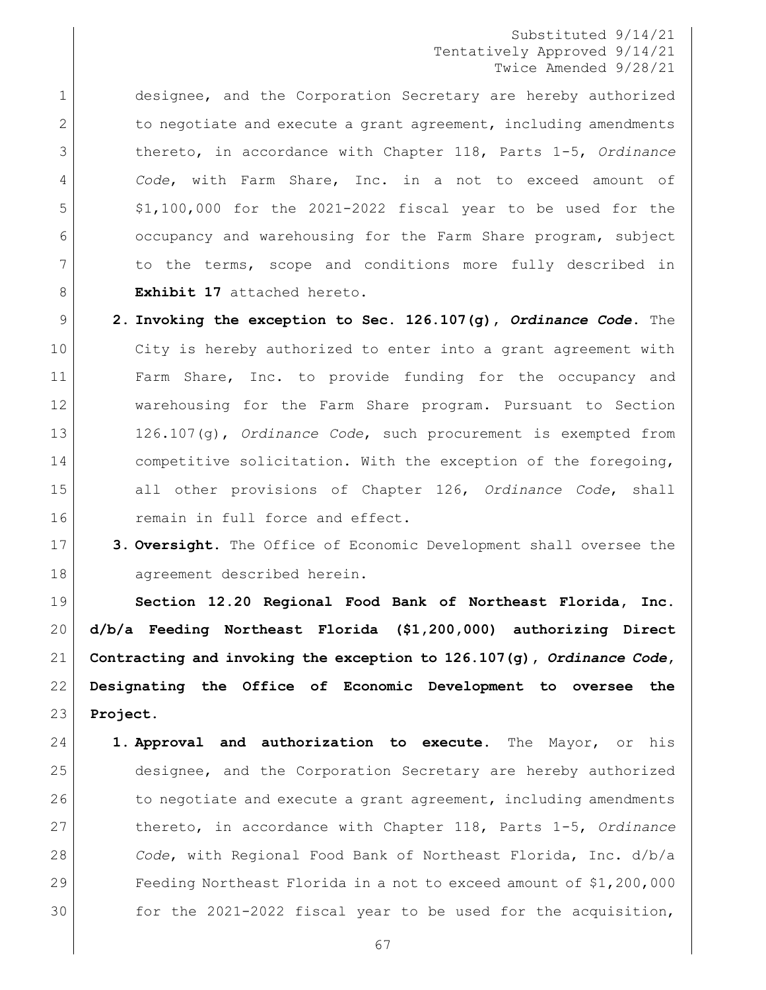designee, and the Corporation Secretary are hereby authorized 2 to negotiate and execute a grant agreement, including amendments thereto, in accordance with Chapter 118, Parts 1-5, *Ordinance Code*, with Farm Share, Inc. in a not to exceed amount of \$1,100,000 for the 2021-2022 fiscal year to be used for the occupancy and warehousing for the Farm Share program, subject 7 1 to the terms, scope and conditions more fully described in **Exhibit 17** attached hereto.

- **2. Invoking the exception to Sec. 126.107(g),** *Ordinance Code***.** The City is hereby authorized to enter into a grant agreement with Farm Share, Inc. to provide funding for the occupancy and warehousing for the Farm Share program. Pursuant to Section 126.107(g), *Ordinance Code*, such procurement is exempted from 14 competitive solicitation. With the exception of the foregoing, all other provisions of Chapter 126, *Ordinance Code*, shall **16** remain in full force and effect.
- **3. Oversight.** The Office of Economic Development shall oversee the agreement described herein.

 **Section 12.20 Regional Food Bank of Northeast Florida, Inc. d/b/a Feeding Northeast Florida (\$1,200,000) authorizing Direct Contracting and invoking the exception to 126.107(g),** *Ordinance Code***, Designating the Office of Economic Development to oversee the Project.** 

 **1. Approval and authorization to execute.** The Mayor, or his designee, and the Corporation Secretary are hereby authorized 26 to negotiate and execute a grant agreement, including amendments thereto, in accordance with Chapter 118, Parts 1-5, *Ordinance Code*, with Regional Food Bank of Northeast Florida, Inc. d/b/a Feeding Northeast Florida in a not to exceed amount of \$1,200,000 for the 2021-2022 fiscal year to be used for the acquisition,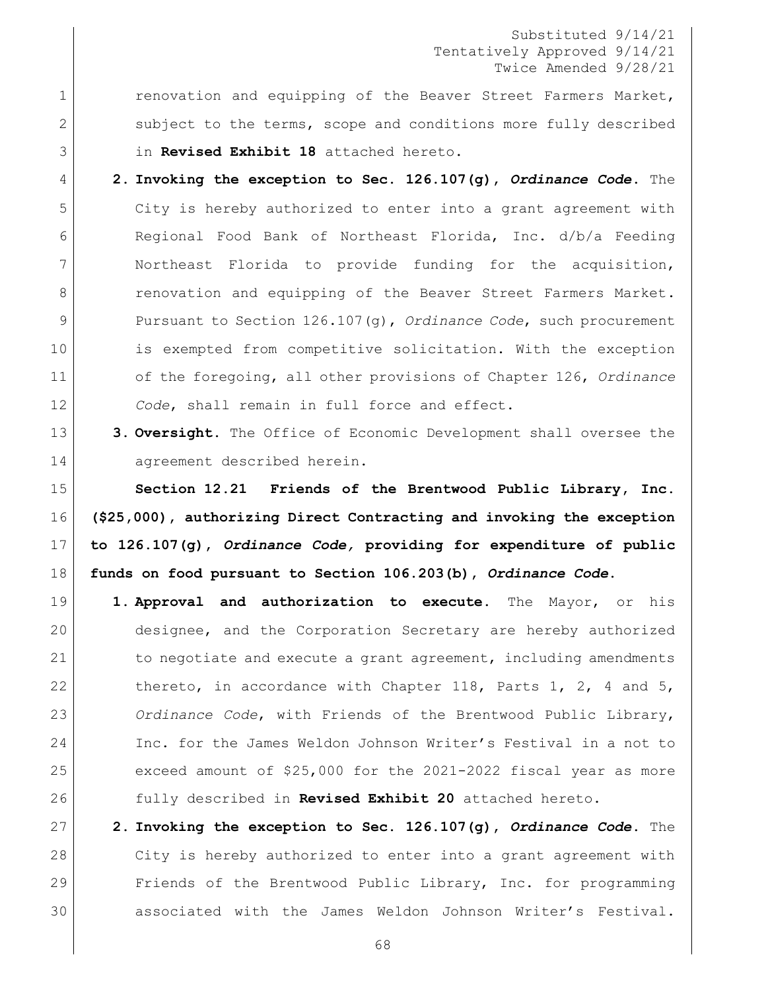1 renovation and equipping of the Beaver Street Farmers Market, 2 Subject to the terms, scope and conditions more fully described in **Revised Exhibit 18** attached hereto.

 **2. Invoking the exception to Sec. 126.107(g),** *Ordinance Code***.** The City is hereby authorized to enter into a grant agreement with Regional Food Bank of Northeast Florida, Inc. d/b/a Feeding Northeast Florida to provide funding for the acquisition, 8 | renovation and equipping of the Beaver Street Farmers Market. Pursuant to Section 126.107(g), *Ordinance Code*, such procurement is exempted from competitive solicitation. With the exception of the foregoing, all other provisions of Chapter 126, *Ordinance Code*, shall remain in full force and effect.

13 3. **Oversight.** The Office of Economic Development shall oversee the 14 agreement described herein.

 **Section 12.21 Friends of the Brentwood Public Library, Inc. (\$25,000), authorizing Direct Contracting and invoking the exception to 126.107(g),** *Ordinance Code,* **providing for expenditure of public funds on food pursuant to Section 106.203(b),** *Ordinance Code***.**

 **1. Approval and authorization to execute.** The Mayor, or his designee, and the Corporation Secretary are hereby authorized 21 to negotiate and execute a grant agreement, including amendments 22 thereto, in accordance with Chapter 118, Parts 1, 2, 4 and 5, *Ordinance Code*, with Friends of the Brentwood Public Library, Inc. for the James Weldon Johnson Writer's Festival in a not to exceed amount of \$25,000 for the 2021-2022 fiscal year as more fully described in **Revised Exhibit 20** attached hereto.

 **2. Invoking the exception to Sec. 126.107(g),** *Ordinance Code***.** The City is hereby authorized to enter into a grant agreement with Friends of the Brentwood Public Library, Inc. for programming associated with the James Weldon Johnson Writer's Festival.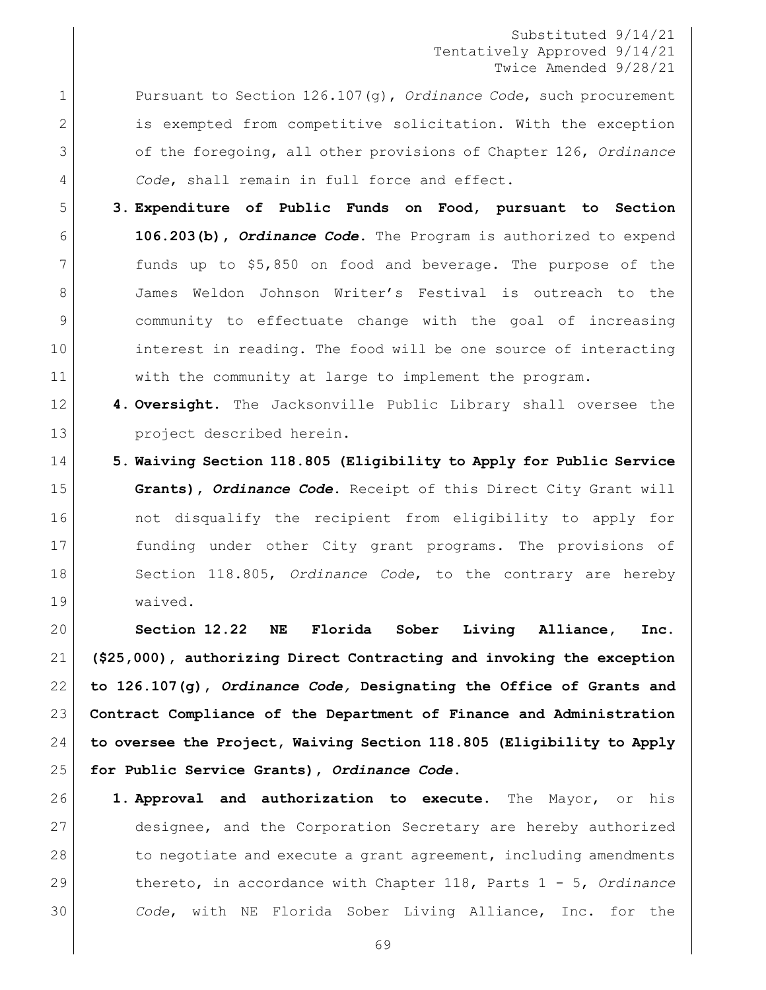Pursuant to Section 126.107(g), *Ordinance Code*, such procurement 2 is exempted from competitive solicitation. With the exception of the foregoing, all other provisions of Chapter 126, *Ordinance Code*, shall remain in full force and effect.

- **3. Expenditure of Public Funds on Food, pursuant to Section 106.203(b),** *Ordinance Code***.** The Program is authorized to expend funds up to \$5,850 on food and beverage. The purpose of the 8 James Weldon Johnson Writer's Festival is outreach to the community to effectuate change with the goal of increasing interest in reading. The food will be one source of interacting with the community at large to implement the program.
- **4. Oversight.** The Jacksonville Public Library shall oversee the 13 project described herein.
- **5. Waiving Section 118.805 (Eligibility to Apply for Public Service Grants),** *Ordinance Code***.** Receipt of this Direct City Grant will 16 and the not disqualify the recipient from eligibility to apply for funding under other City grant programs. The provisions of Section 118.805, *Ordinance Code*, to the contrary are hereby waived.

 **Section 12.22 NE Florida Sober Living Alliance, Inc. (\$25,000), authorizing Direct Contracting and invoking the exception to 126.107(g),** *Ordinance Code,* **Designating the Office of Grants and Contract Compliance of the Department of Finance and Administration to oversee the Project, Waiving Section 118.805 (Eligibility to Apply for Public Service Grants),** *Ordinance Code***.**

 **1. Approval and authorization to execute.** The Mayor, or his designee, and the Corporation Secretary are hereby authorized 28 to negotiate and execute a grant agreement, including amendments thereto, in accordance with Chapter 118, Parts 1 - 5, *Ordinance Code*, with NE Florida Sober Living Alliance, Inc. for the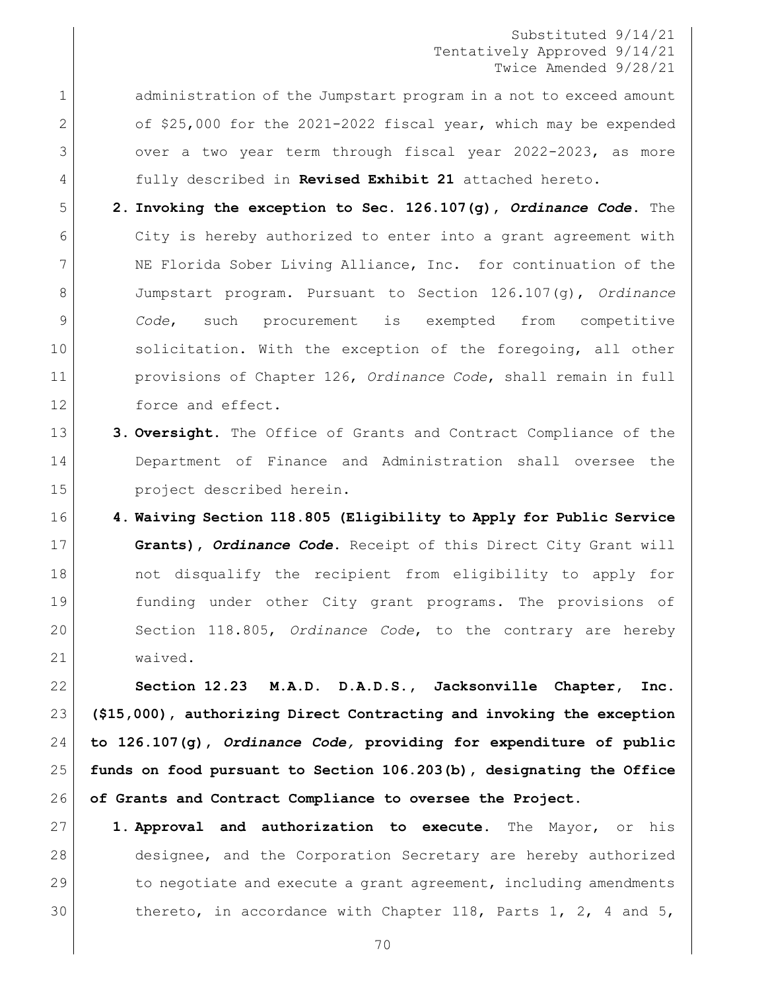1 administration of the Jumpstart program in a not to exceed amount 2 of \$25,000 for the 2021-2022 fiscal year, which may be expended 3 over a two year term through fiscal year 2022-2023, as more fully described in **Revised Exhibit 21** attached hereto.

- **2. Invoking the exception to Sec. 126.107(g),** *Ordinance Code***.** The City is hereby authorized to enter into a grant agreement with NE Florida Sober Living Alliance, Inc. for continuation of the Jumpstart program. Pursuant to Section 126.107(g), *Ordinance Code*, such procurement is exempted from competitive 10 solicitation. With the exception of the foregoing, all other provisions of Chapter 126, *Ordinance Code*, shall remain in full 12 force and effect.
- **3. Oversight.** The Office of Grants and Contract Compliance of the Department of Finance and Administration shall oversee the project described herein.
- **4. Waiving Section 118.805 (Eligibility to Apply for Public Service Grants),** *Ordinance Code***.** Receipt of this Direct City Grant will 18 | not disqualify the recipient from eligibility to apply for funding under other City grant programs. The provisions of Section 118.805, *Ordinance Code*, to the contrary are hereby waived.

 **Section 12.23 M.A.D. D.A.D.S., Jacksonville Chapter, Inc. (\$15,000), authorizing Direct Contracting and invoking the exception to 126.107(g),** *Ordinance Code,* **providing for expenditure of public funds on food pursuant to Section 106.203(b), designating the Office of Grants and Contract Compliance to oversee the Project.**

 **1. Approval and authorization to execute.** The Mayor, or his designee, and the Corporation Secretary are hereby authorized 29 to negotiate and execute a grant agreement, including amendments thereto, in accordance with Chapter 118, Parts 1, 2, 4 and 5,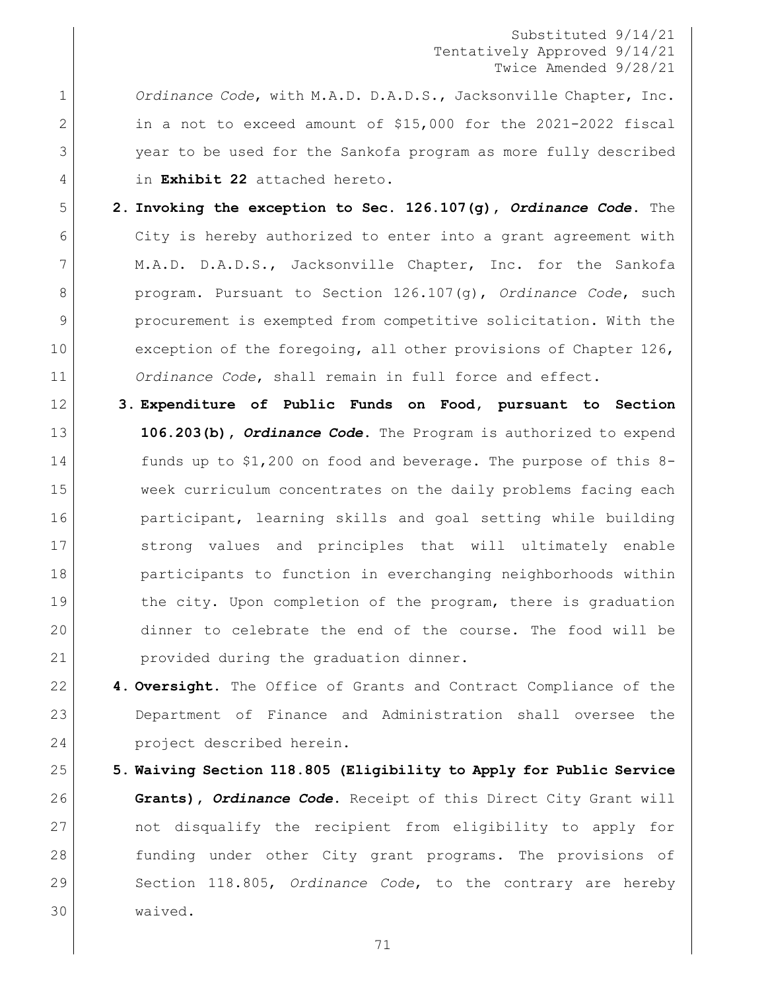*Ordinance Code*, with M.A.D. D.A.D.S., Jacksonville Chapter, Inc. in a not to exceed amount of \$15,000 for the 2021-2022 fiscal year to be used for the Sankofa program as more fully described in **Exhibit 22** attached hereto.

- **2. Invoking the exception to Sec. 126.107(g),** *Ordinance Code***.** The City is hereby authorized to enter into a grant agreement with M.A.D. D.A.D.S., Jacksonville Chapter, Inc. for the Sankofa program. Pursuant to Section 126.107(g), *Ordinance Code*, such procurement is exempted from competitive solicitation. With the 10 exception of the foregoing, all other provisions of Chapter 126, *Ordinance Code*, shall remain in full force and effect.
- **3. Expenditure of Public Funds on Food, pursuant to Section 106.203(b),** *Ordinance Code***.** The Program is authorized to expend funds up to \$1,200 on food and beverage. The purpose of this 8- week curriculum concentrates on the daily problems facing each **participant, learning skills and goal setting while building**  strong values and principles that will ultimately enable participants to function in everchanging neighborhoods within 19 19 the city. Upon completion of the program, there is graduation dinner to celebrate the end of the course. The food will be provided during the graduation dinner.
- **4. Oversight.** The Office of Grants and Contract Compliance of the Department of Finance and Administration shall oversee the project described herein.
- **5. Waiving Section 118.805 (Eligibility to Apply for Public Service Grants),** *Ordinance Code***.** Receipt of this Direct City Grant will 27 and the recipient from eligibility to apply for funding under other City grant programs. The provisions of Section 118.805, *Ordinance Code*, to the contrary are hereby waived.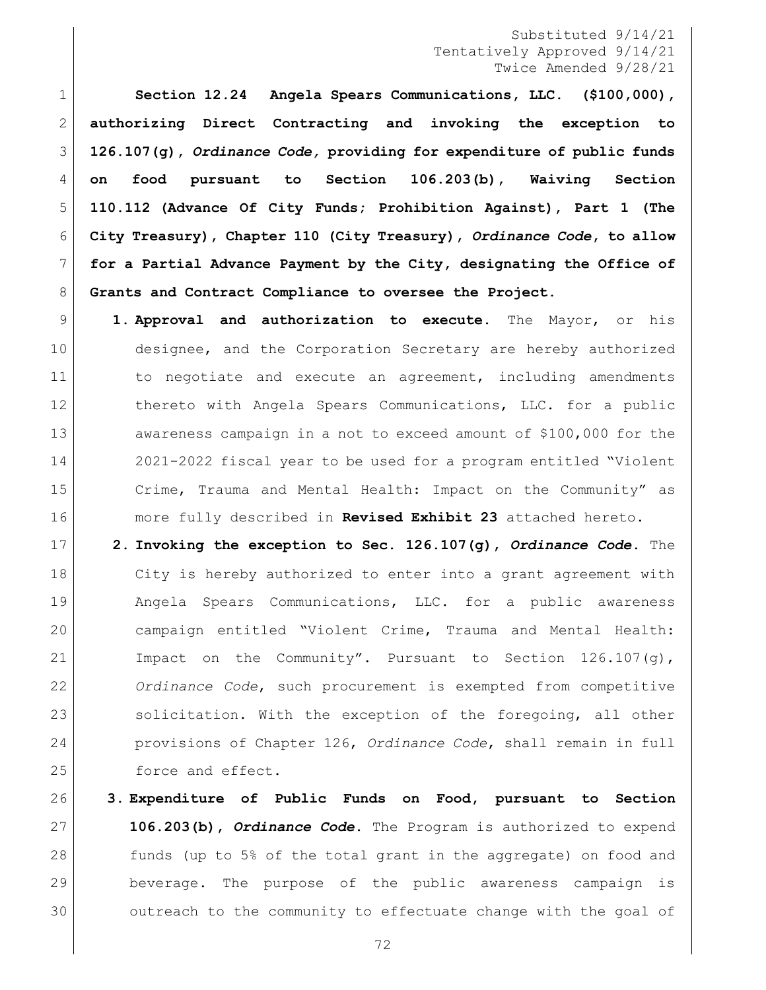**Section 12.24 Angela Spears Communications, LLC. (\$100,000), authorizing Direct Contracting and invoking the exception to 126.107(g),** *Ordinance Code,* **providing for expenditure of public funds on food pursuant to Section 106.203(b), Waiving Section 110.112 (Advance Of City Funds; Prohibition Against), Part 1 (The City Treasury), Chapter 110 (City Treasury),** *Ordinance Code***, to allow for a Partial Advance Payment by the City, designating the Office of Grants and Contract Compliance to oversee the Project.**

 **1. Approval and authorization to execute.** The Mayor, or his designee, and the Corporation Secretary are hereby authorized 11 1 to negotiate and execute an agreement, including amendments 12 thereto with Angela Spears Communications, LLC. for a public 13 awareness campaign in a not to exceed amount of \$100,000 for the 2021-2022 fiscal year to be used for a program entitled "Violent Crime, Trauma and Mental Health: Impact on the Community" as more fully described in **Revised Exhibit 23** attached hereto.

 **2. Invoking the exception to Sec. 126.107(g),** *Ordinance Code***.** The 18 | City is hereby authorized to enter into a grant agreement with Angela Spears Communications, LLC. for a public awareness campaign entitled "Violent Crime, Trauma and Mental Health: Impact on the Community". Pursuant to Section 126.107(g), *Ordinance Code*, such procurement is exempted from competitive 23 solicitation. With the exception of the foregoing, all other provisions of Chapter 126, *Ordinance Code*, shall remain in full 25 force and effect.

 **3. Expenditure of Public Funds on Food, pursuant to Section 106.203(b),** *Ordinance Code***.** The Program is authorized to expend funds (up to 5% of the total grant in the aggregate) on food and beverage. The purpose of the public awareness campaign is outreach to the community to effectuate change with the goal of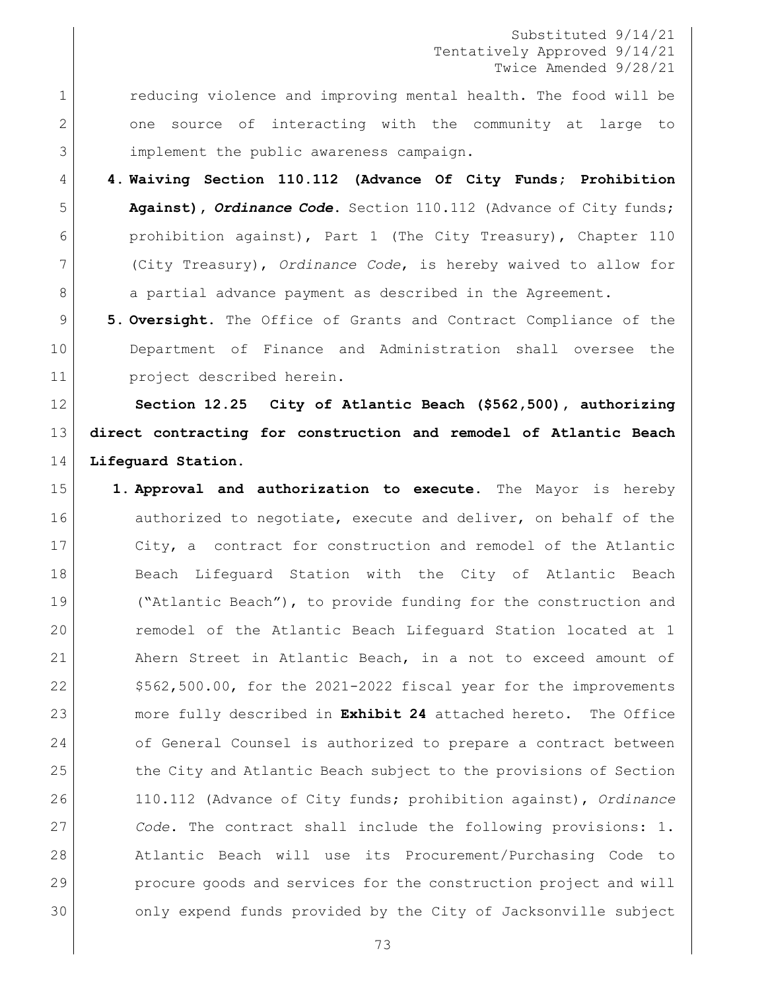1 reducing violence and improving mental health. The food will be 2 one source of interacting with the community at large to implement the public awareness campaign.

 **4. Waiving Section 110.112 (Advance Of City Funds; Prohibition Against), Ordinance Code.** Section 110.112 (Advance of City funds; prohibition against), Part 1 (The City Treasury), Chapter 110 (City Treasury), *Ordinance Code*, is hereby waived to allow for 8 a partial advance payment as described in the Agreement.

 **5. Oversight.** The Office of Grants and Contract Compliance of the Department of Finance and Administration shall oversee the project described herein.

 **Section 12.25 City of Atlantic Beach (\$562,500), authorizing direct contracting for construction and remodel of Atlantic Beach Lifeguard Station.**

 **1. Approval and authorization to execute.** The Mayor is hereby 16 authorized to negotiate, execute and deliver, on behalf of the City, a contract for construction and remodel of the Atlantic 18 Beach Lifeguard Station with the City of Atlantic Beach ("Atlantic Beach"), to provide funding for the construction and 20 remodel of the Atlantic Beach Lifeguard Station located at 1 Ahern Street in Atlantic Beach, in a not to exceed amount of  $\sim$  \$562,500.00, for the 2021-2022 fiscal year for the improvements more fully described in **Exhibit 24** attached hereto. The Office 24 of General Counsel is authorized to prepare a contract between 25 the City and Atlantic Beach subject to the provisions of Section 110.112 (Advance of City funds; prohibition against), *Ordinance Code*. The contract shall include the following provisions: 1. Atlantic Beach will use its Procurement/Purchasing Code to procure goods and services for the construction project and will only expend funds provided by the City of Jacksonville subject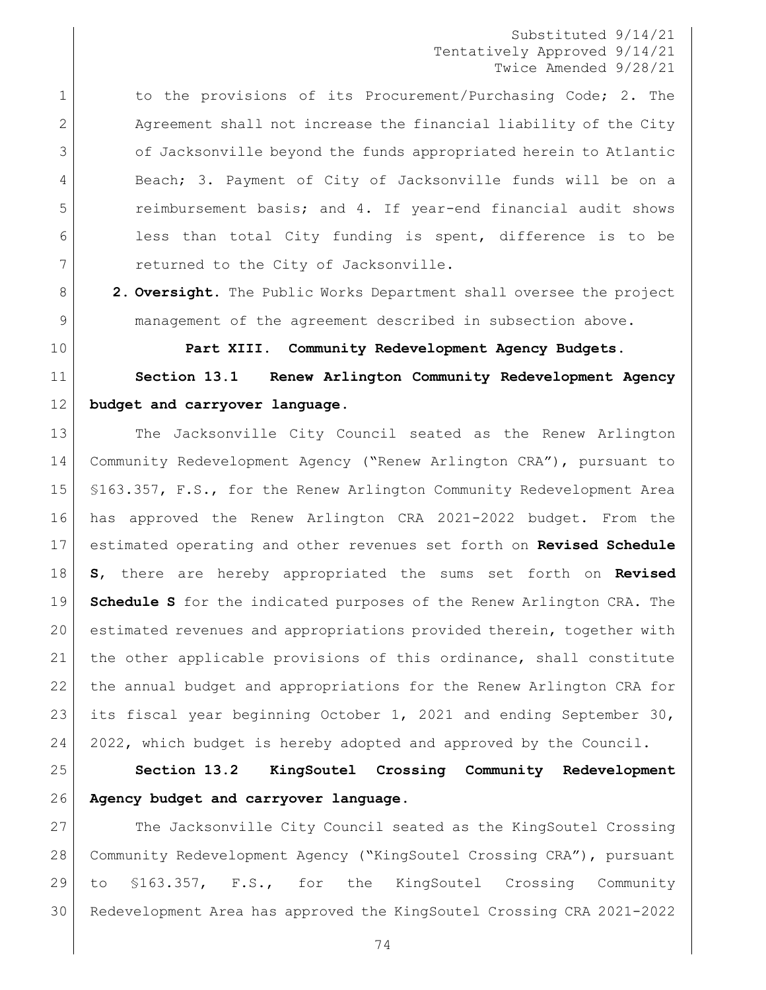1 1 to the provisions of its Procurement/Purchasing Code; 2. The Agreement shall not increase the financial liability of the City of Jacksonville beyond the funds appropriated herein to Atlantic 4 Beach; 3. Payment of City of Jacksonville funds will be on a reimbursement basis; and 4. If year-end financial audit shows 6 less than total City funding is spent, difference is to be 7 returned to the City of Jacksonville.

 **2. Oversight.** The Public Works Department shall oversee the project management of the agreement described in subsection above.

**Part XIII. Community Redevelopment Agency Budgets.**

 **Section 13.1 Renew Arlington Community Redevelopment Agency budget and carryover language.**

13 The Jacksonville City Council seated as the Renew Arlington Community Redevelopment Agency ("Renew Arlington CRA"), pursuant to §163.357, F.S., for the Renew Arlington Community Redevelopment Area has approved the Renew Arlington CRA 2021-2022 budget. From the estimated operating and other revenues set forth on **Revised Schedule S**, there are hereby appropriated the sums set forth on **Revised Schedule S** for the indicated purposes of the Renew Arlington CRA. The estimated revenues and appropriations provided therein, together with the other applicable provisions of this ordinance, shall constitute the annual budget and appropriations for the Renew Arlington CRA for 23 its fiscal year beginning October 1, 2021 and ending September 30, 2022, which budget is hereby adopted and approved by the Council.

 **Section 13.2 KingSoutel Crossing Community Redevelopment Agency budget and carryover language.**

27 The Jacksonville City Council seated as the KingSoutel Crossing Community Redevelopment Agency ("KingSoutel Crossing CRA"), pursuant to §163.357, F.S., for the KingSoutel Crossing Community Redevelopment Area has approved the KingSoutel Crossing CRA 2021-2022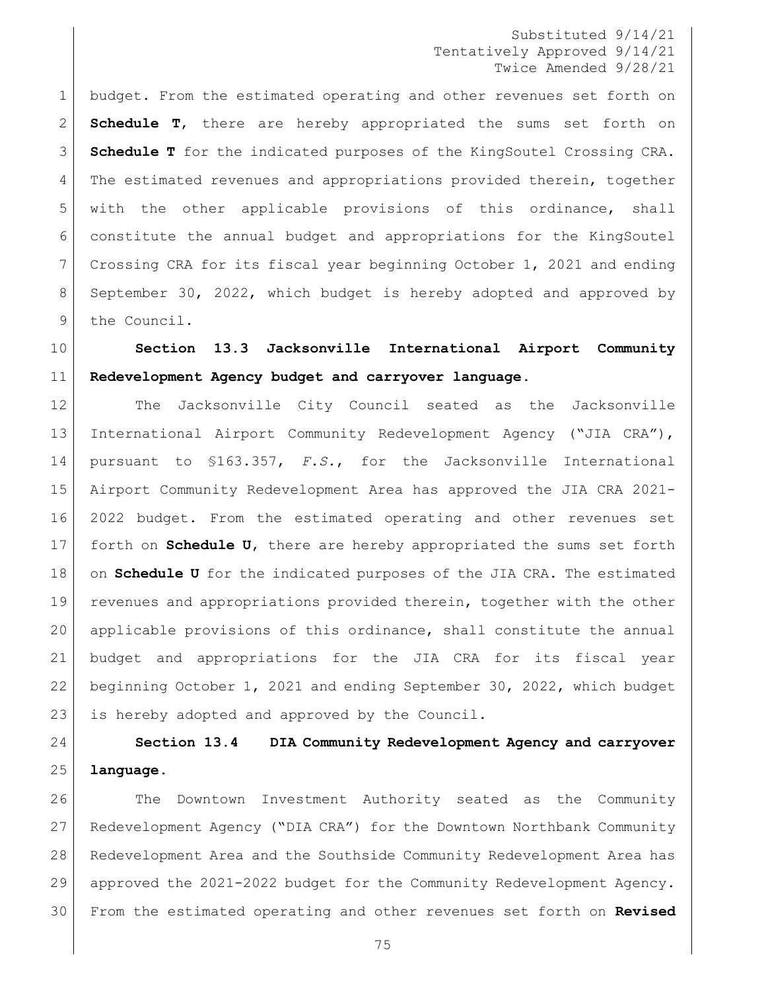budget. From the estimated operating and other revenues set forth on **Schedule T**, there are hereby appropriated the sums set forth on **Schedule T** for the indicated purposes of the KingSoutel Crossing CRA. The estimated revenues and appropriations provided therein, together with the other applicable provisions of this ordinance, shall constitute the annual budget and appropriations for the KingSoutel Crossing CRA for its fiscal year beginning October 1, 2021 and ending September 30, 2022, which budget is hereby adopted and approved by 9 the Council.

# **Section 13.3 Jacksonville International Airport Community Redevelopment Agency budget and carryover language.**

 The Jacksonville City Council seated as the Jacksonville International Airport Community Redevelopment Agency ("JIA CRA"), pursuant to §163.357, *F.S.*, for the Jacksonville International Airport Community Redevelopment Area has approved the JIA CRA 2021- 2022 budget. From the estimated operating and other revenues set forth on **Schedule U**, there are hereby appropriated the sums set forth 18 on **Schedule U** for the indicated purposes of the JIA CRA. The estimated revenues and appropriations provided therein, together with the other applicable provisions of this ordinance, shall constitute the annual budget and appropriations for the JIA CRA for its fiscal year beginning October 1, 2021 and ending September 30, 2022, which budget 23 is hereby adopted and approved by the Council.

# **Section 13.4 DIA Community Redevelopment Agency and carryover language.**

 The Downtown Investment Authority seated as the Community Redevelopment Agency ("DIA CRA") for the Downtown Northbank Community Redevelopment Area and the Southside Community Redevelopment Area has approved the 2021-2022 budget for the Community Redevelopment Agency. From the estimated operating and other revenues set forth on **Revised**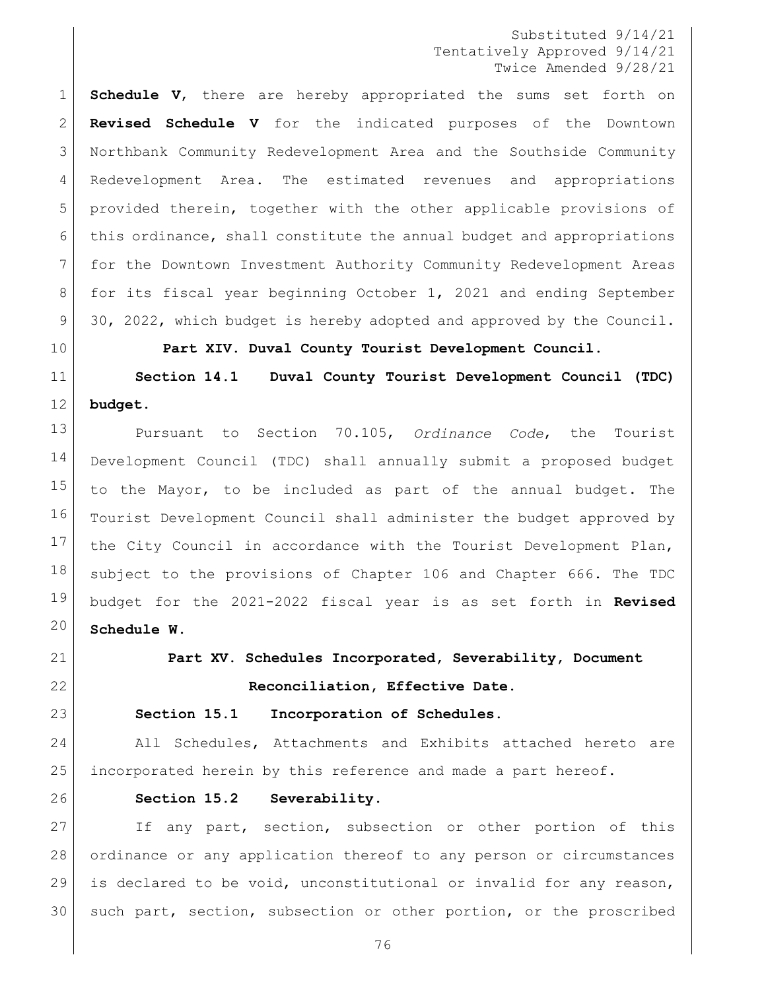**Schedule V**, there are hereby appropriated the sums set forth on **Revised Schedule V** for the indicated purposes of the Downtown Northbank Community Redevelopment Area and the Southside Community Redevelopment Area. The estimated revenues and appropriations provided therein, together with the other applicable provisions of this ordinance, shall constitute the annual budget and appropriations for the Downtown Investment Authority Community Redevelopment Areas for its fiscal year beginning October 1, 2021 and ending September 30, 2022, which budget is hereby adopted and approved by the Council.

**Part XIV. Duval County Tourist Development Council.**

 **Section 14.1 Duval County Tourist Development Council (TDC) budget.**

 Pursuant to Section 70.105, *Ordinance Code*, the Tourist Development Council (TDC) shall annually submit a proposed budget to the Mayor, to be included as part of the annual budget. The 16 Tourist Development Council shall administer the budget approved by the City Council in accordance with the Tourist Development Plan, subject to the provisions of [Chapter 106](https://library.municode.com/fl/jacksonville/codes/code_of_ordinances?nodeId=TITVADPE_CH106BUACCO) and [Chapter 666.](https://library.municode.com/fl/jacksonville/codes/code_of_ordinances?nodeId=TITXVIIILIRE_CH666DUCOTODEPL) The TDC budget for the 2021-2022 fiscal year is as set forth in **Revised Schedule W**.

**Part XV. Schedules Incorporated, Severability, Document** 

**Reconciliation, Effective Date.**

**Section 15.1 Incorporation of Schedules.** 

 All Schedules, Attachments and Exhibits attached hereto are incorporated herein by this reference and made a part hereof.

## **Section 15.2 Severability.**

27 | If any part, section, subsection or other portion of this ordinance or any application thereof to any person or circumstances 29 | is declared to be void, unconstitutional or invalid for any reason, 30 such part, section, subsection or other portion, or the proscribed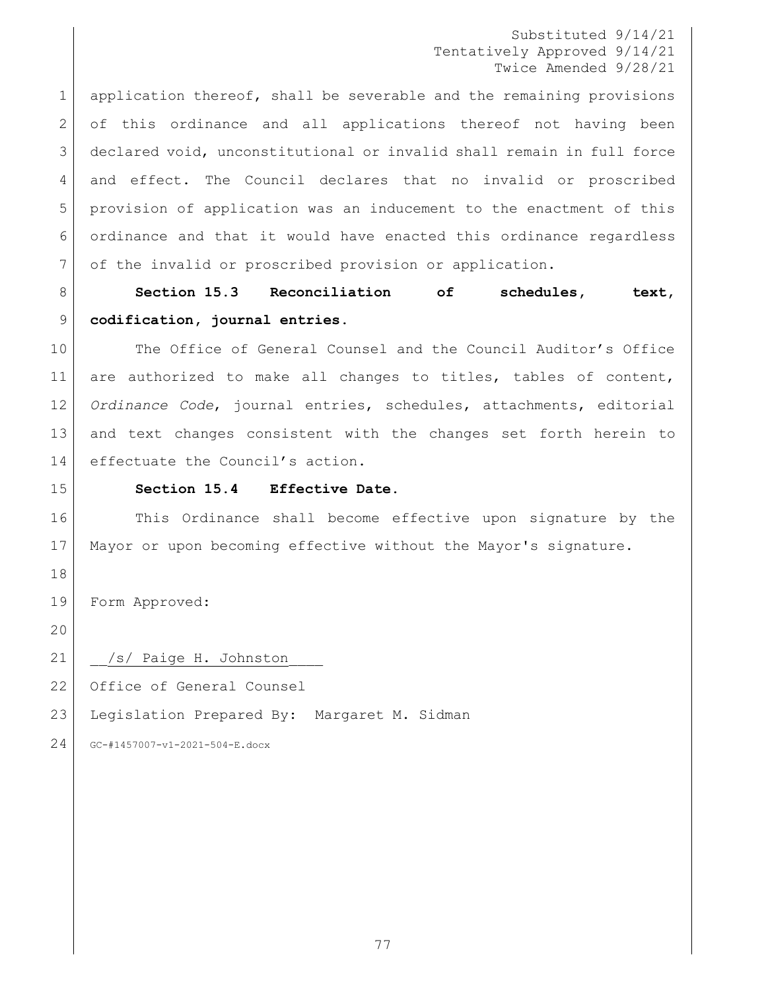1 application thereof, shall be severable and the remaining provisions 2 of this ordinance and all applications thereof not having been declared void, unconstitutional or invalid shall remain in full force and effect. The Council declares that no invalid or proscribed provision of application was an inducement to the enactment of this ordinance and that it would have enacted this ordinance regardless of the invalid or proscribed provision or application.

 **Section 15.3 Reconciliation of schedules, text, codification, journal entries.**

10 The Office of General Counsel and the Council Auditor's Office 11 are authorized to make all changes to titles, tables of content, *Ordinance Code*, journal entries, schedules, attachments, editorial and text changes consistent with the changes set forth herein to 14 effectuate the Council's action.

#### **Section 15.4 Effective Date.**

16 This Ordinance shall become effective upon signature by the Mayor or upon becoming effective without the Mayor's signature.

Form Approved:

21 | /s/ Paige H. Johnston

22 Office of General Counsel

Legislation Prepared By: Margaret M. Sidman

GC-#1457007-v1-2021-504-E.docx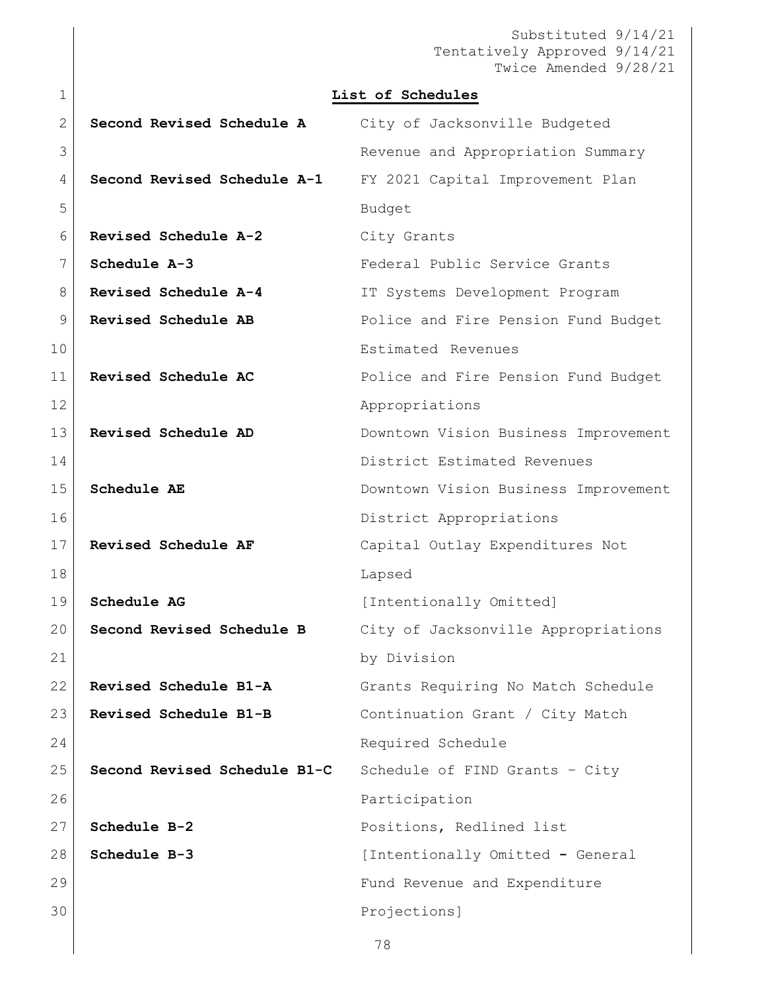Substituted 9/14/21 Tentatively Approved 9/14/21 Twice Amended 9/28/21 **List of Schedules Second Revised Schedule A** City of Jacksonville Budgeted Revenue and Appropriation Summary **Second Revised Schedule A-1** FY 2021 Capital Improvement Plan 5 Budget **Revised Schedule A-2** City Grants **Schedule A-3** Federal Public Service Grants **Revised Schedule A-4** IT Systems Development Program **Revised Schedule AB** Police and Fire Pension Fund Budget Estimated Revenues **Revised Schedule AC** Police and Fire Pension Fund Budget 12 | Repropriations **Revised Schedule AD** Downtown Vision Business Improvement District Estimated Revenues **Schedule AE** Downtown Vision Business Improvement 16 District Appropriations **Revised Schedule AF** Capital Outlay Expenditures Not 18 Lapsed **Schedule AG** [Intentionally Omitted] **Second Revised Schedule B** City of Jacksonville Appropriations 21 by Division **Revised Schedule B1-A** Grants Requiring No Match Schedule **Revised Schedule B1-B** Continuation Grant / City Match 24 Required Schedule **Second Revised Schedule B1-C** Schedule of FIND Grants – City 26 Participation **Schedule B-2** Positions, Redlined list **Schedule B-3** [Intentionally Omitted **-** General 29 Fund Revenue and Expenditure Projections]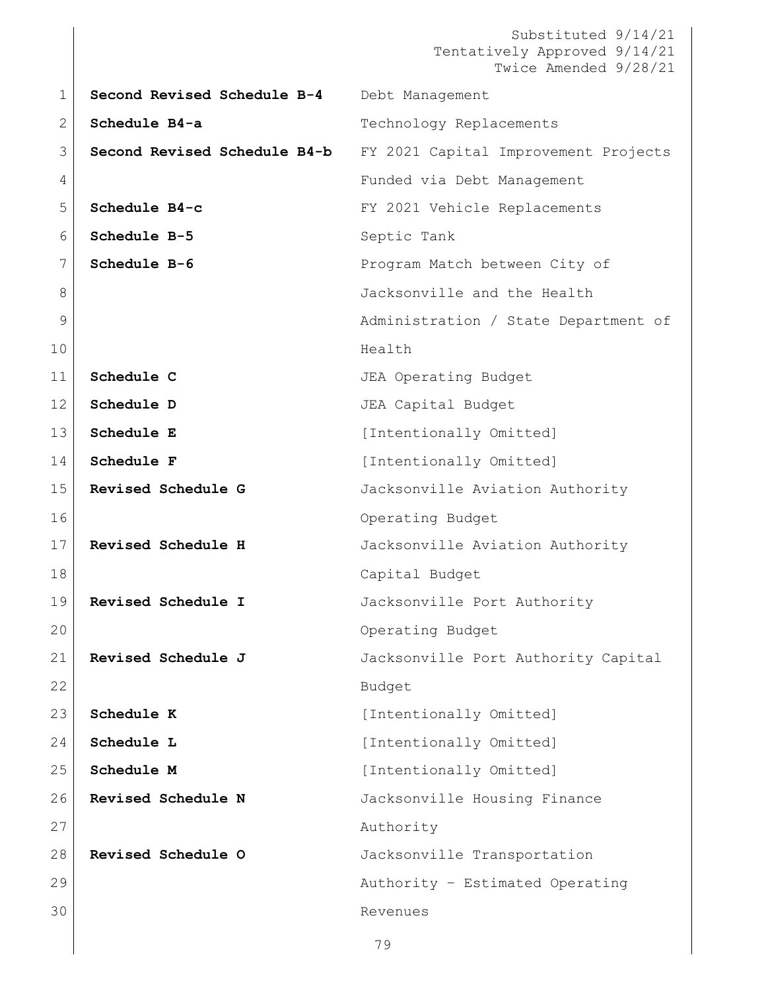```
Substituted 9/14/21
                             Tentatively Approved 9/14/21
                                  Twice Amended 9/28/21
                         79
1 Second Revised Schedule B-4 Debt Management
2 Schedule B4-a Technology Replacements
3 Second Revised Schedule B4-b FY 2021 Capital Improvement Projects 
4 Funded via Debt Management
5 Schedule B4-c FY 2021 Vehicle Replacements
6 Schedule B-5 Septic Tank
7 Schedule B-6 Program Match between City of
8 S B S Jacksonville and the Health
9 administration / State Department of
10 Health
11 Schedule C Superificate State Section JEA Operating Budget
12 Schedule D JEA Capital Budget
13 Schedule E [Intentionally Omitted]
14 Schedule F [Intentionally Omitted]
15 Revised Schedule G Jacksonville Aviation Authority 
16 Operating Budget
17 Revised Schedule H Jacksonville Aviation Authority 
18 | Capital Budget
19 Revised Schedule I Jacksonville Port Authority 
20 Operating Budget
21 Revised Schedule J Jacksonville Port Authority Capital 
22 Budget
23 Schedule K [Intentionally Omitted]
24 Schedule L [Intentionally Omitted]
25 Schedule M [Intentionally Omitted]
26 Revised Schedule N Jacksonville Housing Finance 
27 Authority
28 Revised Schedule O Jacksonville Transportation 
29 | Constant Communication (Authority – Estimated Operating
30 Revenues
```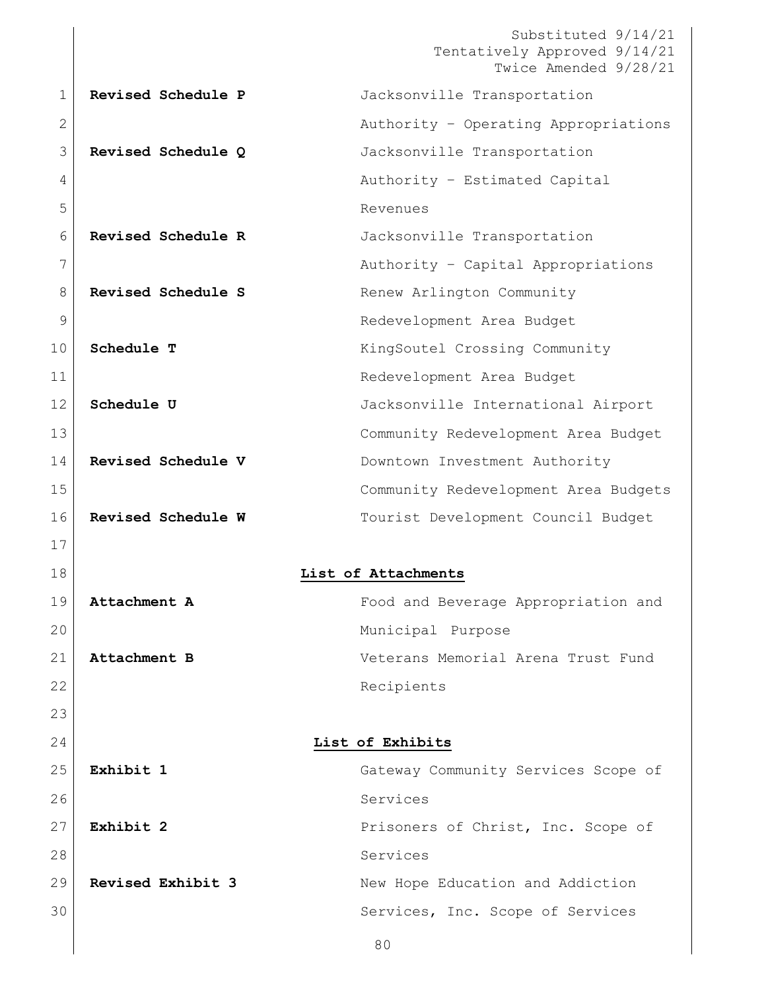Substituted 9/14/21 Tentatively Approved 9/14/21 Twice Amended 9/28/21 **Revised Schedule P** Jacksonville Transportation **Authority – Operating Appropriations Revised Schedule Q** Jacksonville Transportation 4 Authority – Estimated Capital Revenues **Revised Schedule R** Jacksonville Transportation 7 | Capital Appropriations 8 Revised Schedule S **Renew Arlington Community**  Redevelopment Area Budget **Schedule T** KingSoutel Crossing Community Redevelopment Area Budget **Schedule U** Jacksonville International Airport Community Redevelopment Area Budget **Revised Schedule V** Downtown Investment Authority Community Redevelopment Area Budgets **Revised Schedule W** Tourist Development Council Budget **List of Attachments Attachment A** Food and Beverage Appropriation and 20 | Constitution of the Municipal Purpose **Attachment B** Veterans Memorial Arena Trust Fund 22 Recipients **List of Exhibits Exhibit 1** Gateway Community Services Scope of Services **Exhibit 2** Prisoners of Christ, Inc. Scope of Services **Revised Exhibit 3** New Hope Education and Addiction 30 Services, Inc. Scope of Services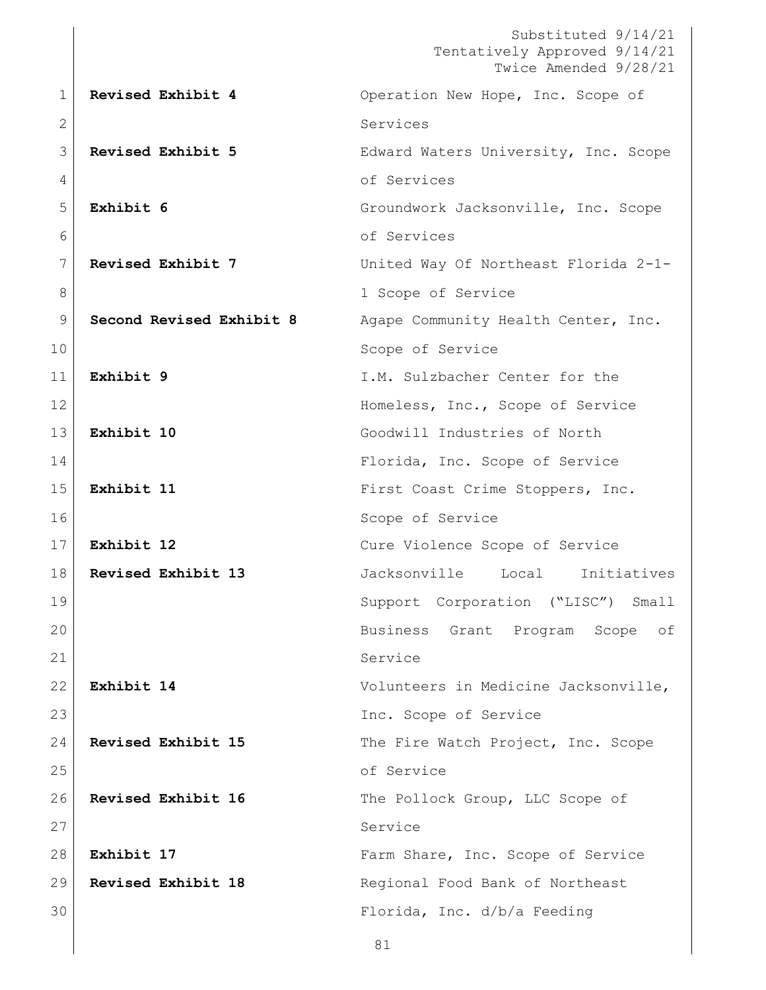Substituted 9/14/21 Tentatively Approved 9/14/21 Twice Amended 9/28/21 **Revised Exhibit 4** Operation New Hope, Inc. Scope of 2 Services **Revised Exhibit 5** Edward Waters University, Inc. Scope 4 of Services **Exhibit 6** Groundwork Jacksonville, Inc. Scope of Services **Revised Exhibit 7** United Way Of Northeast Florida 2-1- 8 a 1 Scope of Service **Second Revised Exhibit 8** Agape Community Health Center, Inc. 10 Scope of Service **Exhibit 9** I.M. Sulzbacher Center for the 12 Homeless, Inc., Scope of Service **Exhibit 10** Goodwill Industries of North Florida, Inc. Scope of Service **Exhibit 11** First Coast Crime Stoppers, Inc. 16 Scope of Service **Exhibit 12** Cure Violence Scope of Service **Revised Exhibit 13** Jacksonville Local Initiatives Support Corporation ("LISC") Small Business Grant Program Scope of 21 Service **Exhibit 14** Volunteers in Medicine Jacksonville, Inc. Scope of Service **Revised Exhibit 15** The Fire Watch Project, Inc. Scope 25 of Service 26 Revised Exhibit 16 The Pollock Group, LLC Scope of 27 Service **Exhibit 17** Farm Share, Inc. Scope of Service **Revised Exhibit 18** Regional Food Bank of Northeast Florida, Inc. d/b/a Feeding